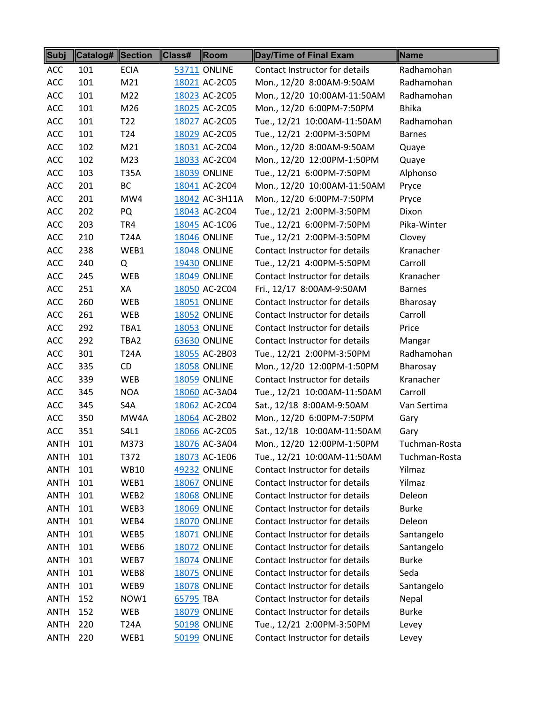| Subj        | <b>Catalog# Section</b> |                  | <b>Class#</b> | Room                | Day/Time of Final Exam         | Name          |
|-------------|-------------------------|------------------|---------------|---------------------|--------------------------------|---------------|
| <b>ACC</b>  | 101                     | <b>ECIA</b>      |               | <b>53711 ONLINE</b> | Contact Instructor for details | Radhamohan    |
| ACC         | 101                     | M21              |               | 18021 AC-2C05       | Mon., 12/20 8:00AM-9:50AM      | Radhamohan    |
| ACC         | 101                     | M22              |               | 18023 AC-2C05       | Mon., 12/20 10:00AM-11:50AM    | Radhamohan    |
| <b>ACC</b>  | 101                     | M26              |               | 18025 AC-2C05       | Mon., 12/20 6:00PM-7:50PM      | <b>Bhika</b>  |
| ACC         | 101                     | T <sub>22</sub>  |               | 18027 AC-2C05       | Tue., 12/21 10:00AM-11:50AM    | Radhamohan    |
| ACC         | 101                     | T <sub>24</sub>  |               | 18029 AC-2C05       | Tue., 12/21 2:00PM-3:50PM      | <b>Barnes</b> |
| ACC         | 102                     | M21              |               | 18031 AC-2C04       | Mon., 12/20 8:00AM-9:50AM      | Quaye         |
| ACC         | 102                     | M <sub>23</sub>  |               | 18033 AC-2C04       | Mon., 12/20 12:00PM-1:50PM     | Quaye         |
| ACC         | 103                     | <b>T35A</b>      |               | <b>18039 ONLINE</b> | Tue., 12/21 6:00PM-7:50PM      | Alphonso      |
| ACC         | 201                     | BC               |               | 18041 AC-2C04       | Mon., 12/20 10:00AM-11:50AM    | Pryce         |
| ACC         | 201                     | MW4              |               | 18042 AC-3H11A      | Mon., 12/20 6:00PM-7:50PM      | Pryce         |
| ACC         | 202                     | PQ               |               | 18043 AC-2C04       | Tue., 12/21 2:00PM-3:50PM      | Dixon         |
| ACC         | 203                     | TR4              |               | 18045 AC-1C06       | Tue., 12/21 6:00PM-7:50PM      | Pika-Winter   |
| <b>ACC</b>  | 210                     | T24A             |               | <b>18046 ONLINE</b> | Tue., 12/21 2:00PM-3:50PM      | Clovey        |
| ACC         | 238                     | WEB1             |               | <b>18048 ONLINE</b> | Contact Instructor for details | Kranacher     |
| ACC         | 240                     | Q                |               | <b>19430 ONLINE</b> | Tue., 12/21 4:00PM-5:50PM      | Carroll       |
| ACC         | 245                     | <b>WEB</b>       |               | <b>18049 ONLINE</b> | Contact Instructor for details | Kranacher     |
| ACC         | 251                     | XA               |               | 18050 AC-2C04       | Fri., 12/17 8:00AM-9:50AM      | <b>Barnes</b> |
| ACC         | 260                     | <b>WEB</b>       |               | 18051 ONLINE        | Contact Instructor for details | Bharosay      |
| ACC         | 261                     | WEB              |               | <b>18052 ONLINE</b> | Contact Instructor for details | Carroll       |
| ACC         | 292                     | TBA1             |               | <b>18053 ONLINE</b> | Contact Instructor for details | Price         |
| ACC         | 292                     | TBA2             |               | <b>63630 ONLINE</b> | Contact Instructor for details | Mangar        |
| <b>ACC</b>  | 301                     | <b>T24A</b>      |               | 18055 AC-2B03       | Tue., 12/21 2:00PM-3:50PM      | Radhamohan    |
| <b>ACC</b>  | 335                     | CD               |               | <b>18058 ONLINE</b> | Mon., 12/20 12:00PM-1:50PM     | Bharosay      |
| ACC         | 339                     | <b>WEB</b>       |               | <b>18059 ONLINE</b> | Contact Instructor for details | Kranacher     |
| <b>ACC</b>  | 345                     | <b>NOA</b>       |               | 18060 AC-3A04       | Tue., 12/21 10:00AM-11:50AM    | Carroll       |
| ACC         | 345                     | S4A              |               | 18062 AC-2C04       | Sat., 12/18 8:00AM-9:50AM      | Van Sertima   |
| ACC         | 350                     | MW4A             |               | 18064 AC-2B02       | Mon., 12/20 6:00PM-7:50PM      | Gary          |
| ACC         | 351                     | S4L1             |               | 18066 AC-2C05       | Sat., 12/18 10:00AM-11:50AM    | Gary          |
| <b>ANTH</b> | 101                     | M373             |               | 18076 AC-3A04       | Mon., 12/20 12:00PM-1:50PM     | Tuchman-Rosta |
| ANTH        | 101                     | T372             |               | 18073 AC-1E06       | Tue., 12/21 10:00AM-11:50AM    | Tuchman-Rosta |
| <b>ANTH</b> | 101                     | WB10             |               | 49232 ONLINE        | Contact Instructor for details | Yilmaz        |
| <b>ANTH</b> | 101                     | WEB1             |               | 18067 ONLINE        | Contact Instructor for details | Yilmaz        |
| <b>ANTH</b> | 101                     | WEB <sub>2</sub> |               | <b>18068 ONLINE</b> | Contact Instructor for details | Deleon        |
| <b>ANTH</b> | 101                     | WEB3             |               | <b>18069 ONLINE</b> | Contact Instructor for details | <b>Burke</b>  |
| <b>ANTH</b> | 101                     | WEB4             |               | <b>18070 ONLINE</b> | Contact Instructor for details | Deleon        |
| <b>ANTH</b> | 101                     | WEB5             |               | 18071 ONLINE        | Contact Instructor for details | Santangelo    |
| <b>ANTH</b> | 101                     | WEB6             |               | <b>18072 ONLINE</b> | Contact Instructor for details | Santangelo    |
| <b>ANTH</b> | 101                     | WEB7             |               | <b>18074 ONLINE</b> | Contact Instructor for details | <b>Burke</b>  |
| <b>ANTH</b> | 101                     | WEB8             |               | <b>18075 ONLINE</b> | Contact Instructor for details | Seda          |
| <b>ANTH</b> | 101                     | WEB9             |               | <b>18078 ONLINE</b> | Contact Instructor for details | Santangelo    |
| <b>ANTH</b> | 152                     | NOW1             | 65795 TBA     |                     | Contact Instructor for details | Nepal         |
| <b>ANTH</b> | 152                     | WEB              |               | <b>18079 ONLINE</b> | Contact Instructor for details | <b>Burke</b>  |
| <b>ANTH</b> | 220                     | T24A             |               | <b>50198 ONLINE</b> | Tue., 12/21 2:00PM-3:50PM      | Levey         |
| <b>ANTH</b> | 220                     | WEB1             |               | 50199 ONLINE        | Contact Instructor for details | Levey         |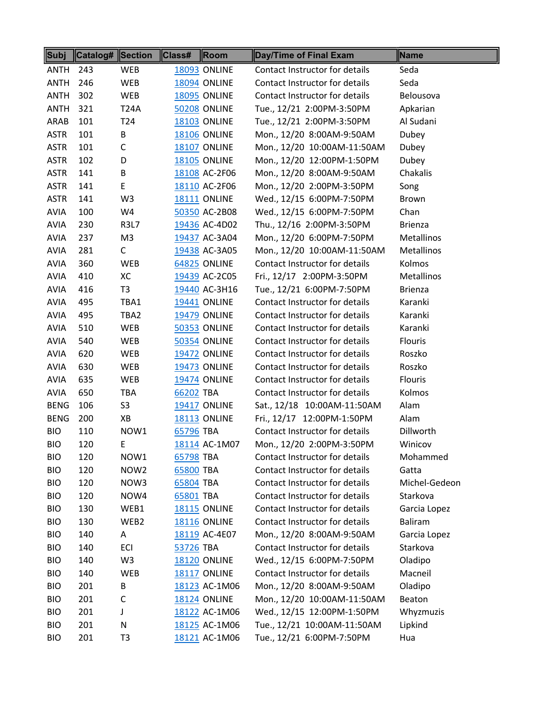| Subj        | <b>Catalog# Section</b> |                  | Class#    | Room                | Day/Time of Final Exam         | Name              |
|-------------|-------------------------|------------------|-----------|---------------------|--------------------------------|-------------------|
| ANTH        | 243                     | <b>WEB</b>       |           | <b>18093 ONLINE</b> | Contact Instructor for details | Seda              |
| <b>ANTH</b> | 246                     | WEB              |           | <b>18094 ONLINE</b> | Contact Instructor for details | Seda              |
| <b>ANTH</b> | 302                     | WEB              |           | <b>18095 ONLINE</b> | Contact Instructor for details | Belousova         |
| <b>ANTH</b> | 321                     | <b>T24A</b>      |           | <b>50208 ONLINE</b> | Tue., 12/21 2:00PM-3:50PM      | Apkarian          |
| ARAB        | 101                     | T <sub>24</sub>  |           | <b>18103 ONLINE</b> | Tue., 12/21 2:00PM-3:50PM      | Al Sudani         |
| <b>ASTR</b> | 101                     | B                |           | <b>18106 ONLINE</b> | Mon., 12/20 8:00AM-9:50AM      | Dubey             |
| <b>ASTR</b> | 101                     | $\mathsf C$      |           | <b>18107 ONLINE</b> | Mon., 12/20 10:00AM-11:50AM    | Dubey             |
| <b>ASTR</b> | 102                     | D                |           | <b>18105 ONLINE</b> | Mon., 12/20 12:00PM-1:50PM     | Dubey             |
| <b>ASTR</b> | 141                     | B                |           | 18108 AC-2F06       | Mon., 12/20 8:00AM-9:50AM      | Chakalis          |
| <b>ASTR</b> | 141                     | E                |           | 18110 AC-2F06       | Mon., 12/20 2:00PM-3:50PM      | Song              |
| <b>ASTR</b> | 141                     | W <sub>3</sub>   |           | <b>18111 ONLINE</b> | Wed., 12/15 6:00PM-7:50PM      | <b>Brown</b>      |
| <b>AVIA</b> | 100                     | W4               |           | 50350 AC-2B08       | Wed., 12/15 6:00PM-7:50PM      | Chan              |
| <b>AVIA</b> | 230                     | <b>R3L7</b>      |           | 19436 AC-4D02       | Thu., 12/16 2:00PM-3:50PM      | <b>Brienza</b>    |
| <b>AVIA</b> | 237                     | M <sub>3</sub>   |           | 19437 AC-3A04       | Mon., 12/20 6:00PM-7:50PM      | Metallinos        |
| <b>AVIA</b> | 281                     | C                |           | 19438 AC-3A05       | Mon., 12/20 10:00AM-11:50AM    | Metallinos        |
| <b>AVIA</b> | 360                     | <b>WEB</b>       |           | <b>64825 ONLINE</b> | Contact Instructor for details | Kolmos            |
| <b>AVIA</b> | 410                     | XC               |           | 19439 AC-2C05       | Fri., 12/17 2:00PM-3:50PM      | <b>Metallinos</b> |
| <b>AVIA</b> | 416                     | T <sub>3</sub>   |           | 19440 AC-3H16       | Tue., 12/21 6:00PM-7:50PM      | <b>Brienza</b>    |
| <b>AVIA</b> | 495                     | TBA1             |           | <b>19441 ONLINE</b> | Contact Instructor for details | Karanki           |
| <b>AVIA</b> | 495                     | TBA2             |           | <b>19479 ONLINE</b> | Contact Instructor for details | Karanki           |
| <b>AVIA</b> | 510                     | <b>WEB</b>       |           | <b>50353 ONLINE</b> | Contact Instructor for details | Karanki           |
| <b>AVIA</b> | 540                     | WEB              |           | <b>50354 ONLINE</b> | Contact Instructor for details | <b>Flouris</b>    |
| <b>AVIA</b> | 620                     | WEB              |           | <b>19472 ONLINE</b> | Contact Instructor for details | Roszko            |
| <b>AVIA</b> | 630                     | WEB              |           | <b>19473 ONLINE</b> | Contact Instructor for details | Roszko            |
| <b>AVIA</b> | 635                     | <b>WEB</b>       |           | <b>19474 ONLINE</b> | Contact Instructor for details | <b>Flouris</b>    |
| <b>AVIA</b> | 650                     | <b>TBA</b>       | 66202 TBA |                     | Contact Instructor for details | Kolmos            |
| <b>BENG</b> | 106                     | S <sub>3</sub>   |           | <b>19417 ONLINE</b> | Sat., 12/18 10:00AM-11:50AM    | Alam              |
| <b>BENG</b> | 200                     | XB               |           | <b>18113 ONLINE</b> | Fri., 12/17 12:00PM-1:50PM     | Alam              |
| <b>BIO</b>  | 110                     | NOW1             | 65796 TBA |                     | Contact Instructor for details | Dillworth         |
| <b>BIO</b>  | 120                     | E                |           | 18114 AC-1M07       | Mon., 12/20 2:00PM-3:50PM      | Winicov           |
| <b>BIO</b>  | 120                     | NOW1             | 65798 TBA |                     | Contact Instructor for details | Mohammed          |
| <b>BIO</b>  | 120                     | NOW <sub>2</sub> | 65800 TBA |                     | Contact Instructor for details | Gatta             |
| <b>BIO</b>  | 120                     | NOW3             | 65804 TBA |                     | Contact Instructor for details | Michel-Gedeon     |
| <b>BIO</b>  | 120                     | NOW4             | 65801 TBA |                     | Contact Instructor for details | Starkova          |
| <b>BIO</b>  | 130                     | WEB1             |           | <b>18115 ONLINE</b> | Contact Instructor for details | Garcia Lopez      |
| <b>BIO</b>  | 130                     | WEB2             |           | <b>18116 ONLINE</b> | Contact Instructor for details | <b>Baliram</b>    |
| <b>BIO</b>  | 140                     | A                |           | 18119 AC-4E07       | Mon., 12/20 8:00AM-9:50AM      | Garcia Lopez      |
| <b>BIO</b>  | 140                     | ECI              | 53726 TBA |                     | Contact Instructor for details | Starkova          |
| <b>BIO</b>  | 140                     | W <sub>3</sub>   |           | <b>18120 ONLINE</b> | Wed., 12/15 6:00PM-7:50PM      | Oladipo           |
| <b>BIO</b>  | 140                     | WEB              |           | <b>18117 ONLINE</b> | Contact Instructor for details | Macneil           |
| <b>BIO</b>  | 201                     | В                |           | 18123 AC-1M06       | Mon., 12/20 8:00AM-9:50AM      | Oladipo           |
| <b>BIO</b>  | 201                     | C                |           | <b>18124 ONLINE</b> | Mon., 12/20 10:00AM-11:50AM    | Beaton            |
| <b>BIO</b>  | 201                     | J                |           | 18122 AC-1M06       | Wed., 12/15 12:00PM-1:50PM     | Whyzmuzis         |
| <b>BIO</b>  | 201                     | N                |           | 18125 AC-1M06       | Tue., 12/21 10:00AM-11:50AM    | Lipkind           |
| <b>BIO</b>  | 201                     | T <sub>3</sub>   |           | 18121 AC-1M06       | Tue., 12/21 6:00PM-7:50PM      | Hua               |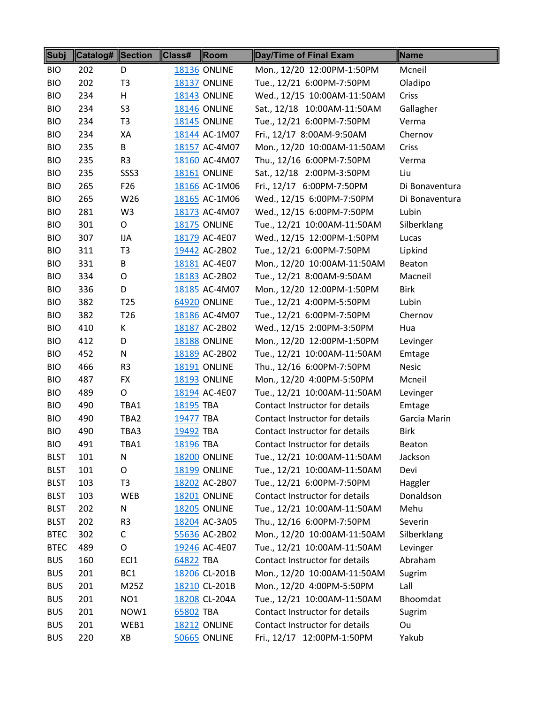| Subj        | Catalog# Section |                  | Class#           | Room                | Day/Time of Final Exam         | Name           |
|-------------|------------------|------------------|------------------|---------------------|--------------------------------|----------------|
| <b>BIO</b>  | 202              | D                |                  | <b>18136 ONLINE</b> | Mon., 12/20 12:00PM-1:50PM     | Mcneil         |
| <b>BIO</b>  | 202              | T <sub>3</sub>   |                  | <b>18137 ONLINE</b> | Tue., 12/21 6:00PM-7:50PM      | Oladipo        |
| <b>BIO</b>  | 234              | H                |                  | <b>18143 ONLINE</b> | Wed., 12/15 10:00AM-11:50AM    | Criss          |
| <b>BIO</b>  | 234              | S <sub>3</sub>   |                  | <b>18146 ONLINE</b> | Sat., 12/18 10:00AM-11:50AM    | Gallagher      |
| <b>BIO</b>  | 234              | T <sub>3</sub>   |                  | <b>18145 ONLINE</b> | Tue., 12/21 6:00PM-7:50PM      | Verma          |
| <b>BIO</b>  | 234              | XA               |                  | 18144 AC-1M07       | Fri., 12/17 8:00AM-9:50AM      | Chernov        |
| <b>BIO</b>  | 235              | B                |                  | 18157 AC-4M07       | Mon., 12/20 10:00AM-11:50AM    | Criss          |
| <b>BIO</b>  | 235              | R <sub>3</sub>   |                  | 18160 AC-4M07       | Thu., 12/16 6:00PM-7:50PM      | Verma          |
| <b>BIO</b>  | 235              | SSS <sub>3</sub> |                  | <b>18161 ONLINE</b> | Sat., 12/18 2:00PM-3:50PM      | Liu            |
| <b>BIO</b>  | 265              | F <sub>26</sub>  |                  | 18166 AC-1M06       | Fri., 12/17 6:00PM-7:50PM      | Di Bonaventura |
| <b>BIO</b>  | 265              | W26              |                  | 18165 AC-1M06       | Wed., 12/15 6:00PM-7:50PM      | Di Bonaventura |
| <b>BIO</b>  | 281              | W <sub>3</sub>   |                  | 18173 AC-4M07       | Wed., 12/15 6:00PM-7:50PM      | Lubin          |
| <b>BIO</b>  | 301              | O                |                  | <b>18175 ONLINE</b> | Tue., 12/21 10:00AM-11:50AM    | Silberklang    |
| <b>BIO</b>  | 307              | IJA              |                  | 18179 AC-4E07       | Wed., 12/15 12:00PM-1:50PM     | Lucas          |
| <b>BIO</b>  | 311              | T <sub>3</sub>   |                  | 19442 AC-2B02       | Tue., 12/21 6:00PM-7:50PM      | Lipkind        |
| <b>BIO</b>  | 331              | B                |                  | 18181 AC-4E07       | Mon., 12/20 10:00AM-11:50AM    | Beaton         |
| <b>BIO</b>  | 334              | O                |                  | 18183 AC-2B02       | Tue., 12/21 8:00AM-9:50AM      | Macneil        |
| <b>BIO</b>  | 336              | D                |                  | 18185 AC-4M07       | Mon., 12/20 12:00PM-1:50PM     | <b>Birk</b>    |
| <b>BIO</b>  | 382              | T <sub>25</sub>  |                  | 64920 ONLINE        | Tue., 12/21 4:00PM-5:50PM      | Lubin          |
| <b>BIO</b>  | 382              | T <sub>26</sub>  |                  | 18186 AC-4M07       | Tue., 12/21 6:00PM-7:50PM      | Chernov        |
| <b>BIO</b>  | 410              | K                |                  | 18187 AC-2B02       | Wed., 12/15 2:00PM-3:50PM      | Hua            |
| <b>BIO</b>  | 412              | D                |                  | 18188 ONLINE        | Mon., 12/20 12:00PM-1:50PM     | Levinger       |
| <b>BIO</b>  | 452              | N                |                  | 18189 AC-2B02       | Tue., 12/21 10:00AM-11:50AM    | Emtage         |
| <b>BIO</b>  | 466              | R <sub>3</sub>   |                  | <b>18191 ONLINE</b> | Thu., 12/16 6:00PM-7:50PM      | <b>Nesic</b>   |
| <b>BIO</b>  | 487              | <b>FX</b>        |                  | <b>18193 ONLINE</b> | Mon., 12/20 4:00PM-5:50PM      | Mcneil         |
| <b>BIO</b>  | 489              | $\mathsf O$      |                  | 18194 AC-4E07       | Tue., 12/21 10:00AM-11:50AM    | Levinger       |
| <b>BIO</b>  | 490              | TBA1             | 18195 TBA        |                     | Contact Instructor for details | Emtage         |
| <b>BIO</b>  | 490              | TBA2             | 19477 TBA        |                     | Contact Instructor for details | Garcia Marin   |
| <b>BIO</b>  | 490              | TBA3             | 19492 TBA        |                     | Contact Instructor for details | <b>Birk</b>    |
| <b>BIO</b>  | 491              | TBA1             | <u>18196</u> TBA |                     | Contact Instructor for details | <b>Beaton</b>  |
| <b>BLST</b> | 101              | N                |                  | <b>18200 ONLINE</b> | Tue., 12/21 10:00AM-11:50AM    | Jackson        |
| <b>BLST</b> | 101              | O                |                  | <b>18199 ONLINE</b> | Tue., 12/21 10:00AM-11:50AM    | Devi           |
| <b>BLST</b> | 103              | T <sub>3</sub>   |                  | 18202 AC-2B07       | Tue., 12/21 6:00PM-7:50PM      | Haggler        |
| <b>BLST</b> | 103              | WEB              |                  | <b>18201 ONLINE</b> | Contact Instructor for details | Donaldson      |
| <b>BLST</b> | 202              | N                |                  | <b>18205 ONLINE</b> | Tue., 12/21 10:00AM-11:50AM    | Mehu           |
| <b>BLST</b> | 202              | R <sub>3</sub>   |                  | 18204 AC-3A05       | Thu., 12/16 6:00PM-7:50PM      | Severin        |
| <b>BTEC</b> | 302              | C                |                  | 55636 AC-2B02       | Mon., 12/20 10:00AM-11:50AM    | Silberklang    |
| <b>BTEC</b> | 489              | $\mathsf O$      |                  | 19246 AC-4E07       | Tue., 12/21 10:00AM-11:50AM    | Levinger       |
| <b>BUS</b>  | 160              | ECI1             | 64822 TBA        |                     | Contact Instructor for details | Abraham        |
| <b>BUS</b>  | 201              | BC <sub>1</sub>  |                  | 18206 CL-201B       | Mon., 12/20 10:00AM-11:50AM    | Sugrim         |
| <b>BUS</b>  | 201              | M25Z             |                  | 18210 CL-201B       | Mon., 12/20 4:00PM-5:50PM      | Lall           |
| <b>BUS</b>  | 201              | NO <sub>1</sub>  |                  | 18208 CL-204A       | Tue., 12/21 10:00AM-11:50AM    | Bhoomdat       |
| <b>BUS</b>  | 201              | NOW1             | 65802 TBA        |                     | Contact Instructor for details | Sugrim         |
| <b>BUS</b>  | 201              | WEB1             |                  | <b>18212 ONLINE</b> | Contact Instructor for details | Ou             |
| <b>BUS</b>  | 220              | XB               |                  | <b>50665 ONLINE</b> | Fri., 12/17 12:00PM-1:50PM     | Yakub          |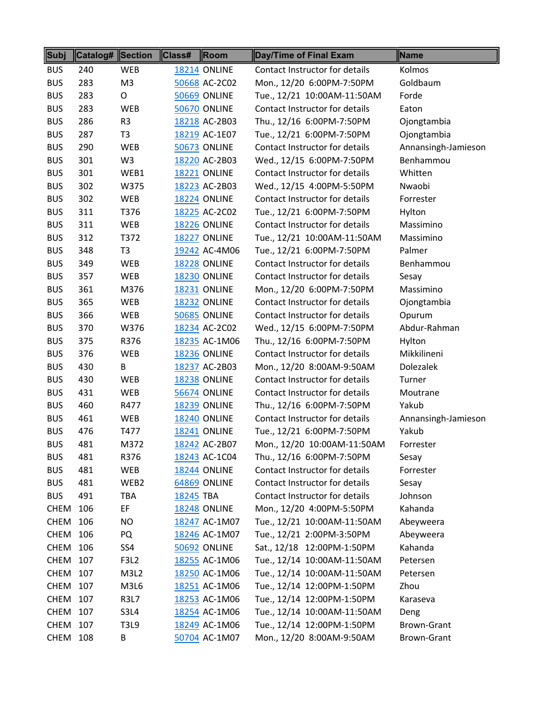| Subj        | Catalog# Section |                  | Class#    | Room                | Day/Time of Final Exam         | Name                |
|-------------|------------------|------------------|-----------|---------------------|--------------------------------|---------------------|
| <b>BUS</b>  | 240              | <b>WEB</b>       |           | <b>18214 ONLINE</b> | Contact Instructor for details | Kolmos              |
| <b>BUS</b>  | 283              | M <sub>3</sub>   |           | 50668 AC-2C02       | Mon., 12/20 6:00PM-7:50PM      | Goldbaum            |
| <b>BUS</b>  | 283              | O                |           | <b>50669 ONLINE</b> | Tue., 12/21 10:00AM-11:50AM    | Forde               |
| <b>BUS</b>  | 283              | <b>WEB</b>       |           | <b>50670 ONLINE</b> | Contact Instructor for details | Eaton               |
| <b>BUS</b>  | 286              | R <sub>3</sub>   |           | 18218 AC-2B03       | Thu., 12/16 6:00PM-7:50PM      | Ojongtambia         |
| <b>BUS</b>  | 287              | T <sub>3</sub>   |           | 18219 AC-1E07       | Tue., 12/21 6:00PM-7:50PM      | Ojongtambia         |
| <b>BUS</b>  | 290              | <b>WEB</b>       |           | <b>50673 ONLINE</b> | Contact Instructor for details | Annansingh-Jamieson |
| <b>BUS</b>  | 301              | W <sub>3</sub>   |           | 18220 AC-2B03       | Wed., 12/15 6:00PM-7:50PM      | Benhammou           |
| <b>BUS</b>  | 301              | WEB1             |           | 18221 ONLINE        | Contact Instructor for details | Whitten             |
| <b>BUS</b>  | 302              | W375             |           | 18223 AC-2B03       | Wed., 12/15 4:00PM-5:50PM      | Nwaobi              |
| <b>BUS</b>  | 302              | <b>WEB</b>       |           | <b>18224 ONLINE</b> | Contact Instructor for details | Forrester           |
| <b>BUS</b>  | 311              | T376             |           | 18225 AC-2C02       | Tue., 12/21 6:00PM-7:50PM      | Hylton              |
| <b>BUS</b>  | 311              | <b>WEB</b>       |           | <b>18226 ONLINE</b> | Contact Instructor for details | Massimino           |
| <b>BUS</b>  | 312              | T372             |           | 18227 ONLINE        | Tue., 12/21 10:00AM-11:50AM    | Massimino           |
| <b>BUS</b>  | 348              | T <sub>3</sub>   |           | 19242 AC-4M06       | Tue., 12/21 6:00PM-7:50PM      | Palmer              |
| <b>BUS</b>  | 349              | <b>WEB</b>       |           | <b>18228 ONLINE</b> | Contact Instructor for details | Benhammou           |
| <b>BUS</b>  | 357              | <b>WEB</b>       |           | <b>18230 ONLINE</b> | Contact Instructor for details | Sesay               |
| <b>BUS</b>  | 361              | M376             |           | <b>18231 ONLINE</b> | Mon., 12/20 6:00PM-7:50PM      | Massimino           |
| <b>BUS</b>  | 365              | WEB              |           | 18232 ONLINE        | Contact Instructor for details | Ojongtambia         |
| <b>BUS</b>  | 366              | <b>WEB</b>       |           | <b>50685 ONLINE</b> | Contact Instructor for details | Opurum              |
| <b>BUS</b>  | 370              | W376             |           | 18234 AC-2C02       | Wed., 12/15 6:00PM-7:50PM      | Abdur-Rahman        |
| <b>BUS</b>  | 375              | R376             |           | 18235 AC-1M06       | Thu., 12/16 6:00PM-7:50PM      | Hylton              |
| <b>BUS</b>  | 376              | <b>WEB</b>       |           | <b>18236 ONLINE</b> | Contact Instructor for details | Mikkilineni         |
| <b>BUS</b>  | 430              | B                |           | 18237 AC-2B03       | Mon., 12/20 8:00AM-9:50AM      | <b>Dolezalek</b>    |
| <b>BUS</b>  | 430              | <b>WEB</b>       |           | <b>18238 ONLINE</b> | Contact Instructor for details | Turner              |
| <b>BUS</b>  | 431              | WEB              |           | <b>56674 ONLINE</b> | Contact Instructor for details | Moutrane            |
| <b>BUS</b>  | 460              | R477             |           | <b>18239 ONLINE</b> | Thu., 12/16 6:00PM-7:50PM      | Yakub               |
| <b>BUS</b>  | 461              | <b>WEB</b>       |           | <b>18240 ONLINE</b> | Contact Instructor for details | Annansingh-Jamieson |
| <b>BUS</b>  | 476              | T477             |           | <b>18241 ONLINE</b> | Tue., 12/21 6:00PM-7:50PM      | Yakub               |
| <b>BUS</b>  | 481              | M372             |           | 18242 AC-2B07       | Mon., 12/20 10:00AM-11:50AM    | Forrester           |
| <b>BUS</b>  | 481              | R376             |           | 18243 AC-1C04       | Thu., 12/16 6:00PM-7:50PM      | Sesay               |
| <b>BUS</b>  | 481              | WEB              |           | <b>18244 ONLINE</b> | Contact Instructor for details | Forrester           |
| <b>BUS</b>  | 481              | WEB2             |           | 64869 ONLINE        | Contact Instructor for details | Sesay               |
| <b>BUS</b>  | 491              | TBA              | 18245 TBA |                     | Contact Instructor for details | Johnson             |
| <b>CHEM</b> | 106              | EF               |           | <b>18248 ONLINE</b> | Mon., 12/20 4:00PM-5:50PM      | Kahanda             |
| <b>CHEM</b> | 106              | NO.              |           | 18247 AC-1M07       | Tue., 12/21 10:00AM-11:50AM    | Abeyweera           |
| <b>CHEM</b> | 106              | PQ               |           | 18246 AC-1M07       | Tue., 12/21 2:00PM-3:50PM      | Abeyweera           |
| <b>CHEM</b> | 106              | SS4              |           | <b>50692 ONLINE</b> | Sat., 12/18 12:00PM-1:50PM     | Kahanda             |
| <b>CHEM</b> | 107              | F3L <sub>2</sub> |           | 18255 AC-1M06       | Tue., 12/14 10:00AM-11:50AM    | Petersen            |
| <b>CHEM</b> | 107              | M3L2             |           | 18250 AC-1M06       | Tue., 12/14 10:00AM-11:50AM    | Petersen            |
| <b>CHEM</b> | 107              | M3L6             |           | 18251 AC-1M06       | Tue., 12/14 12:00PM-1:50PM     | Zhou                |
| <b>CHEM</b> | 107              | <b>R3L7</b>      |           | 18253 AC-1M06       | Tue., 12/14 12:00PM-1:50PM     | Karaseva            |
| <b>CHEM</b> | 107              | S3L4             |           | 18254 AC-1M06       | Tue., 12/14 10:00AM-11:50AM    | Deng                |
| <b>CHEM</b> | 107              | T3L9             |           | 18249 AC-1M06       | Tue., 12/14 12:00PM-1:50PM     | Brown-Grant         |
| <b>CHEM</b> | 108              | В                |           | 50704 AC-1M07       | Mon., 12/20 8:00AM-9:50AM      | Brown-Grant         |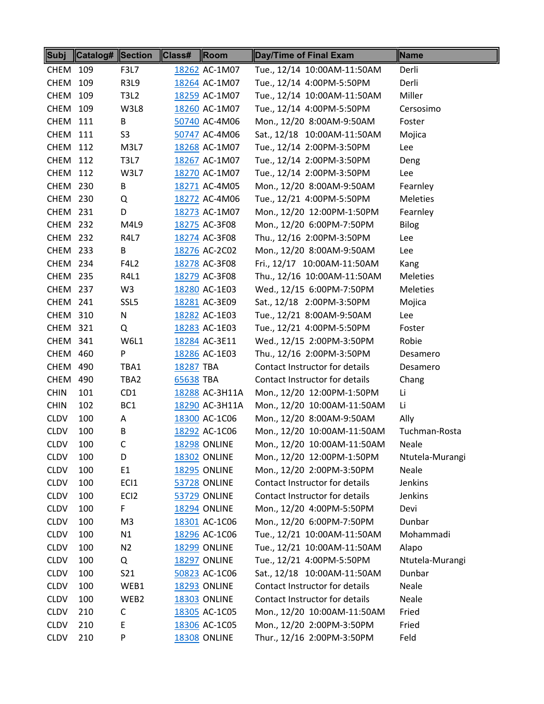| Subj            | Catalog# Section |                  | Class#    | $\parallel$ Room    | Day/Time of Final Exam         | Name            |
|-----------------|------------------|------------------|-----------|---------------------|--------------------------------|-----------------|
| CHEM            | 109              | F3L7             |           | 18262 AC-1M07       | Tue., 12/14 10:00AM-11:50AM    | Derli           |
| <b>CHEM</b>     | 109              | <b>R3L9</b>      |           | 18264 AC-1M07       | Tue., 12/14 4:00PM-5:50PM      | Derli           |
| <b>CHEM</b>     | 109              | <b>T3L2</b>      |           | 18259 AC-1M07       | Tue., 12/14 10:00AM-11:50AM    | Miller          |
| <b>CHEM</b>     | 109              | W3L8             |           | 18260 AC-1M07       | Tue., 12/14 4:00PM-5:50PM      | Cersosimo       |
| CHEM            | 111              | B                |           | 50740 AC-4M06       | Mon., 12/20 8:00AM-9:50AM      | Foster          |
| CHEM            | 111              | S <sub>3</sub>   |           | 50747 AC-4M06       | Sat., 12/18 10:00AM-11:50AM    | Mojica          |
| <b>CHEM 112</b> |                  | M3L7             |           | 18268 AC-1M07       | Tue., 12/14 2:00PM-3:50PM      | Lee             |
| <b>CHEM 112</b> |                  | <b>T3L7</b>      |           | 18267 AC-1M07       | Tue., 12/14 2:00PM-3:50PM      | Deng            |
| <b>CHEM</b>     | 112              | W3L7             |           | 18270 AC-1M07       | Tue., 12/14 2:00PM-3:50PM      | Lee             |
| <b>CHEM 230</b> |                  | В                |           | 18271 AC-4M05       | Mon., 12/20 8:00AM-9:50AM      | Fearnley        |
| <b>CHEM 230</b> |                  | Q                |           | 18272 AC-4M06       | Tue., 12/21 4:00PM-5:50PM      | <b>Meleties</b> |
| CHEM 231        |                  | D                |           | 18273 AC-1M07       | Mon., 12/20 12:00PM-1:50PM     | Fearnley        |
| <b>CHEM 232</b> |                  | M4L9             |           | 18275 AC-3F08       | Mon., 12/20 6:00PM-7:50PM      | <b>Bilog</b>    |
| <b>CHEM 232</b> |                  | R4L7             |           | 18274 AC-3F08       | Thu., 12/16 2:00PM-3:50PM      | Lee             |
| <b>CHEM 233</b> |                  | В                |           | 18276 AC-2C02       | Mon., 12/20 8:00AM-9:50AM      | Lee             |
| CHEM 234        |                  | <b>F4L2</b>      |           | 18278 AC-3F08       | Fri., 12/17 10:00AM-11:50AM    | Kang            |
| <b>CHEM 235</b> |                  | R4L1             |           | 18279 AC-3F08       | Thu., 12/16 10:00AM-11:50AM    | <b>Meleties</b> |
| CHEM 237        |                  | W3               |           | 18280 AC-1E03       | Wed., 12/15 6:00PM-7:50PM      | <b>Meleties</b> |
| <b>CHEM 241</b> |                  | SSL5             |           | 18281 AC-3E09       | Sat., 12/18 2:00PM-3:50PM      | Mojica          |
| <b>CHEM 310</b> |                  | N                |           | 18282 AC-1E03       | Tue., 12/21 8:00AM-9:50AM      | Lee             |
| <b>CHEM</b>     | 321              | Q                |           | 18283 AC-1E03       | Tue., 12/21 4:00PM-5:50PM      | Foster          |
| <b>CHEM 341</b> |                  | W6L1             |           | 18284 AC-3E11       | Wed., 12/15 2:00PM-3:50PM      | Robie           |
| CHEM 460        |                  | P                |           | 18286 AC-1E03       | Thu., 12/16 2:00PM-3:50PM      | Desamero        |
| <b>CHEM 490</b> |                  | TBA1             | 18287 TBA |                     | Contact Instructor for details | Desamero        |
| CHEM 490        |                  | TBA2             | 65638 TBA |                     | Contact Instructor for details | Chang           |
| <b>CHIN</b>     | 101              | CD <sub>1</sub>  |           | 18288 AC-3H11A      | Mon., 12/20 12:00PM-1:50PM     | Li              |
| <b>CHIN</b>     | 102              | BC <sub>1</sub>  |           | 18290 AC-3H11A      | Mon., 12/20 10:00AM-11:50AM    | Li              |
| <b>CLDV</b>     | 100              | A                |           | 18300 AC-1C06       | Mon., 12/20 8:00AM-9:50AM      | Ally            |
| <b>CLDV</b>     | 100              | B                |           | 18292 AC-1C06       | Mon., 12/20 10:00AM-11:50AM    | Tuchman-Rosta   |
| <b>CLDV</b>     | 100              | C.               |           | <b>18298 ONLINE</b> | Mon., 12/20 10:00AM-11:50AM    | Neale           |
| <b>CLDV</b>     | 100              | D                |           | <b>18302 ONLINE</b> | Mon., 12/20 12:00PM-1:50PM     | Ntutela-Murangi |
| <b>CLDV</b>     | 100              | E1               |           | <b>18295 ONLINE</b> | Mon., 12/20 2:00PM-3:50PM      | Neale           |
| <b>CLDV</b>     | 100              | ECI1             |           | <b>53728 ONLINE</b> | Contact Instructor for details | Jenkins         |
| <b>CLDV</b>     | 100              | EC <sub>12</sub> |           | <b>53729 ONLINE</b> | Contact Instructor for details | Jenkins         |
| <b>CLDV</b>     | 100              | F.               |           | <b>18294 ONLINE</b> | Mon., 12/20 4:00PM-5:50PM      | Devi            |
| <b>CLDV</b>     | 100              | M3               |           | 18301 AC-1C06       | Mon., 12/20 6:00PM-7:50PM      | Dunbar          |
| <b>CLDV</b>     | 100              | N1               |           | 18296 AC-1C06       | Tue., 12/21 10:00AM-11:50AM    | Mohammadi       |
| <b>CLDV</b>     | 100              | N <sub>2</sub>   |           | <b>18299 ONLINE</b> | Tue., 12/21 10:00AM-11:50AM    | Alapo           |
| <b>CLDV</b>     | 100              | Q                |           | <b>18297 ONLINE</b> | Tue., 12/21 4:00PM-5:50PM      | Ntutela-Murangi |
| <b>CLDV</b>     | 100              | S21              |           | 50823 AC-1C06       | Sat., 12/18 10:00AM-11:50AM    | Dunbar          |
| <b>CLDV</b>     | 100              | WEB1             |           | <b>18293 ONLINE</b> | Contact Instructor for details | Neale           |
| <b>CLDV</b>     | 100              | WEB2             |           | <b>18303 ONLINE</b> | Contact Instructor for details | Neale           |
| <b>CLDV</b>     | 210              | C                |           | 18305 AC-1C05       | Mon., 12/20 10:00AM-11:50AM    | Fried           |
| <b>CLDV</b>     | 210              | E                |           | 18306 AC-1C05       | Mon., 12/20 2:00PM-3:50PM      | Fried           |
| <b>CLDV</b>     | 210              | P                |           | <b>18308 ONLINE</b> | Thur., 12/16 2:00PM-3:50PM     | Feld            |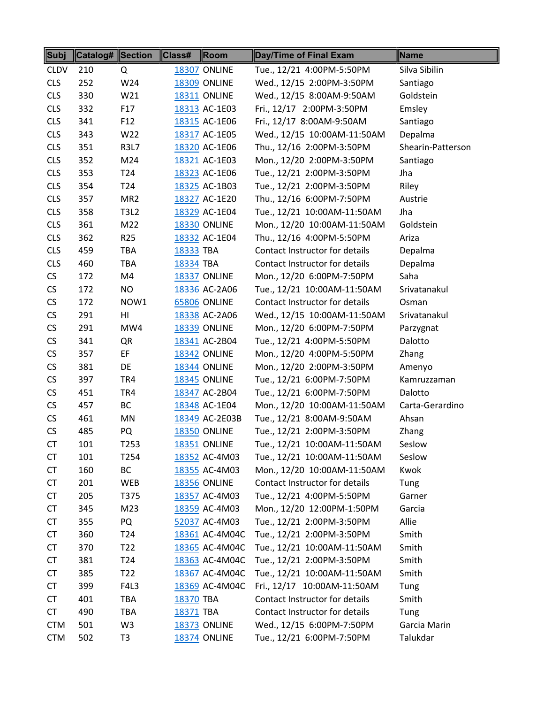| Subj        | <b>Catalog# Section</b> |                  | $\ $ Class# | Room                | Day/Time of Final Exam         | Name              |
|-------------|-------------------------|------------------|-------------|---------------------|--------------------------------|-------------------|
| <b>CLDV</b> | 210                     | Q                |             | <b>18307 ONLINE</b> | Tue., 12/21 4:00PM-5:50PM      | Silva Sibilin     |
| <b>CLS</b>  | 252                     | W24              |             | <b>18309 ONLINE</b> | Wed., 12/15 2:00PM-3:50PM      | Santiago          |
| <b>CLS</b>  | 330                     | W21              |             | <b>18311 ONLINE</b> | Wed., 12/15 8:00AM-9:50AM      | Goldstein         |
| <b>CLS</b>  | 332                     | F17              |             | 18313 AC-1E03       | Fri., 12/17 2:00PM-3:50PM      | Emsley            |
| <b>CLS</b>  | 341                     | F <sub>12</sub>  |             | 18315 AC-1E06       | Fri., 12/17 8:00AM-9:50AM      | Santiago          |
| <b>CLS</b>  | 343                     | W22              |             | 18317 AC-1E05       | Wed., 12/15 10:00AM-11:50AM    | Depalma           |
| <b>CLS</b>  | 351                     | <b>R3L7</b>      |             | 18320 AC-1E06       | Thu., 12/16 2:00PM-3:50PM      | Shearin-Patterson |
| <b>CLS</b>  | 352                     | M24              |             | 18321 AC-1E03       | Mon., 12/20 2:00PM-3:50PM      | Santiago          |
| <b>CLS</b>  | 353                     | T <sub>24</sub>  |             | 18323 AC-1E06       | Tue., 12/21 2:00PM-3:50PM      | Jha               |
| <b>CLS</b>  | 354                     | T <sub>24</sub>  |             | 18325 AC-1B03       | Tue., 12/21 2:00PM-3:50PM      | Riley             |
| <b>CLS</b>  | 357                     | MR <sub>2</sub>  |             | 18327 AC-1E20       | Thu., 12/16 6:00PM-7:50PM      | Austrie           |
| <b>CLS</b>  | 358                     | <b>T3L2</b>      |             | 18329 AC-1E04       | Tue., 12/21 10:00AM-11:50AM    | Jha               |
| <b>CLS</b>  | 361                     | M22              |             | <b>18330 ONLINE</b> | Mon., 12/20 10:00AM-11:50AM    | Goldstein         |
| <b>CLS</b>  | 362                     | R <sub>25</sub>  |             | 18332 AC-1E04       | Thu., 12/16 4:00PM-5:50PM      | Ariza             |
| <b>CLS</b>  | 459                     | TBA              | 18333 TBA   |                     | Contact Instructor for details | Depalma           |
| <b>CLS</b>  | 460                     | <b>TBA</b>       | 18334 TBA   |                     | Contact Instructor for details | Depalma           |
| CS          | 172                     | M4               |             | 18337 ONLINE        | Mon., 12/20 6:00PM-7:50PM      | Saha              |
| CS          | 172                     | NO               |             | 18336 AC-2A06       | Tue., 12/21 10:00AM-11:50AM    | Srivatanakul      |
| CS          | 172                     | NOW1             |             | <b>65806 ONLINE</b> | Contact Instructor for details | Osman             |
| CS          | 291                     | HI               |             | 18338 AC-2A06       | Wed., 12/15 10:00AM-11:50AM    | Srivatanakul      |
| CS          | 291                     | MW4              |             | <b>18339 ONLINE</b> | Mon., 12/20 6:00PM-7:50PM      | Parzygnat         |
| CS          | 341                     | QR               |             | 18341 AC-2B04       | Tue., 12/21 4:00PM-5:50PM      | Dalotto           |
| CS          | 357                     | EF               |             | <b>18342 ONLINE</b> | Mon., 12/20 4:00PM-5:50PM      | Zhang             |
| CS          | 381                     | DE               |             | <b>18344 ONLINE</b> | Mon., 12/20 2:00PM-3:50PM      | Amenyo            |
| CS          | 397                     | TR4              |             | <b>18345 ONLINE</b> | Tue., 12/21 6:00PM-7:50PM      | Kamruzzaman       |
| CS          | 451                     | TR4              |             | 18347 AC-2B04       | Tue., 12/21 6:00PM-7:50PM      | Dalotto           |
| CS          | 457                     | <b>BC</b>        |             | 18348 AC-1E04       | Mon., 12/20 10:00AM-11:50AM    | Carta-Gerardino   |
| CS          | 461                     | MN               |             | 18349 AC-2E03B      | Tue., 12/21 8:00AM-9:50AM      | Ahsan             |
| CS          | 485                     | PQ               |             | <b>18350 ONLINE</b> | Tue., 12/21 2:00PM-3:50PM      | Zhang             |
| <b>CT</b>   | 101                     | T253             |             | <b>18351 ONLINE</b> | Tue., 12/21 10:00AM-11:50AM    | Seslow            |
| <b>CT</b>   | 101                     | T <sub>254</sub> |             | 18352 AC-4M03       | Tue., 12/21 10:00AM-11:50AM    | Seslow            |
| <b>CT</b>   | 160                     | ВC               |             | 18355 AC-4M03       | Mon., 12/20 10:00AM-11:50AM    | Kwok              |
| <b>CT</b>   | 201                     | WEB              |             | <b>18356 ONLINE</b> | Contact Instructor for details | Tung              |
| <b>CT</b>   | 205                     | T375             |             | 18357 AC-4M03       | Tue., 12/21 4:00PM-5:50PM      | Garner            |
| <b>CT</b>   | 345                     | M23              |             | 18359 AC-4M03       | Mon., 12/20 12:00PM-1:50PM     | Garcia            |
| <b>CT</b>   | 355                     | PQ               |             | 52037 AC-4M03       | Tue., 12/21 2:00PM-3:50PM      | Allie             |
| <b>CT</b>   | 360                     | T <sub>24</sub>  |             | 18361 AC-4M04C      | Tue., 12/21 2:00PM-3:50PM      | Smith             |
| <b>CT</b>   | 370                     | T <sub>22</sub>  |             | 18365 AC-4M04C      | Tue., 12/21 10:00AM-11:50AM    | Smith             |
| <b>CT</b>   | 381                     | T <sub>24</sub>  |             | 18363 AC-4M04C      | Tue., 12/21 2:00PM-3:50PM      | Smith             |
| <b>CT</b>   | 385                     | T <sub>22</sub>  |             | 18367 AC-4M04C      | Tue., 12/21 10:00AM-11:50AM    | Smith             |
| <b>CT</b>   | 399                     | F4L3             |             | 18369 AC-4M04C      | Fri., 12/17 10:00AM-11:50AM    | Tung              |
| <b>CT</b>   | 401                     | <b>TBA</b>       | 18370 TBA   |                     | Contact Instructor for details | Smith             |
| <b>CT</b>   | 490                     | <b>TBA</b>       | 18371 TBA   |                     | Contact Instructor for details | Tung              |
| <b>CTM</b>  | 501                     | W <sub>3</sub>   |             | 18373 ONLINE        | Wed., 12/15 6:00PM-7:50PM      | Garcia Marin      |
| <b>CTM</b>  | 502                     | T <sub>3</sub>   |             | <b>18374 ONLINE</b> | Tue., 12/21 6:00PM-7:50PM      | Talukdar          |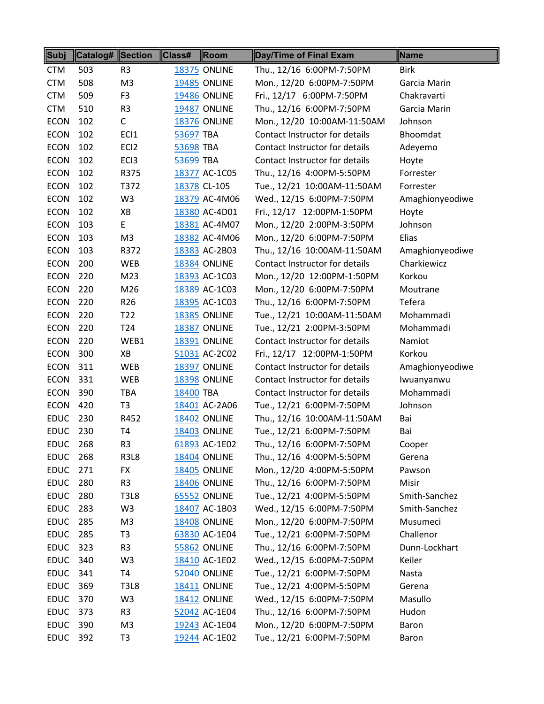| Subj            | Catalog# Section |                  | Class#    | $\ $ Room           | Day/Time of Final Exam         | Name            |
|-----------------|------------------|------------------|-----------|---------------------|--------------------------------|-----------------|
| <b>CTM</b>      | 503              | R <sub>3</sub>   |           | <b>18375 ONLINE</b> | Thu., 12/16 6:00PM-7:50PM      | <b>Birk</b>     |
| <b>CTM</b>      | 508              | M <sub>3</sub>   |           | <b>19485 ONLINE</b> | Mon., 12/20 6:00PM-7:50PM      | Garcia Marin    |
| <b>CTM</b>      | 509              | F <sub>3</sub>   |           | <b>19486 ONLINE</b> | Fri., 12/17 6:00PM-7:50PM      | Chakravarti     |
| <b>CTM</b>      | 510              | R <sub>3</sub>   |           | <b>19487 ONLINE</b> | Thu., 12/16 6:00PM-7:50PM      | Garcia Marin    |
| <b>ECON</b>     | 102              | $\mathsf{C}$     |           | <b>18376 ONLINE</b> | Mon., 12/20 10:00AM-11:50AM    | Johnson         |
| <b>ECON</b>     | 102              | ECI1             | 53697 TBA |                     | Contact Instructor for details | Bhoomdat        |
| <b>ECON</b>     | 102              | EC <sub>12</sub> | 53698 TBA |                     | Contact Instructor for details | Adeyemo         |
| <b>ECON</b>     | 102              | EC <sub>13</sub> | 53699 TBA |                     | Contact Instructor for details | Hoyte           |
| <b>ECON</b>     | 102              | R375             |           | 18377 AC-1C05       | Thu., 12/16 4:00PM-5:50PM      | Forrester       |
| <b>ECON</b>     | 102              | T372             |           | 18378 CL-105        | Tue., 12/21 10:00AM-11:50AM    | Forrester       |
| <b>ECON</b>     | 102              | W <sub>3</sub>   |           | 18379 AC-4M06       | Wed., 12/15 6:00PM-7:50PM      | Amaghionyeodiwe |
| <b>ECON</b>     | 102              | XB               |           | 18380 AC-4D01       | Fri., 12/17 12:00PM-1:50PM     | Hoyte           |
| <b>ECON</b>     | 103              | E.               |           | 18381 AC-4M07       | Mon., 12/20 2:00PM-3:50PM      | Johnson         |
| <b>ECON</b>     | 103              | M <sub>3</sub>   |           | 18382 AC-4M06       | Mon., 12/20 6:00PM-7:50PM      | Elias           |
| <b>ECON</b>     | 103              | R372             |           | 18383 AC-2B03       | Thu., 12/16 10:00AM-11:50AM    | Amaghionyeodiwe |
| <b>ECON</b>     | 200              | <b>WEB</b>       |           | <b>18384 ONLINE</b> | Contact Instructor for details | Charkiewicz     |
| <b>ECON</b>     | 220              | M23              |           | 18393 AC-1C03       | Mon., 12/20 12:00PM-1:50PM     | Korkou          |
| <b>ECON</b>     | 220              | M26              |           | 18389 AC-1C03       | Mon., 12/20 6:00PM-7:50PM      | Moutrane        |
| <b>ECON</b>     | 220              | R <sub>26</sub>  |           | 18395 AC-1C03       | Thu., 12/16 6:00PM-7:50PM      | Tefera          |
| <b>ECON</b>     | 220              | T <sub>22</sub>  |           | <b>18385 ONLINE</b> | Tue., 12/21 10:00AM-11:50AM    | Mohammadi       |
| <b>ECON</b>     | 220              | T24              |           | 18387 ONLINE        | Tue., 12/21 2:00PM-3:50PM      | Mohammadi       |
| <b>ECON</b>     | 220              | WEB1             |           | <b>18391 ONLINE</b> | Contact Instructor for details | Namiot          |
| <b>ECON</b>     | 300              | XB               |           | 51031 AC-2C02       | Fri., 12/17 12:00PM-1:50PM     | Korkou          |
| <b>ECON</b>     | 311              | <b>WEB</b>       |           | <b>18397 ONLINE</b> | Contact Instructor for details | Amaghionyeodiwe |
| <b>ECON</b>     | 331              | <b>WEB</b>       |           | <b>18398 ONLINE</b> | Contact Instructor for details | Iwuanyanwu      |
| <b>ECON</b>     | 390              | <b>TBA</b>       | 18400 TBA |                     | Contact Instructor for details | Mohammadi       |
| <b>ECON</b>     | 420              | T <sub>3</sub>   |           | 18401 AC-2A06       | Tue., 12/21 6:00PM-7:50PM      | Johnson         |
| <b>EDUC</b>     | 230              | R452             |           | <b>18402 ONLINE</b> | Thu., 12/16 10:00AM-11:50AM    | Bai             |
| <b>EDUC</b>     | 230              | T4               |           | <b>18403 ONLINE</b> | Tue., 12/21 6:00PM-7:50PM      | Bai             |
| <b>EDUC 268</b> |                  | R <sub>3</sub>   |           | 61893 AC-1E02       | Thu., 12/16 6:00PM-7:50PM      | Cooper          |
| <b>EDUC 268</b> |                  | R3L8             |           | <b>18404 ONLINE</b> | Thu., 12/16 4:00PM-5:50PM      | Gerena          |
| <b>EDUC</b>     | 271              | <b>FX</b>        |           | <b>18405 ONLINE</b> | Mon., 12/20 4:00PM-5:50PM      | Pawson          |
| <b>EDUC</b>     | 280              | R <sub>3</sub>   |           | <b>18406 ONLINE</b> | Thu., 12/16 6:00PM-7:50PM      | Misir           |
| <b>EDUC</b>     | 280              | T3L8             |           | <b>65552 ONLINE</b> | Tue., 12/21 4:00PM-5:50PM      | Smith-Sanchez   |
| <b>EDUC</b>     | 283              | W3               |           | 18407 AC-1B03       | Wed., 12/15 6:00PM-7:50PM      | Smith-Sanchez   |
| <b>EDUC</b>     | 285              | M3               |           | <b>18408 ONLINE</b> | Mon., 12/20 6:00PM-7:50PM      | Musumeci        |
| <b>EDUC</b>     | 285              | T <sub>3</sub>   |           | 63830 AC-1E04       | Tue., 12/21 6:00PM-7:50PM      | Challenor       |
| <b>EDUC</b>     | 323              | R <sub>3</sub>   |           | 55862 ONLINE        | Thu., 12/16 6:00PM-7:50PM      | Dunn-Lockhart   |
| <b>EDUC</b>     | 340              | W <sub>3</sub>   |           | 18410 AC-1E02       | Wed., 12/15 6:00PM-7:50PM      | Keiler          |
| <b>EDUC</b>     | 341              | T4               |           | <b>52040 ONLINE</b> | Tue., 12/21 6:00PM-7:50PM      | Nasta           |
| <b>EDUC</b>     | 369              | <b>T3L8</b>      |           | <b>18411 ONLINE</b> | Tue., 12/21 4:00PM-5:50PM      | Gerena          |
| <b>EDUC</b>     | 370              | W <sub>3</sub>   |           | <b>18412 ONLINE</b> | Wed., 12/15 6:00PM-7:50PM      | Masullo         |
| <b>EDUC</b>     | 373              | R <sub>3</sub>   |           | 52042 AC-1E04       | Thu., 12/16 6:00PM-7:50PM      | Hudon           |
| <b>EDUC</b>     | 390              | M <sub>3</sub>   |           | 19243 AC-1E04       | Mon., 12/20 6:00PM-7:50PM      | Baron           |
| <b>EDUC</b>     | 392              | T <sub>3</sub>   |           | 19244 AC-1E02       | Tue., 12/21 6:00PM-7:50PM      | Baron           |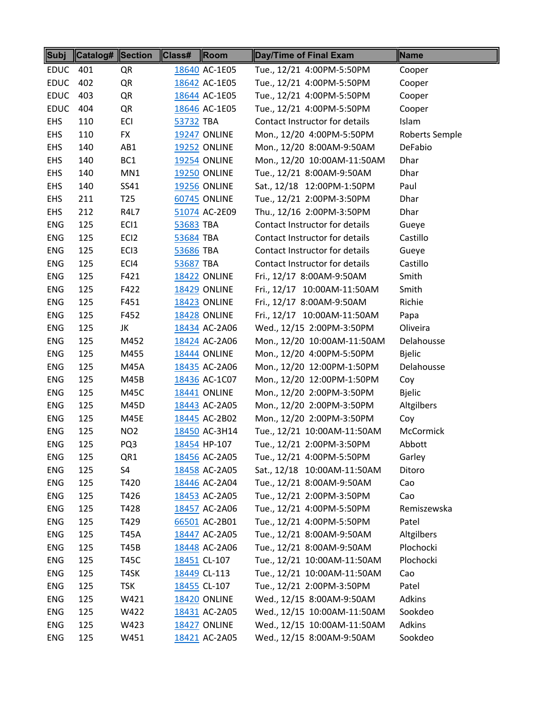| <b>Subj</b> | <b>Catalog# Section</b> |                  | Class#    | Room                | Day/Time of Final Exam         | Name           |
|-------------|-------------------------|------------------|-----------|---------------------|--------------------------------|----------------|
| <b>EDUC</b> | 401                     | QR               |           | 18640 AC-1E05       | Tue., 12/21 4:00PM-5:50PM      | Cooper         |
| <b>EDUC</b> | 402                     | QR               |           | 18642 AC-1E05       | Tue., 12/21 4:00PM-5:50PM      | Cooper         |
| <b>EDUC</b> | 403                     | QR               |           | 18644 AC-1E05       | Tue., 12/21 4:00PM-5:50PM      | Cooper         |
| <b>EDUC</b> | 404                     | QR               |           | 18646 AC-1E05       | Tue., 12/21 4:00PM-5:50PM      | Cooper         |
| <b>EHS</b>  | 110                     | ECI              | 53732 TBA |                     | Contact Instructor for details | Islam          |
| <b>EHS</b>  | 110                     | <b>FX</b>        |           | <b>19247 ONLINE</b> | Mon., 12/20 4:00PM-5:50PM      | Roberts Semple |
| <b>EHS</b>  | 140                     | AB1              |           | <b>19252 ONLINE</b> | Mon., 12/20 8:00AM-9:50AM      | DeFabio        |
| <b>EHS</b>  | 140                     | BC <sub>1</sub>  |           | <b>19254 ONLINE</b> | Mon., 12/20 10:00AM-11:50AM    | Dhar           |
| <b>EHS</b>  | 140                     | MN1              |           | <b>19250 ONLINE</b> | Tue., 12/21 8:00AM-9:50AM      | Dhar           |
| <b>EHS</b>  | 140                     | SS41             |           | <b>19256 ONLINE</b> | Sat., 12/18 12:00PM-1:50PM     | Paul           |
| <b>EHS</b>  | 211                     | T <sub>25</sub>  |           | 60745 ONLINE        | Tue., 12/21 2:00PM-3:50PM      | Dhar           |
| <b>EHS</b>  | 212                     | R4L7             |           | 51074 AC-2E09       | Thu., 12/16 2:00PM-3:50PM      | Dhar           |
| <b>ENG</b>  | 125                     | EC <sub>1</sub>  | 53683 TBA |                     | Contact Instructor for details | Gueye          |
| <b>ENG</b>  | 125                     | EC <sub>12</sub> | 53684 TBA |                     | Contact Instructor for details | Castillo       |
| <b>ENG</b>  | 125                     | EC <sub>13</sub> | 53686 TBA |                     | Contact Instructor for details | Gueye          |
| <b>ENG</b>  | 125                     | ECI4             | 53687 TBA |                     | Contact Instructor for details | Castillo       |
| <b>ENG</b>  | 125                     | F421             |           | <b>18422 ONLINE</b> | Fri., 12/17 8:00AM-9:50AM      | Smith          |
| <b>ENG</b>  | 125                     | F422             |           | <b>18429 ONLINE</b> | Fri., 12/17 10:00AM-11:50AM    | Smith          |
| <b>ENG</b>  | 125                     | F451             |           | 18423 ONLINE        | Fri., 12/17 8:00AM-9:50AM      | Richie         |
| <b>ENG</b>  | 125                     | F452             |           | <b>18428 ONLINE</b> | Fri., 12/17 10:00AM-11:50AM    | Papa           |
| <b>ENG</b>  | 125                     | JK               |           | 18434 AC-2A06       | Wed., 12/15 2:00PM-3:50PM      | Oliveira       |
| <b>ENG</b>  | 125                     | M452             |           | 18424 AC-2A06       | Mon., 12/20 10:00AM-11:50AM    | Delahousse     |
| <b>ENG</b>  | 125                     | M455             |           | <b>18444 ONLINE</b> | Mon., 12/20 4:00PM-5:50PM      | <b>Bjelic</b>  |
| <b>ENG</b>  | 125                     | M45A             |           | 18435 AC-2A06       | Mon., 12/20 12:00PM-1:50PM     | Delahousse     |
| <b>ENG</b>  | 125                     | M45B             |           | 18436 AC-1C07       | Mon., 12/20 12:00PM-1:50PM     | Coy            |
| <b>ENG</b>  | 125                     | M45C             |           | <b>18441 ONLINE</b> | Mon., 12/20 2:00PM-3:50PM      | <b>Bjelic</b>  |
| <b>ENG</b>  | 125                     | M45D             |           | 18443 AC-2A05       | Mon., 12/20 2:00PM-3:50PM      | Altgilbers     |
| <b>ENG</b>  | 125                     | <b>M45E</b>      |           | 18445 AC-2B02       | Mon., 12/20 2:00PM-3:50PM      | Coy            |
| <b>ENG</b>  | 125                     | NO <sub>2</sub>  |           | 18450 AC-3H14       | Tue., 12/21 10:00AM-11:50AM    | McCormick      |
| ENG         | 125                     | PQ3              |           | 18454 HP-107        | Tue., 12/21 2:00PM-3:50PM      | Abbott         |
| ENG         | 125                     | QR1              |           | 18456 AC-2A05       | Tue., 12/21 4:00PM-5:50PM      | Garley         |
| <b>ENG</b>  | 125                     | S4               |           | 18458 AC-2A05       | Sat., 12/18 10:00AM-11:50AM    | Ditoro         |
| <b>ENG</b>  | 125                     | T420             |           | 18446 AC-2A04       | Tue., 12/21 8:00AM-9:50AM      | Cao            |
| <b>ENG</b>  | 125                     | T426             |           | 18453 AC-2A05       | Tue., 12/21 2:00PM-3:50PM      | Cao            |
| <b>ENG</b>  | 125                     | T428             |           | 18457 AC-2A06       | Tue., 12/21 4:00PM-5:50PM      | Remiszewska    |
| <b>ENG</b>  | 125                     | T429             |           | 66501 AC-2B01       | Tue., 12/21 4:00PM-5:50PM      | Patel          |
| <b>ENG</b>  | 125                     | <b>T45A</b>      |           | 18447 AC-2A05       | Tue., 12/21 8:00AM-9:50AM      | Altgilbers     |
| <b>ENG</b>  | 125                     | T45B             |           | 18448 AC-2A06       | Tue., 12/21 8:00AM-9:50AM      | Plochocki      |
| ENG         | 125                     | T45C             |           | 18451 CL-107        | Tue., 12/21 10:00AM-11:50AM    | Plochocki      |
| <b>ENG</b>  | 125                     | T4SK             |           | 18449 CL-113        | Tue., 12/21 10:00AM-11:50AM    | Cao            |
| ENG         | 125                     | <b>TSK</b>       |           | 18455 CL-107        | Tue., 12/21 2:00PM-3:50PM      | Patel          |
| <b>ENG</b>  | 125                     | W421             |           | <b>18420 ONLINE</b> | Wed., 12/15 8:00AM-9:50AM      | Adkins         |
| <b>ENG</b>  | 125                     | W422             |           | 18431 AC-2A05       | Wed., 12/15 10:00AM-11:50AM    | Sookdeo        |
| <b>ENG</b>  | 125                     | W423             |           | <b>18427 ONLINE</b> | Wed., 12/15 10:00AM-11:50AM    | Adkins         |
| <b>ENG</b>  | 125                     | W451             |           | 18421 AC-2A05       | Wed., 12/15 8:00AM-9:50AM      | Sookdeo        |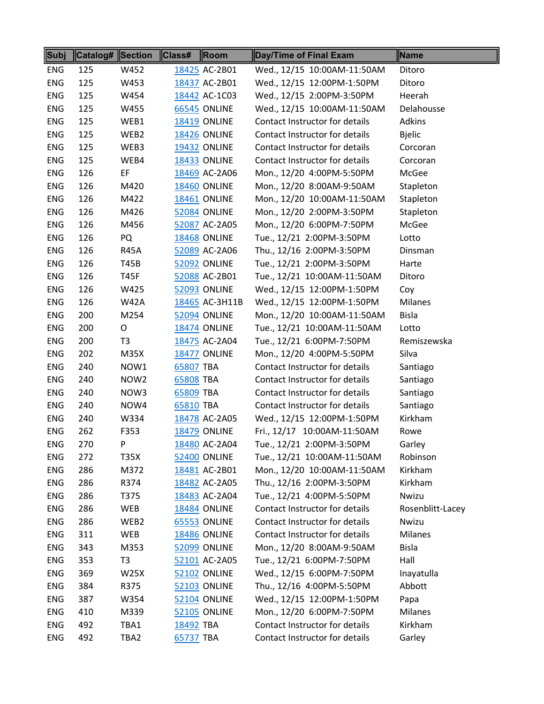| Subj       | Catalog# Section |                  | Class#    | Room                | Day/Time of Final Exam         | Name             |
|------------|------------------|------------------|-----------|---------------------|--------------------------------|------------------|
| <b>ENG</b> | 125              | W452             |           | 18425 AC-2B01       | Wed., 12/15 10:00AM-11:50AM    | Ditoro           |
| <b>ENG</b> | 125              | W453             |           | 18437 AC-2B01       | Wed., 12/15 12:00PM-1:50PM     | Ditoro           |
| ENG        | 125              | W454             |           | 18442 AC-1C03       | Wed., 12/15 2:00PM-3:50PM      | Heerah           |
| <b>ENG</b> | 125              | W455             |           | <b>66545 ONLINE</b> | Wed., 12/15 10:00AM-11:50AM    | Delahousse       |
| <b>ENG</b> | 125              | WEB1             |           | <b>18419 ONLINE</b> | Contact Instructor for details | Adkins           |
| <b>ENG</b> | 125              | WEB2             |           | <b>18426 ONLINE</b> | Contact Instructor for details | <b>Bjelic</b>    |
| <b>ENG</b> | 125              | WEB3             |           | <b>19432 ONLINE</b> | Contact Instructor for details | Corcoran         |
| <b>ENG</b> | 125              | WEB4             |           | <b>18433 ONLINE</b> | Contact Instructor for details | Corcoran         |
| <b>ENG</b> | 126              | EF               |           | 18469 AC-2A06       | Mon., 12/20 4:00PM-5:50PM      | McGee            |
| <b>ENG</b> | 126              | M420             |           | <b>18460 ONLINE</b> | Mon., 12/20 8:00AM-9:50AM      | Stapleton        |
| <b>ENG</b> | 126              | M422             |           | <b>18461 ONLINE</b> | Mon., 12/20 10:00AM-11:50AM    | Stapleton        |
| <b>ENG</b> | 126              | M426             |           | 52084 ONLINE        | Mon., 12/20 2:00PM-3:50PM      | Stapleton        |
| <b>ENG</b> | 126              | M456             |           | 52087 AC-2A05       | Mon., 12/20 6:00PM-7:50PM      | McGee            |
| <b>ENG</b> | 126              | PQ               |           | <b>18468 ONLINE</b> | Tue., 12/21 2:00PM-3:50PM      | Lotto            |
| <b>ENG</b> | 126              | <b>R45A</b>      |           | 52089 AC-2A06       | Thu., 12/16 2:00PM-3:50PM      | Dinsman          |
| <b>ENG</b> | 126              | T45B             |           | <b>52092 ONLINE</b> | Tue., 12/21 2:00PM-3:50PM      | Harte            |
| <b>ENG</b> | 126              | <b>T45F</b>      |           | 52088 AC-2B01       | Tue., 12/21 10:00AM-11:50AM    | Ditoro           |
| <b>ENG</b> | 126              | W425             |           | <b>52093 ONLINE</b> | Wed., 12/15 12:00PM-1:50PM     | Coy              |
| <b>ENG</b> | 126              | <b>W42A</b>      |           | 18465 AC-3H11B      | Wed., 12/15 12:00PM-1:50PM     | <b>Milanes</b>   |
| <b>ENG</b> | 200              | M254             |           | <b>52094 ONLINE</b> | Mon., 12/20 10:00AM-11:50AM    | <b>Bisla</b>     |
| <b>ENG</b> | 200              | O                |           | <b>18474 ONLINE</b> | Tue., 12/21 10:00AM-11:50AM    | Lotto            |
| <b>ENG</b> | 200              | T <sub>3</sub>   |           | 18475 AC-2A04       | Tue., 12/21 6:00PM-7:50PM      | Remiszewska      |
| <b>ENG</b> | 202              | M35X             |           | <b>18477 ONLINE</b> | Mon., 12/20 4:00PM-5:50PM      | Silva            |
| <b>ENG</b> | 240              | NOW1             | 65807 TBA |                     | Contact Instructor for details | Santiago         |
| <b>ENG</b> | 240              | NOW <sub>2</sub> | 65808 TBA |                     | Contact Instructor for details | Santiago         |
| <b>ENG</b> | 240              | NOW3             | 65809 TBA |                     | Contact Instructor for details | Santiago         |
| <b>ENG</b> | 240              | NOW4             | 65810 TBA |                     | Contact Instructor for details | Santiago         |
| <b>ENG</b> | 240              | W334             |           | 18478 AC-2A05       | Wed., 12/15 12:00PM-1:50PM     | Kirkham          |
| <b>ENG</b> | 262              | F353             |           | <b>18479 ONLINE</b> | Fri., 12/17 10:00AM-11:50AM    | Rowe             |
| <b>ENG</b> | 270              | P                |           | 18480 AC-2A04       | Tue., 12/21 2:00PM-3:50PM      | Garley           |
| <b>ENG</b> | 272              | T35X             |           | <b>52400 ONLINE</b> | Tue., 12/21 10:00AM-11:50AM    | Robinson         |
| <b>ENG</b> | 286              | M372             |           | 18481 AC-2B01       | Mon., 12/20 10:00AM-11:50AM    | Kirkham          |
| <b>ENG</b> | 286              | R374             |           | 18482 AC-2A05       | Thu., 12/16 2:00PM-3:50PM      | Kirkham          |
| <b>ENG</b> | 286              | T375             |           | 18483 AC-2A04       | Tue., 12/21 4:00PM-5:50PM      | Nwizu            |
| <b>ENG</b> | 286              | WEB              |           | <b>18484 ONLINE</b> | Contact Instructor for details | Rosenblitt-Lacey |
| <b>ENG</b> | 286              | WEB2             |           | <b>65553 ONLINE</b> | Contact Instructor for details | Nwizu            |
| <b>ENG</b> | 311              | WEB              |           | <b>18486 ONLINE</b> | Contact Instructor for details | <b>Milanes</b>   |
| <b>ENG</b> | 343              | M353             |           | <b>52099 ONLINE</b> | Mon., 12/20 8:00AM-9:50AM      | <b>Bisla</b>     |
| <b>ENG</b> | 353              | T3               |           | 52101 AC-2A05       | Tue., 12/21 6:00PM-7:50PM      | Hall             |
| <b>ENG</b> | 369              | <b>W25X</b>      |           | <b>52102 ONLINE</b> | Wed., 12/15 6:00PM-7:50PM      | Inayatulla       |
| <b>ENG</b> | 384              | R375             |           | <b>52103 ONLINE</b> | Thu., 12/16 4:00PM-5:50PM      | Abbott           |
| <b>ENG</b> | 387              | W354             |           | <b>52104 ONLINE</b> | Wed., 12/15 12:00PM-1:50PM     | Papa             |
| <b>ENG</b> | 410              | M339             |           | <b>52105 ONLINE</b> | Mon., 12/20 6:00PM-7:50PM      | <b>Milanes</b>   |
| <b>ENG</b> | 492              | TBA1             | 18492 TBA |                     | Contact Instructor for details | Kirkham          |
| <b>ENG</b> | 492              | TBA2             | 65737 TBA |                     | Contact Instructor for details | Garley           |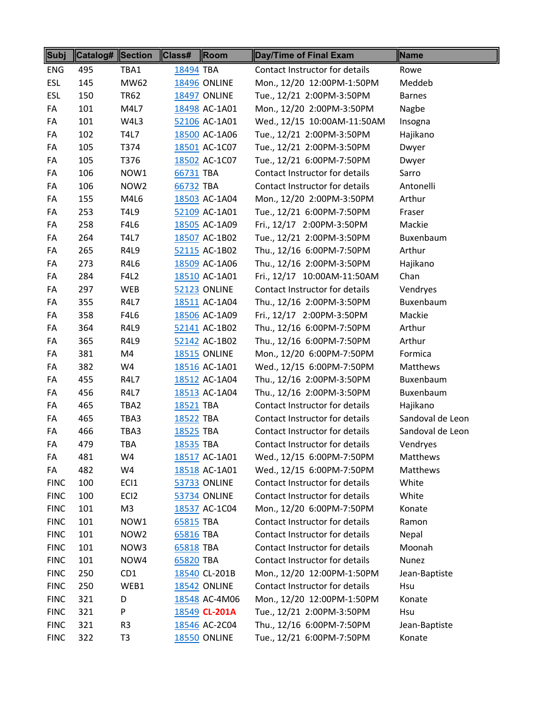| Subj        | <b>Catalog# Section</b> |                  | Class#<br>Room      | Day/Time of Final Exam         | Name             |
|-------------|-------------------------|------------------|---------------------|--------------------------------|------------------|
| <b>ENG</b>  | 495                     | TBA1             | 18494 TBA           | Contact Instructor for details | Rowe             |
| <b>ESL</b>  | 145                     | MW62             | <b>18496 ONLINE</b> | Mon., 12/20 12:00PM-1:50PM     | Meddeb           |
| <b>ESL</b>  | 150                     | <b>TR62</b>      | <b>18497 ONLINE</b> | Tue., 12/21 2:00PM-3:50PM      | <b>Barnes</b>    |
| FA          | 101                     | M4L7             | 18498 AC-1A01       | Mon., 12/20 2:00PM-3:50PM      | Nagbe            |
| FA          | 101                     | W4L3             | 52106 AC-1A01       | Wed., 12/15 10:00AM-11:50AM    | Insogna          |
| FA          | 102                     | <b>T4L7</b>      | 18500 AC-1A06       | Tue., 12/21 2:00PM-3:50PM      | Hajikano         |
| FA          | 105                     | T374             | 18501 AC-1C07       | Tue., 12/21 2:00PM-3:50PM      | Dwyer            |
| FA          | 105                     | T376             | 18502 AC-1C07       | Tue., 12/21 6:00PM-7:50PM      | Dwyer            |
| FA          | 106                     | NOW1             | 66731 TBA           | Contact Instructor for details | Sarro            |
| FA          | 106                     | NOW <sub>2</sub> | 66732 TBA           | Contact Instructor for details | Antonelli        |
| FA          | 155                     | M4L6             | 18503 AC-1A04       | Mon., 12/20 2:00PM-3:50PM      | Arthur           |
| FA          | 253                     | T4L9             | 52109 AC-1A01       | Tue., 12/21 6:00PM-7:50PM      | Fraser           |
| FA          | 258                     | F4L6             | 18505 AC-1A09       | Fri., 12/17 2:00PM-3:50PM      | Mackie           |
| FA          | 264                     | <b>T4L7</b>      | 18507 AC-1B02       | Tue., 12/21 2:00PM-3:50PM      | Buxenbaum        |
| FA          | 265                     | R4L9             | 52115 AC-1B02       | Thu., 12/16 6:00PM-7:50PM      | Arthur           |
| FA          | 273                     | R4L6             | 18509 AC-1A06       | Thu., 12/16 2:00PM-3:50PM      | Hajikano         |
| FA          | 284                     | <b>F4L2</b>      | 18510 AC-1A01       | Fri., 12/17 10:00AM-11:50AM    | Chan             |
| FA          | 297                     | WEB              | <b>52123 ONLINE</b> | Contact Instructor for details | Vendryes         |
| FA          | 355                     | R4L7             | 18511 AC-1A04       | Thu., 12/16 2:00PM-3:50PM      | Buxenbaum        |
| FA          | 358                     | F4L6             | 18506 AC-1A09       | Fri., 12/17 2:00PM-3:50PM      | Mackie           |
| FA          | 364                     | R4L9             | 52141 AC-1B02       | Thu., 12/16 6:00PM-7:50PM      | Arthur           |
| FA          | 365                     | R4L9             | 52142 AC-1B02       | Thu., 12/16 6:00PM-7:50PM      | Arthur           |
| FA          | 381                     | M4               | <b>18515 ONLINE</b> | Mon., 12/20 6:00PM-7:50PM      | Formica          |
| FA          | 382                     | W4               | 18516 AC-1A01       | Wed., 12/15 6:00PM-7:50PM      | Matthews         |
| FA          | 455                     | R4L7             | 18512 AC-1A04       | Thu., 12/16 2:00PM-3:50PM      | Buxenbaum        |
| FA          | 456                     | R4L7             | 18513 AC-1A04       | Thu., 12/16 2:00PM-3:50PM      | Buxenbaum        |
| FA          | 465                     | TBA2             | 18521 TBA           | Contact Instructor for details | Hajikano         |
| FA          | 465                     | TBA3             | 18522 TBA           | Contact Instructor for details | Sandoval de Leon |
| FA          | 466                     | TBA3             | 18525 TBA           | Contact Instructor for details | Sandoval de Leon |
| FA          | 479                     | TBA              | 18535 TBA           | Contact Instructor for details | Vendryes         |
| FA          | 481                     | W4               | 18517 AC-1A01       | Wed., 12/15 6:00PM-7:50PM      | Matthews         |
| FA          | 482                     | W4               | 18518 AC-1A01       | Wed., 12/15 6:00PM-7:50PM      | Matthews         |
| <b>FINC</b> | 100                     | ECI1             | <b>53733 ONLINE</b> | Contact Instructor for details | White            |
| <b>FINC</b> | 100                     | EC <sub>12</sub> | 53734 ONLINE        | Contact Instructor for details | White            |
| <b>FINC</b> | 101                     | M <sub>3</sub>   | 18537 AC-1C04       | Mon., 12/20 6:00PM-7:50PM      | Konate           |
| <b>FINC</b> | 101                     | NOW1             | 65815 TBA           | Contact Instructor for details | Ramon            |
| <b>FINC</b> | 101                     | NOW <sub>2</sub> | 65816 TBA           | Contact Instructor for details | Nepal            |
| <b>FINC</b> | 101                     | NOW3             | 65818 TBA           | Contact Instructor for details | Moonah           |
| <b>FINC</b> | 101                     | NOW4             | 65820 TBA           | Contact Instructor for details | Nunez            |
| <b>FINC</b> | 250                     | CD1              | 18540 CL-201B       | Mon., 12/20 12:00PM-1:50PM     | Jean-Baptiste    |
| <b>FINC</b> | 250                     | WEB1             | <b>18542 ONLINE</b> | Contact Instructor for details | Hsu              |
| <b>FINC</b> | 321                     | D                | 18548 AC-4M06       | Mon., 12/20 12:00PM-1:50PM     | Konate           |
| <b>FINC</b> | 321                     | P                | 18549 CL-201A       | Tue., 12/21 2:00PM-3:50PM      | Hsu              |
| <b>FINC</b> | 321                     | R <sub>3</sub>   | 18546 AC-2C04       | Thu., 12/16 6:00PM-7:50PM      | Jean-Baptiste    |
| <b>FINC</b> | 322                     | T <sub>3</sub>   | <b>18550 ONLINE</b> | Tue., 12/21 6:00PM-7:50PM      | Konate           |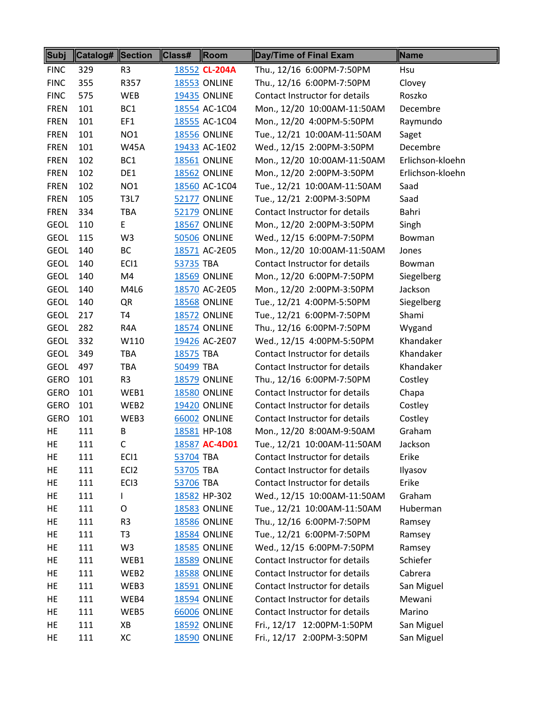| Subj        | Catalog# Section |                  | Class#    | Room                | Day/Time of Final Exam         | Name             |
|-------------|------------------|------------------|-----------|---------------------|--------------------------------|------------------|
| <b>FINC</b> | 329              | R <sub>3</sub>   |           | 18552 CL-204A       | Thu., 12/16 6:00PM-7:50PM      | <b>Hsu</b>       |
| <b>FINC</b> | 355              | R357             |           | <b>18553 ONLINE</b> | Thu., 12/16 6:00PM-7:50PM      | Clovey           |
| <b>FINC</b> | 575              | WEB              |           | <b>19435 ONLINE</b> | Contact Instructor for details | Roszko           |
| <b>FREN</b> | 101              | BC1              |           | 18554 AC-1C04       | Mon., 12/20 10:00AM-11:50AM    | Decembre         |
| <b>FREN</b> | 101              | EF1              |           | 18555 AC-1C04       | Mon., 12/20 4:00PM-5:50PM      | Raymundo         |
| <b>FREN</b> | 101              | NO <sub>1</sub>  |           | <b>18556 ONLINE</b> | Tue., 12/21 10:00AM-11:50AM    | Saget            |
| <b>FREN</b> | 101              | <b>W45A</b>      |           | 19433 AC-1E02       | Wed., 12/15 2:00PM-3:50PM      | Decembre         |
| <b>FREN</b> | 102              | BC1              |           | <b>18561 ONLINE</b> | Mon., 12/20 10:00AM-11:50AM    | Erlichson-kloehn |
| <b>FREN</b> | 102              | DE1              |           | <b>18562 ONLINE</b> | Mon., 12/20 2:00PM-3:50PM      | Erlichson-kloehn |
| <b>FREN</b> | 102              | NO <sub>1</sub>  |           | 18560 AC-1C04       | Tue., 12/21 10:00AM-11:50AM    | Saad             |
| <b>FREN</b> | 105              | <b>T3L7</b>      |           | 52177 ONLINE        | Tue., 12/21 2:00PM-3:50PM      | Saad             |
| <b>FREN</b> | 334              | <b>TBA</b>       |           | <b>52179 ONLINE</b> | Contact Instructor for details | Bahri            |
| <b>GEOL</b> | 110              | E                |           | <b>18567 ONLINE</b> | Mon., 12/20 2:00PM-3:50PM      | Singh            |
| <b>GEOL</b> | 115              | W <sub>3</sub>   |           | <b>50506 ONLINE</b> | Wed., 12/15 6:00PM-7:50PM      | Bowman           |
| <b>GEOL</b> | 140              | <b>BC</b>        |           | 18571 AC-2E05       | Mon., 12/20 10:00AM-11:50AM    | Jones            |
| <b>GEOL</b> | 140              | EC <sub>1</sub>  | 53735 TBA |                     | Contact Instructor for details | Bowman           |
| <b>GEOL</b> | 140              | M4               |           | <b>18569 ONLINE</b> | Mon., 12/20 6:00PM-7:50PM      | Siegelberg       |
| <b>GEOL</b> | 140              | M4L6             |           | 18570 AC-2E05       | Mon., 12/20 2:00PM-3:50PM      | Jackson          |
| <b>GEOL</b> | 140              | QR               |           | <b>18568 ONLINE</b> | Tue., 12/21 4:00PM-5:50PM      | Siegelberg       |
| <b>GEOL</b> | 217              | T <sub>4</sub>   |           | <b>18572 ONLINE</b> | Tue., 12/21 6:00PM-7:50PM      | Shami            |
| <b>GEOL</b> | 282              | R4A              |           | <b>18574 ONLINE</b> | Thu., 12/16 6:00PM-7:50PM      | Wygand           |
| <b>GEOL</b> | 332              | W110             |           | 19426 AC-2E07       | Wed., 12/15 4:00PM-5:50PM      | Khandaker        |
| <b>GEOL</b> | 349              | <b>TBA</b>       | 18575 TBA |                     | Contact Instructor for details | Khandaker        |
| <b>GEOL</b> | 497              | <b>TBA</b>       | 50499 TBA |                     | Contact Instructor for details | Khandaker        |
| <b>GERO</b> | 101              | R <sub>3</sub>   |           | <b>18579 ONLINE</b> | Thu., 12/16 6:00PM-7:50PM      | Costley          |
| <b>GERO</b> | 101              | WEB1             |           | <b>18580 ONLINE</b> | Contact Instructor for details | Chapa            |
| <b>GERO</b> | 101              | WEB2             |           | 19420 ONLINE        | Contact Instructor for details | Costley          |
| <b>GERO</b> | 101              | WEB3             |           | <b>66002 ONLINE</b> | Contact Instructor for details | Costley          |
| <b>HE</b>   | 111              | В                |           | 18581 HP-108        | Mon., 12/20 8:00AM-9:50AM      | Graham           |
| HE          | 111              | C.               |           | 18587 AC-4D01       | Tue., 12/21 10:00AM-11:50AM    | Jackson          |
| HE          | 111              | EC <sub>1</sub>  | 53704 TBA |                     | Contact Instructor for details | Erike            |
| HE          | 111              | EC <sub>12</sub> | 53705 TBA |                     | Contact Instructor for details | Ilyasov          |
| HE          | 111              | EC <sub>13</sub> | 53706 TBA |                     | Contact Instructor for details | Erike            |
| HE          | 111              | L                |           | 18582 HP-302        | Wed., 12/15 10:00AM-11:50AM    | Graham           |
| HE          | 111              | 0                |           | <b>18583 ONLINE</b> | Tue., 12/21 10:00AM-11:50AM    | Huberman         |
| HE          | 111              | R <sub>3</sub>   |           | <b>18586 ONLINE</b> | Thu., 12/16 6:00PM-7:50PM      | Ramsey           |
| HE          | 111              | T <sub>3</sub>   |           | <b>18584 ONLINE</b> | Tue., 12/21 6:00PM-7:50PM      | Ramsey           |
| HE          | 111              | W <sub>3</sub>   |           | <b>18585 ONLINE</b> | Wed., 12/15 6:00PM-7:50PM      | Ramsey           |
| HE          | 111              | WEB1             |           | <b>18589 ONLINE</b> | Contact Instructor for details | Schiefer         |
| HE          | 111              | WEB2             |           | <b>18588 ONLINE</b> | Contact Instructor for details | Cabrera          |
| HE          | 111              | WEB3             |           | <b>18591 ONLINE</b> | Contact Instructor for details | San Miguel       |
| HE          | 111              | WEB4             |           | <b>18594 ONLINE</b> | Contact Instructor for details | Mewani           |
| HE          | 111              | WEB5             |           | <b>66006 ONLINE</b> | Contact Instructor for details | Marino           |
| HE          | 111              | XB               |           | <b>18592 ONLINE</b> | Fri., 12/17 12:00PM-1:50PM     | San Miguel       |
| HE          | 111              | XC               |           | <b>18590 ONLINE</b> | Fri., 12/17 2:00PM-3:50PM      | San Miguel       |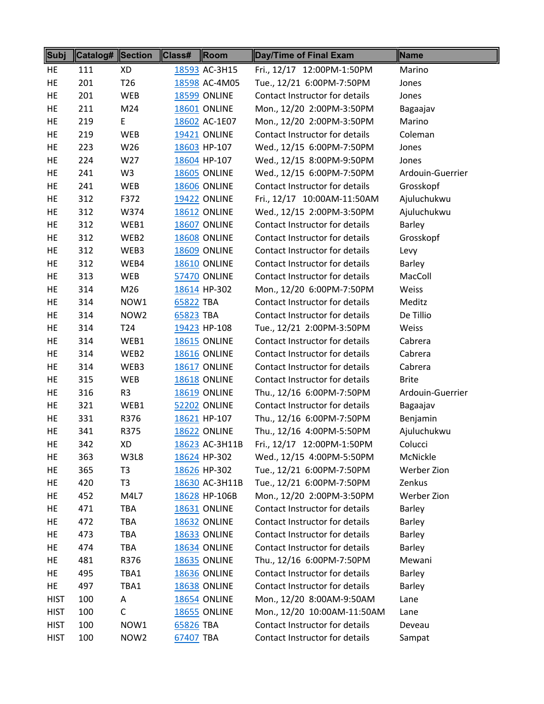| Subj        | Catalog# Section |                  | Class#    | Room                | Day/Time of Final Exam         | Name             |
|-------------|------------------|------------------|-----------|---------------------|--------------------------------|------------------|
| HE          | 111              | XD               |           | 18593 AC-3H15       | Fri., 12/17 12:00PM-1:50PM     | Marino           |
| HE          | 201              | T <sub>26</sub>  |           | 18598 AC-4M05       | Tue., 12/21 6:00PM-7:50PM      | Jones            |
| HE          | 201              | WEB              |           | <b>18599 ONLINE</b> | Contact Instructor for details | Jones            |
| HE          | 211              | M24              |           | <b>18601 ONLINE</b> | Mon., 12/20 2:00PM-3:50PM      | Bagaajav         |
| HE          | 219              | E                |           | 18602 AC-1E07       | Mon., 12/20 2:00PM-3:50PM      | Marino           |
| HE          | 219              | <b>WEB</b>       |           | <b>19421 ONLINE</b> | Contact Instructor for details | Coleman          |
| HE          | 223              | W26              |           | 18603 HP-107        | Wed., 12/15 6:00PM-7:50PM      | Jones            |
| HE          | 224              | W27              |           | 18604 HP-107        | Wed., 12/15 8:00PM-9:50PM      | Jones            |
| HE          | 241              | W <sub>3</sub>   |           | <b>18605 ONLINE</b> | Wed., 12/15 6:00PM-7:50PM      | Ardouin-Guerrier |
| HE          | 241              | WEB              |           | <b>18606 ONLINE</b> | Contact Instructor for details | Grosskopf        |
| HE          | 312              | F372             |           | <b>19422 ONLINE</b> | Fri., 12/17 10:00AM-11:50AM    | Ajuluchukwu      |
| HE          | 312              | W374             |           | 18612 ONLINE        | Wed., 12/15 2:00PM-3:50PM      | Ajuluchukwu      |
| HE.         | 312              | WEB1             |           | <b>18607 ONLINE</b> | Contact Instructor for details | Barley           |
| HE          | 312              | WEB2             |           | <b>18608 ONLINE</b> | Contact Instructor for details | Grosskopf        |
| <b>HE</b>   | 312              | WEB3             |           | <b>18609 ONLINE</b> | Contact Instructor for details | Levy             |
| HE          | 312              | WEB4             |           | <b>18610 ONLINE</b> | Contact Instructor for details | Barley           |
| HE          | 313              | WEB              |           | <b>57470 ONLINE</b> | Contact Instructor for details | MacColl          |
| HE          | 314              | M26              |           | 18614 HP-302        | Mon., 12/20 6:00PM-7:50PM      | Weiss            |
| HE          | 314              | NOW1             | 65822 TBA |                     | Contact Instructor for details | Meditz           |
| HE          | 314              | NOW <sub>2</sub> | 65823 TBA |                     | Contact Instructor for details | De Tillio        |
| HE          | 314              | T <sub>24</sub>  |           | 19423 HP-108        | Tue., 12/21 2:00PM-3:50PM      | Weiss            |
| HE          | 314              | WEB1             |           | <b>18615 ONLINE</b> | Contact Instructor for details | Cabrera          |
| HE          | 314              | WEB2             |           | 18616 ONLINE        | Contact Instructor for details | Cabrera          |
| HE          | 314              | WEB3             |           | <b>18617 ONLINE</b> | Contact Instructor for details | Cabrera          |
| HE          | 315              | <b>WEB</b>       |           | <b>18618 ONLINE</b> | Contact Instructor for details | <b>Brite</b>     |
| HE          | 316              | R <sub>3</sub>   |           | <b>18619 ONLINE</b> | Thu., 12/16 6:00PM-7:50PM      | Ardouin-Guerrier |
| HE          | 321              | WEB1             |           | <b>52202 ONLINE</b> | Contact Instructor for details | Bagaajav         |
| HE          | 331              | R376             |           | 18621 HP-107        | Thu., 12/16 6:00PM-7:50PM      | Benjamin         |
| <b>HE</b>   | 341              | R375             |           | <b>18622 ONLINE</b> | Thu., 12/16 4:00PM-5:50PM      | Ajuluchukwu      |
| HE          | 342              | XD               |           | 18623 AC-3H11B      | Fri., 12/17 12:00PM-1:50PM     | Colucci          |
| HE          | 363              | W3L8             |           | 18624 HP-302        | Wed., 12/15 4:00PM-5:50PM      | McNickle         |
| HE          | 365              | T <sub>3</sub>   |           | 18626 HP-302        | Tue., 12/21 6:00PM-7:50PM      | Werber Zion      |
| HE          | 420              | T <sub>3</sub>   |           | 18630 AC-3H11B      | Tue., 12/21 6:00PM-7:50PM      | Zenkus           |
| HE          | 452              | M4L7             |           | 18628 HP-106B       | Mon., 12/20 2:00PM-3:50PM      | Werber Zion      |
| HE          | 471              | <b>TBA</b>       |           | <b>18631 ONLINE</b> | Contact Instructor for details | Barley           |
| HE          | 472              | <b>TBA</b>       |           | <b>18632 ONLINE</b> | Contact Instructor for details | Barley           |
| HE          | 473              | <b>TBA</b>       |           | 18633 ONLINE        | Contact Instructor for details | Barley           |
| HE          | 474              | <b>TBA</b>       |           | <b>18634 ONLINE</b> | Contact Instructor for details | Barley           |
| HE          | 481              | R376             |           | <b>18635 ONLINE</b> | Thu., 12/16 6:00PM-7:50PM      | Mewani           |
| HE          | 495              | TBA1             |           | <b>18636 ONLINE</b> | Contact Instructor for details | Barley           |
| HE          | 497              | TBA1             |           | <b>18638 ONLINE</b> | Contact Instructor for details | Barley           |
| <b>HIST</b> | 100              | A                |           | <b>18654 ONLINE</b> | Mon., 12/20 8:00AM-9:50AM      | Lane             |
| <b>HIST</b> | 100              | $\mathsf C$      |           | <b>18655 ONLINE</b> | Mon., 12/20 10:00AM-11:50AM    | Lane             |
| <b>HIST</b> | 100              | NOW1             | 65826 TBA |                     | Contact Instructor for details | Deveau           |
| <b>HIST</b> | 100              | NOW <sub>2</sub> | 67407 TBA |                     | Contact Instructor for details | Sampat           |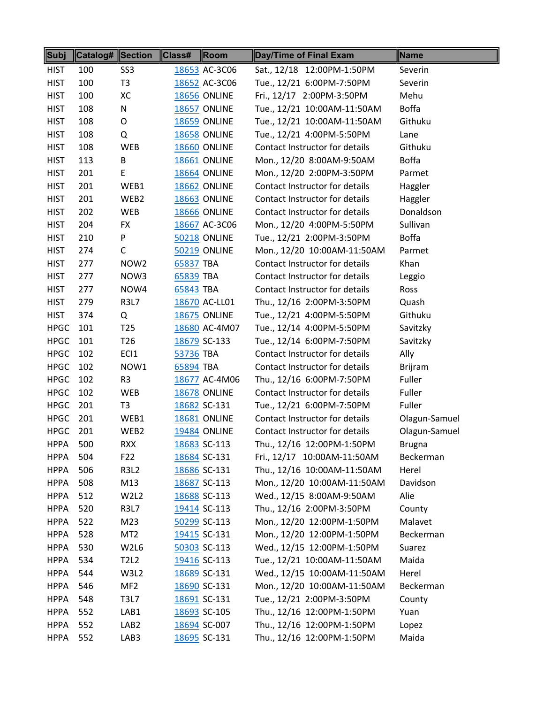| Subj        | Catalog# Section |                  | Class#    | Room                | Day/Time of Final Exam         | Name           |
|-------------|------------------|------------------|-----------|---------------------|--------------------------------|----------------|
| <b>HIST</b> | 100              | SS <sub>3</sub>  |           | 18653 AC-3C06       | Sat., 12/18 12:00PM-1:50PM     | Severin        |
| <b>HIST</b> | 100              | T <sub>3</sub>   |           | 18652 AC-3C06       | Tue., 12/21 6:00PM-7:50PM      | Severin        |
| <b>HIST</b> | 100              | XC               |           | <b>18656 ONLINE</b> | Fri., 12/17 2:00PM-3:50PM      | Mehu           |
| <b>HIST</b> | 108              | N                |           | 18657 ONLINE        | Tue., 12/21 10:00AM-11:50AM    | <b>Boffa</b>   |
| <b>HIST</b> | 108              | O                |           | <b>18659 ONLINE</b> | Tue., 12/21 10:00AM-11:50AM    | Githuku        |
| <b>HIST</b> | 108              | Q                |           | <b>18658 ONLINE</b> | Tue., 12/21 4:00PM-5:50PM      | Lane           |
| <b>HIST</b> | 108              | <b>WEB</b>       |           | <b>18660 ONLINE</b> | Contact Instructor for details | Githuku        |
| <b>HIST</b> | 113              | B                |           | <b>18661 ONLINE</b> | Mon., 12/20 8:00AM-9:50AM      | <b>Boffa</b>   |
| <b>HIST</b> | 201              | E                |           | <b>18664 ONLINE</b> | Mon., 12/20 2:00PM-3:50PM      | Parmet         |
| <b>HIST</b> | 201              | WEB1             |           | <b>18662 ONLINE</b> | Contact Instructor for details | Haggler        |
| <b>HIST</b> | 201              | WEB2             |           | <b>18663 ONLINE</b> | Contact Instructor for details | Haggler        |
| <b>HIST</b> | 202              | <b>WEB</b>       |           | <b>18666 ONLINE</b> | Contact Instructor for details | Donaldson      |
| <b>HIST</b> | 204              | <b>FX</b>        |           | 18667 AC-3C06       | Mon., 12/20 4:00PM-5:50PM      | Sullivan       |
| <b>HIST</b> | 210              | P                |           | <b>50218 ONLINE</b> | Tue., 12/21 2:00PM-3:50PM      | <b>Boffa</b>   |
| <b>HIST</b> | 274              | С                |           | <b>50219 ONLINE</b> | Mon., 12/20 10:00AM-11:50AM    | Parmet         |
| <b>HIST</b> | 277              | NOW <sub>2</sub> | 65837 TBA |                     | Contact Instructor for details | Khan           |
| <b>HIST</b> | 277              | NOW3             | 65839 TBA |                     | Contact Instructor for details | Leggio         |
| <b>HIST</b> | 277              | NOW4             | 65843 TBA |                     | Contact Instructor for details | Ross           |
| <b>HIST</b> | 279              | <b>R3L7</b>      |           | 18670 AC-LL01       | Thu., 12/16 2:00PM-3:50PM      | Quash          |
| <b>HIST</b> | 374              | Q                |           | <b>18675 ONLINE</b> | Tue., 12/21 4:00PM-5:50PM      | Githuku        |
| <b>HPGC</b> | 101              | T <sub>25</sub>  |           | 18680 AC-4M07       | Tue., 12/14 4:00PM-5:50PM      | Savitzky       |
| <b>HPGC</b> | 101              | T <sub>26</sub>  |           | 18679 SC-133        | Tue., 12/14 6:00PM-7:50PM      | Savitzky       |
| <b>HPGC</b> | 102              | ECI1             | 53736 TBA |                     | Contact Instructor for details | Ally           |
| <b>HPGC</b> | 102              | NOW1             | 65894 TBA |                     | Contact Instructor for details | <b>Brijram</b> |
| <b>HPGC</b> | 102              | R <sub>3</sub>   |           | 18677 AC-4M06       | Thu., 12/16 6:00PM-7:50PM      | Fuller         |
| <b>HPGC</b> | 102              | <b>WEB</b>       |           | <b>18678 ONLINE</b> | Contact Instructor for details | Fuller         |
| <b>HPGC</b> | 201              | T <sub>3</sub>   |           | 18682 SC-131        | Tue., 12/21 6:00PM-7:50PM      | Fuller         |
| <b>HPGC</b> | 201              | WEB1             |           | <b>18681 ONLINE</b> | Contact Instructor for details | Olagun-Samuel  |
| <b>HPGC</b> | 201              | WEB2             |           | <b>19484 ONLINE</b> | Contact Instructor for details | Olagun-Samuel  |
| <b>HPPA</b> | 500              | <b>RXX</b>       |           | 18683 SC-113        | Thu., 12/16 12:00PM-1:50PM     | Brugna         |
| HPPA        | 504              | F22              |           | 18684 SC-131        | Fri., 12/17 10:00AM-11:50AM    | Beckerman      |
| <b>HPPA</b> | 506              | <b>R3L2</b>      |           | 18686 SC-131        | Thu., 12/16 10:00AM-11:50AM    | Herel          |
| <b>HPPA</b> | 508              | M13              |           | 18687 SC-113        | Mon., 12/20 10:00AM-11:50AM    | Davidson       |
| <b>HPPA</b> | 512              | W2L2             |           | 18688 SC-113        | Wed., 12/15 8:00AM-9:50AM      | Alie           |
| <b>HPPA</b> | 520              | <b>R3L7</b>      |           | 19414 SC-113        | Thu., 12/16 2:00PM-3:50PM      | County         |
| <b>HPPA</b> | 522              | M23              |           | 50299 SC-113        | Mon., 12/20 12:00PM-1:50PM     | Malavet        |
| <b>HPPA</b> | 528              | MT <sub>2</sub>  |           | 19415 SC-131        | Mon., 12/20 12:00PM-1:50PM     | Beckerman      |
| <b>HPPA</b> | 530              | W2L6             |           | 50303 SC-113        | Wed., 12/15 12:00PM-1:50PM     | Suarez         |
| <b>HPPA</b> | 534              | <b>T2L2</b>      |           | 19416 SC-113        | Tue., 12/21 10:00AM-11:50AM    | Maida          |
| <b>HPPA</b> | 544              | W3L2             |           | 18689 SC-131        | Wed., 12/15 10:00AM-11:50AM    | Herel          |
| <b>HPPA</b> | 546              | MF <sub>2</sub>  |           | 18690 SC-131        | Mon., 12/20 10:00AM-11:50AM    | Beckerman      |
| <b>HPPA</b> | 548              | <b>T3L7</b>      |           | 18691 SC-131        | Tue., 12/21 2:00PM-3:50PM      | County         |
| <b>HPPA</b> | 552              | LAB1             |           | 18693 SC-105        | Thu., 12/16 12:00PM-1:50PM     | Yuan           |
| <b>HPPA</b> | 552              | LAB <sub>2</sub> |           | 18694 SC-007        | Thu., 12/16 12:00PM-1:50PM     | Lopez          |
| <b>HPPA</b> | 552              | LAB3             |           | 18695 SC-131        | Thu., 12/16 12:00PM-1:50PM     | Maida          |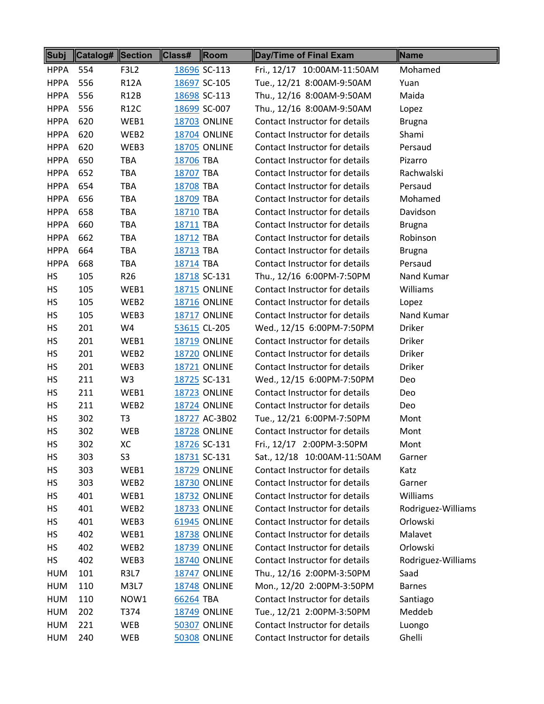| Subj        | <b>Catalog#</b> Section |                  | <b>Class#</b> | Room                | Day/Time of Final Exam         | Name               |
|-------------|-------------------------|------------------|---------------|---------------------|--------------------------------|--------------------|
| <b>HPPA</b> | 554                     | <b>F3L2</b>      |               | 18696 SC-113        | Fri., 12/17 10:00AM-11:50AM    | Mohamed            |
| <b>HPPA</b> | 556                     | <b>R12A</b>      |               | 18697 SC-105        | Tue., 12/21 8:00AM-9:50AM      | Yuan               |
| <b>HPPA</b> | 556                     | <b>R12B</b>      |               | 18698 SC-113        | Thu., 12/16 8:00AM-9:50AM      | Maida              |
| <b>HPPA</b> | 556                     | <b>R12C</b>      |               | 18699 SC-007        | Thu., 12/16 8:00AM-9:50AM      | Lopez              |
| <b>HPPA</b> | 620                     | WEB1             |               | <b>18703 ONLINE</b> | Contact Instructor for details | <b>Brugna</b>      |
| <b>HPPA</b> | 620                     | WEB2             |               | <b>18704 ONLINE</b> | Contact Instructor for details | Shami              |
| <b>HPPA</b> | 620                     | WEB3             |               | <b>18705 ONLINE</b> | Contact Instructor for details | Persaud            |
| <b>HPPA</b> | 650                     | <b>TBA</b>       | 18706 TBA     |                     | Contact Instructor for details | Pizarro            |
| <b>HPPA</b> | 652                     | <b>TBA</b>       | 18707 TBA     |                     | Contact Instructor for details | Rachwalski         |
| <b>HPPA</b> | 654                     | TBA              | 18708 TBA     |                     | Contact Instructor for details | Persaud            |
| <b>HPPA</b> | 656                     | TBA              | 18709 TBA     |                     | Contact Instructor for details | Mohamed            |
| <b>HPPA</b> | 658                     | <b>TBA</b>       | 18710 TBA     |                     | Contact Instructor for details | Davidson           |
| <b>HPPA</b> | 660                     | <b>TBA</b>       | 18711 TBA     |                     | Contact Instructor for details | <b>Brugna</b>      |
| <b>HPPA</b> | 662                     | <b>TBA</b>       | 18712 TBA     |                     | Contact Instructor for details | Robinson           |
| <b>HPPA</b> | 664                     | <b>TBA</b>       | 18713 TBA     |                     | Contact Instructor for details | <b>Brugna</b>      |
| <b>HPPA</b> | 668                     | TBA              | 18714 TBA     |                     | Contact Instructor for details | Persaud            |
| HS          | 105                     | R <sub>26</sub>  |               | 18718 SC-131        | Thu., 12/16 6:00PM-7:50PM      | Nand Kumar         |
| HS          | 105                     | WEB1             |               | <b>18715 ONLINE</b> | Contact Instructor for details | Williams           |
| HS          | 105                     | WEB2             |               | <b>18716 ONLINE</b> | Contact Instructor for details | Lopez              |
| HS          | 105                     | WEB3             |               | <b>18717 ONLINE</b> | Contact Instructor for details | Nand Kumar         |
| HS          | 201                     | W4               |               | 53615 CL-205        | Wed., 12/15 6:00PM-7:50PM      | <b>Driker</b>      |
| HS          | 201                     | WEB1             |               | <b>18719 ONLINE</b> | Contact Instructor for details | <b>Driker</b>      |
| HS          | 201                     | WEB2             |               | <b>18720 ONLINE</b> | Contact Instructor for details | <b>Driker</b>      |
| HS          | 201                     | WEB3             |               | <b>18721 ONLINE</b> | Contact Instructor for details | <b>Driker</b>      |
| <b>HS</b>   | 211                     | W <sub>3</sub>   |               | 18725 SC-131        | Wed., 12/15 6:00PM-7:50PM      | Deo                |
| HS          | 211                     | WEB1             |               | <b>18723 ONLINE</b> | Contact Instructor for details | Deo                |
| HS          | 211                     | WEB <sub>2</sub> |               | <b>18724 ONLINE</b> | Contact Instructor for details | Deo                |
| HS          | 302                     | T <sub>3</sub>   |               | 18727 AC-3B02       | Tue., 12/21 6:00PM-7:50PM      | Mont               |
| <b>HS</b>   | 302                     | <b>WEB</b>       |               | <b>18728 ONLINE</b> | Contact Instructor for details | Mont               |
| HS          | 302                     | XC               |               | 18726 SC-131        | Fri., 12/17 2:00PM-3:50PM      | Mont               |
| HS          | 303                     | S <sub>3</sub>   |               | 18731 SC-131        | Sat., 12/18 10:00AM-11:50AM    | Garner             |
| HS          | 303                     | WEB1             |               | <b>18729 ONLINE</b> | Contact Instructor for details | Katz               |
| HS          | 303                     | WEB2             |               | <b>18730 ONLINE</b> | Contact Instructor for details | Garner             |
| HS          | 401                     | WEB1             |               | <b>18732 ONLINE</b> | Contact Instructor for details | Williams           |
| НS          | 401                     | WEB2             |               | <b>18733 ONLINE</b> | Contact Instructor for details | Rodriguez-Williams |
| HS          | 401                     | WEB3             |               | 61945 ONLINE        | Contact Instructor for details | Orlowski           |
| HS          | 402                     | WEB1             |               | <b>18738 ONLINE</b> | Contact Instructor for details | Malavet            |
| HS          | 402                     | WEB2             |               | <b>18739 ONLINE</b> | Contact Instructor for details | Orlowski           |
| НS          | 402                     | WEB3             |               | <b>18740 ONLINE</b> | Contact Instructor for details | Rodriguez-Williams |
| HUM         | 101                     | R3L7             |               | <b>18747 ONLINE</b> | Thu., 12/16 2:00PM-3:50PM      | Saad               |
| HUM         | 110                     | M3L7             |               | <b>18748 ONLINE</b> | Mon., 12/20 2:00PM-3:50PM      | <b>Barnes</b>      |
| <b>HUM</b>  | 110                     | NOW1             | 66264 TBA     |                     | Contact Instructor for details | Santiago           |
| <b>HUM</b>  | 202                     | T374             |               | <b>18749 ONLINE</b> | Tue., 12/21 2:00PM-3:50PM      | Meddeb             |
| HUM         | 221                     | WEB              |               | <b>50307 ONLINE</b> | Contact Instructor for details | Luongo             |
| HUM         | 240                     | WEB              |               | 50308 ONLINE        | Contact Instructor for details | Ghelli             |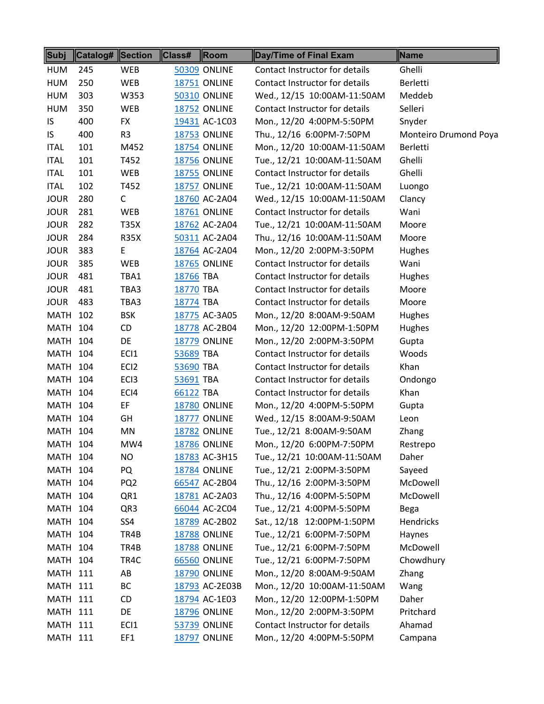| Subj            | <b>Catalog# Section</b> |                  | Class#    | Room                | Day/Time of Final Exam         | Name                  |
|-----------------|-------------------------|------------------|-----------|---------------------|--------------------------------|-----------------------|
| <b>HUM</b>      | 245                     | <b>WEB</b>       |           | <b>50309 ONLINE</b> | Contact Instructor for details | Ghelli                |
| <b>HUM</b>      | 250                     | WEB              |           | <b>18751 ONLINE</b> | Contact Instructor for details | Berletti              |
| <b>HUM</b>      | 303                     | W353             |           | <b>50310 ONLINE</b> | Wed., 12/15 10:00AM-11:50AM    | Meddeb                |
| <b>HUM</b>      | 350                     | <b>WEB</b>       |           | <b>18752 ONLINE</b> | Contact Instructor for details | Selleri               |
| IS              | 400                     | <b>FX</b>        |           | 19431 AC-1C03       | Mon., 12/20 4:00PM-5:50PM      | Snyder                |
| IS              | 400                     | R <sub>3</sub>   |           | <b>18753 ONLINE</b> | Thu., 12/16 6:00PM-7:50PM      | Monteiro Drumond Poya |
| <b>ITAL</b>     | 101                     | M452             |           | <b>18754 ONLINE</b> | Mon., 12/20 10:00AM-11:50AM    | Berletti              |
| <b>ITAL</b>     | 101                     | T452             |           | <b>18756 ONLINE</b> | Tue., 12/21 10:00AM-11:50AM    | Ghelli                |
| <b>ITAL</b>     | 101                     | WEB              |           | <b>18755 ONLINE</b> | Contact Instructor for details | Ghelli                |
| <b>ITAL</b>     | 102                     | T452             |           | <b>18757 ONLINE</b> | Tue., 12/21 10:00AM-11:50AM    | Luongo                |
| <b>JOUR</b>     | 280                     | C                |           | 18760 AC-2A04       | Wed., 12/15 10:00AM-11:50AM    | Clancy                |
| <b>JOUR</b>     | 281                     | WEB              |           | <b>18761 ONLINE</b> | Contact Instructor for details | Wani                  |
| <b>JOUR</b>     | 282                     | <b>T35X</b>      |           | 18762 AC-2A04       | Tue., 12/21 10:00AM-11:50AM    | Moore                 |
| <b>JOUR</b>     | 284                     | <b>R35X</b>      |           | 50311 AC-2A04       | Thu., 12/16 10:00AM-11:50AM    | Moore                 |
| <b>JOUR</b>     | 383                     | Е                |           | 18764 AC-2A04       | Mon., 12/20 2:00PM-3:50PM      | Hughes                |
| <b>JOUR</b>     | 385                     | WEB              |           | <b>18765 ONLINE</b> | Contact Instructor for details | Wani                  |
| <b>JOUR</b>     | 481                     | TBA1             | 18766 TBA |                     | Contact Instructor for details | Hughes                |
| <b>JOUR</b>     | 481                     | TBA3             | 18770 TBA |                     | Contact Instructor for details | Moore                 |
| <b>JOUR</b>     | 483                     | TBA3             | 18774 TBA |                     | Contact Instructor for details | Moore                 |
| MATH            | 102                     | <b>BSK</b>       |           | 18775 AC-3A05       | Mon., 12/20 8:00AM-9:50AM      | Hughes                |
| <b>MATH</b>     | 104                     | CD               |           | 18778 AC-2B04       | Mon., 12/20 12:00PM-1:50PM     | Hughes                |
| <b>MATH 104</b> |                         | DE               |           | <b>18779 ONLINE</b> | Mon., 12/20 2:00PM-3:50PM      | Gupta                 |
| <b>MATH 104</b> |                         | EC <sub>1</sub>  | 53689 TBA |                     | Contact Instructor for details | Woods                 |
| <b>MATH 104</b> |                         | EC <sub>12</sub> | 53690 TBA |                     | Contact Instructor for details | Khan                  |
| <b>MATH 104</b> |                         | EC <sub>13</sub> | 53691 TBA |                     | Contact Instructor for details | Ondongo               |
| <b>MATH</b>     | 104                     | ECI4             | 66122 TBA |                     | Contact Instructor for details | Khan                  |
| <b>MATH 104</b> |                         | EF               |           | <b>18780 ONLINE</b> | Mon., 12/20 4:00PM-5:50PM      | Gupta                 |
| MATH            | 104                     | GH               |           | 18777 ONLINE        | Wed., 12/15 8:00AM-9:50AM      | Leon                  |
| <b>MATH 104</b> |                         | MN               |           | <b>18782 ONLINE</b> | Tue., 12/21 8:00AM-9:50AM      | Zhang                 |
| <b>MATH 104</b> |                         | MW4              |           | <b>18786 ONLINE</b> | Mon., 12/20 6:00PM-7:50PM      | Restrepo              |
| <b>MATH 104</b> |                         | NO               |           | 18783 AC-3H15       | Tue., 12/21 10:00AM-11:50AM    | Daher                 |
| <b>MATH 104</b> |                         | PQ               |           | <b>18784 ONLINE</b> | Tue., 12/21 2:00PM-3:50PM      | Sayeed                |
| MATH            | 104                     | PQ <sub>2</sub>  |           | 66547 AC-2B04       | Thu., 12/16 2:00PM-3:50PM      | McDowell              |
| <b>MATH 104</b> |                         | QR1              |           | 18781 AC-2A03       | Thu., 12/16 4:00PM-5:50PM      | McDowell              |
| <b>MATH 104</b> |                         | QR3              |           | 66044 AC-2C04       | Tue., 12/21 4:00PM-5:50PM      | Bega                  |
| <b>MATH 104</b> |                         | SS4              |           | 18789 AC-2B02       | Sat., 12/18 12:00PM-1:50PM     | Hendricks             |
| <b>MATH 104</b> |                         | TR4B             |           | <b>18788 ONLINE</b> | Tue., 12/21 6:00PM-7:50PM      | Haynes                |
| <b>MATH</b>     | 104                     | TR4B             |           | <b>18788 ONLINE</b> | Tue., 12/21 6:00PM-7:50PM      | McDowell              |
| <b>MATH 104</b> |                         | TR4C             |           | <b>66560 ONLINE</b> | Tue., 12/21 6:00PM-7:50PM      | Chowdhury             |
| <b>MATH 111</b> |                         | AB               |           | <b>18790 ONLINE</b> | Mon., 12/20 8:00AM-9:50AM      | Zhang                 |
| <b>MATH 111</b> |                         | BC               |           | 18793 AC-2E03B      | Mon., 12/20 10:00AM-11:50AM    | Wang                  |
| <b>MATH 111</b> |                         | CD               |           | 18794 AC-1E03       | Mon., 12/20 12:00PM-1:50PM     | Daher                 |
| <b>MATH 111</b> |                         | DE               |           | <b>18796 ONLINE</b> | Mon., 12/20 2:00PM-3:50PM      | Pritchard             |
| <b>MATH 111</b> |                         | EC <sub>1</sub>  |           | <b>53739 ONLINE</b> | Contact Instructor for details | Ahamad                |
| <b>MATH 111</b> |                         | EF1              |           | <b>18797 ONLINE</b> | Mon., 12/20 4:00PM-5:50PM      | Campana               |
|                 |                         |                  |           |                     |                                |                       |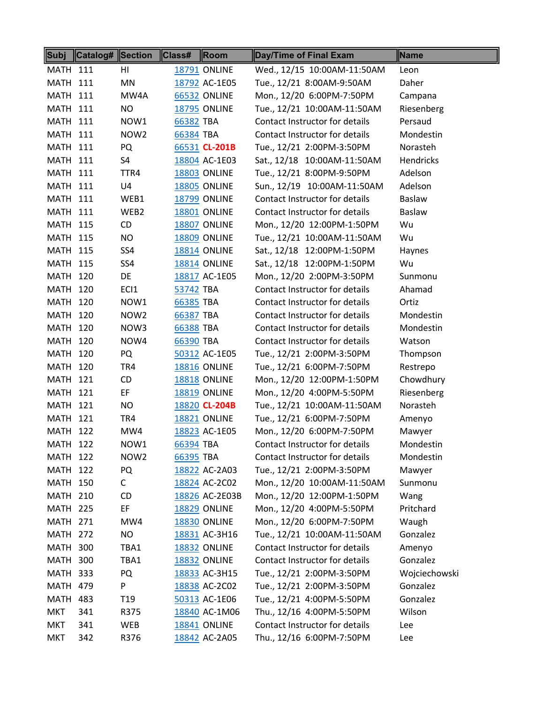| Subj            | <b>Catalog#</b> Section |                  | $\ $ Class# | <b>Room</b>         | Day/Time of Final Exam         | Name          |
|-----------------|-------------------------|------------------|-------------|---------------------|--------------------------------|---------------|
| <b>MATH 111</b> |                         | HI               |             | <b>18791 ONLINE</b> | Wed., 12/15 10:00AM-11:50AM    | Leon          |
| <b>MATH 111</b> |                         | MN               |             | 18792 AC-1E05       | Tue., 12/21 8:00AM-9:50AM      | Daher         |
| <b>MATH 111</b> |                         | MW4A             |             | <b>66532 ONLINE</b> | Mon., 12/20 6:00PM-7:50PM      | Campana       |
| <b>MATH 111</b> |                         | NO.              |             | <b>18795 ONLINE</b> | Tue., 12/21 10:00AM-11:50AM    | Riesenberg    |
| <b>MATH 111</b> |                         | NOW1             | 66382 TBA   |                     | Contact Instructor for details | Persaud       |
| <b>MATH 111</b> |                         | NOW <sub>2</sub> | 66384 TBA   |                     | Contact Instructor for details | Mondestin     |
| <b>MATH 111</b> |                         | PQ               |             | 66531 CL-201B       | Tue., 12/21 2:00PM-3:50PM      | Norasteh      |
| <b>MATH 111</b> |                         | S4               |             | 18804 AC-1E03       | Sat., 12/18 10:00AM-11:50AM    | Hendricks     |
| <b>MATH 111</b> |                         | TTR4             |             | <b>18803 ONLINE</b> | Tue., 12/21 8:00PM-9:50PM      | Adelson       |
| <b>MATH 111</b> |                         | U4               |             | <b>18805 ONLINE</b> | Sun., 12/19 10:00AM-11:50AM    | Adelson       |
| <b>MATH 111</b> |                         | WEB1             |             | <b>18799 ONLINE</b> | Contact Instructor for details | Baslaw        |
| <b>MATH 111</b> |                         | WEB2             |             | 18801 ONLINE        | Contact Instructor for details | Baslaw        |
| <b>MATH 115</b> |                         | CD               |             | 18807 ONLINE        | Mon., 12/20 12:00PM-1:50PM     | Wu            |
| <b>MATH 115</b> |                         | NO.              |             | <b>18809 ONLINE</b> | Tue., 12/21 10:00AM-11:50AM    | Wu            |
| <b>MATH 115</b> |                         | SS4              |             | <b>18814 ONLINE</b> | Sat., 12/18 12:00PM-1:50PM     | Haynes        |
| MATH            | 115                     | SS4              |             | <b>18814 ONLINE</b> | Sat., 12/18 12:00PM-1:50PM     | Wu            |
| <b>MATH 120</b> |                         | DE               |             | 18817 AC-1E05       | Mon., 12/20 2:00PM-3:50PM      | Sunmonu       |
| <b>MATH 120</b> |                         | ECI1             | 53742 TBA   |                     | Contact Instructor for details | Ahamad        |
| <b>MATH 120</b> |                         | NOW1             | 66385 TBA   |                     | Contact Instructor for details | Ortiz         |
| <b>MATH 120</b> |                         | NOW <sub>2</sub> | 66387 TBA   |                     | Contact Instructor for details | Mondestin     |
| <b>MATH 120</b> |                         | NOW3             | 66388 TBA   |                     | Contact Instructor for details | Mondestin     |
| <b>MATH 120</b> |                         | NOW4             | 66390 TBA   |                     | Contact Instructor for details | Watson        |
| MATH            | 120                     | PQ               |             | 50312 AC-1E05       | Tue., 12/21 2:00PM-3:50PM      | Thompson      |
| <b>MATH 120</b> |                         | TR4              |             | <b>18816 ONLINE</b> | Tue., 12/21 6:00PM-7:50PM      | Restrepo      |
| <b>MATH 121</b> |                         | CD               |             | <b>18818 ONLINE</b> | Mon., 12/20 12:00PM-1:50PM     | Chowdhury     |
| <b>MATH 121</b> |                         | EF               |             | <b>18819 ONLINE</b> | Mon., 12/20 4:00PM-5:50PM      | Riesenberg    |
| <b>MATH 121</b> |                         | <b>NO</b>        |             | 18820 CL-204B       | Tue., 12/21 10:00AM-11:50AM    | Norasteh      |
| <b>MATH 121</b> |                         | TR4              |             | <b>18821 ONLINE</b> | Tue., 12/21 6:00PM-7:50PM      | Amenyo        |
| <b>MATH 122</b> |                         | MW4              |             | 18823 AC-1E05       | Mon., 12/20 6:00PM-7:50PM      | Mawyer        |
| <b>MATH 122</b> |                         | NOW1             | 66394 TBA   |                     | Contact Instructor for details | Mondestin     |
| <b>MATH 122</b> |                         | NOW2             | 66395 TBA   |                     | Contact Instructor for details | Mondestin     |
| <b>MATH 122</b> |                         | PQ               |             | 18822 AC-2A03       | Tue., 12/21 2:00PM-3:50PM      | Mawyer        |
| <b>MATH 150</b> |                         | $\mathsf{C}$     |             | 18824 AC-2C02       | Mon., 12/20 10:00AM-11:50AM    | Sunmonu       |
| <b>MATH 210</b> |                         | CD               |             | 18826 AC-2E03B      | Mon., 12/20 12:00PM-1:50PM     | Wang          |
| <b>MATH 225</b> |                         | EF               |             | <b>18829 ONLINE</b> | Mon., 12/20 4:00PM-5:50PM      | Pritchard     |
| <b>MATH 271</b> |                         | MW4              |             | <b>18830 ONLINE</b> | Mon., 12/20 6:00PM-7:50PM      | Waugh         |
| <b>MATH 272</b> |                         | NO               |             | 18831 AC-3H16       | Tue., 12/21 10:00AM-11:50AM    | Gonzalez      |
| <b>MATH 300</b> |                         | TBA1             |             | <b>18832 ONLINE</b> | Contact Instructor for details | Amenyo        |
| <b>MATH 300</b> |                         | TBA1             |             | 18832 ONLINE        | Contact Instructor for details | Gonzalez      |
| <b>MATH 333</b> |                         | PQ               |             | 18833 AC-3H15       | Tue., 12/21 2:00PM-3:50PM      | Wojciechowski |
| <b>MATH 479</b> |                         | P                |             | 18838 AC-2C02       | Tue., 12/21 2:00PM-3:50PM      | Gonzalez      |
| MATH            | 483                     | T <sub>19</sub>  |             | 50313 AC-1E06       | Tue., 12/21 4:00PM-5:50PM      | Gonzalez      |
| <b>MKT</b>      | 341                     | R375             |             | 18840 AC-1M06       | Thu., 12/16 4:00PM-5:50PM      | Wilson        |
| MKT             | 341                     | WEB              |             | <b>18841 ONLINE</b> | Contact Instructor for details | Lee           |
| <b>MKT</b>      | 342                     | R376             |             | 18842 AC-2A05       | Thu., 12/16 6:00PM-7:50PM      | Lee           |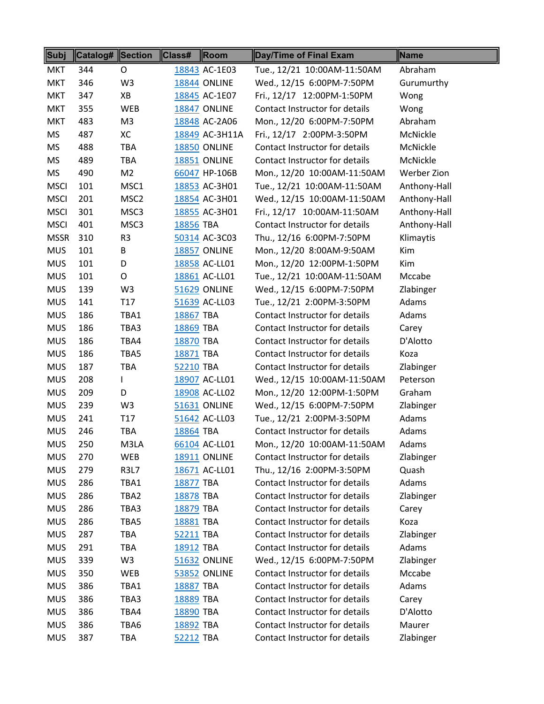| Subj        | Catalog# Section |                  | Class#    | Room                | Day/Time of Final Exam         | Name         |
|-------------|------------------|------------------|-----------|---------------------|--------------------------------|--------------|
| <b>MKT</b>  | 344              | 0                |           | 18843 AC-1E03       | Tue., 12/21 10:00AM-11:50AM    | Abraham      |
| <b>MKT</b>  | 346              | W <sub>3</sub>   |           | <b>18844 ONLINE</b> | Wed., 12/15 6:00PM-7:50PM      | Gurumurthy   |
| <b>MKT</b>  | 347              | XB               |           | 18845 AC-1E07       | Fri., 12/17 12:00PM-1:50PM     | Wong         |
| <b>MKT</b>  | 355              | <b>WEB</b>       |           | 18847 ONLINE        | Contact Instructor for details | Wong         |
| <b>MKT</b>  | 483              | M3               |           | 18848 AC-2A06       | Mon., 12/20 6:00PM-7:50PM      | Abraham      |
| <b>MS</b>   | 487              | XC               |           | 18849 AC-3H11A      | Fri., 12/17 2:00PM-3:50PM      | McNickle     |
| <b>MS</b>   | 488              | TBA              |           | <b>18850 ONLINE</b> | Contact Instructor for details | McNickle     |
| <b>MS</b>   | 489              | <b>TBA</b>       |           | 18851 ONLINE        | Contact Instructor for details | McNickle     |
| <b>MS</b>   | 490              | M <sub>2</sub>   |           | 66047 HP-106B       | Mon., 12/20 10:00AM-11:50AM    | Werber Zion  |
| <b>MSCI</b> | 101              | MSC1             |           | 18853 AC-3H01       | Tue., 12/21 10:00AM-11:50AM    | Anthony-Hall |
| <b>MSCI</b> | 201              | MSC <sub>2</sub> |           | 18854 AC-3H01       | Wed., 12/15 10:00AM-11:50AM    | Anthony-Hall |
| <b>MSCI</b> | 301              | MSC3             |           | 18855 AC-3H01       | Fri., 12/17 10:00AM-11:50AM    | Anthony-Hall |
| <b>MSCI</b> | 401              | MSC3             | 18856 TBA |                     | Contact Instructor for details | Anthony-Hall |
| <b>MSSR</b> | 310              | R <sub>3</sub>   |           | 50314 AC-3C03       | Thu., 12/16 6:00PM-7:50PM      | Klimaytis    |
| <b>MUS</b>  | 101              | B                |           | 18857 ONLINE        | Mon., 12/20 8:00AM-9:50AM      | Kim          |
| <b>MUS</b>  | 101              | D                |           | 18858 AC-LL01       | Mon., 12/20 12:00PM-1:50PM     | Kim          |
| <b>MUS</b>  | 101              | O                |           | 18861 AC-LL01       | Tue., 12/21 10:00AM-11:50AM    | Mccabe       |
| <b>MUS</b>  | 139              | W <sub>3</sub>   |           | <b>51629 ONLINE</b> | Wed., 12/15 6:00PM-7:50PM      | Zlabinger    |
| <b>MUS</b>  | 141              | T <sub>17</sub>  |           | 51639 AC-LL03       | Tue., 12/21 2:00PM-3:50PM      | Adams        |
| <b>MUS</b>  | 186              | TBA1             | 18867 TBA |                     | Contact Instructor for details | Adams        |
| <b>MUS</b>  | 186              | TBA3             | 18869 TBA |                     | Contact Instructor for details | Carey        |
| <b>MUS</b>  | 186              | TBA4             | 18870 TBA |                     | Contact Instructor for details | D'Alotto     |
| <b>MUS</b>  | 186              | TBA5             | 18871 TBA |                     | Contact Instructor for details | Koza         |
| <b>MUS</b>  | 187              | TBA              | 52210 TBA |                     | Contact Instructor for details | Zlabinger    |
| <b>MUS</b>  | 208              | L                |           | 18907 AC-LL01       | Wed., 12/15 10:00AM-11:50AM    | Peterson     |
| <b>MUS</b>  | 209              | D                |           | 18908 AC-LL02       | Mon., 12/20 12:00PM-1:50PM     | Graham       |
| <b>MUS</b>  | 239              | W <sub>3</sub>   |           | 51631 ONLINE        | Wed., 12/15 6:00PM-7:50PM      | Zlabinger    |
| <b>MUS</b>  | 241              | T <sub>17</sub>  |           | 51642 AC-LL03       | Tue., 12/21 2:00PM-3:50PM      | Adams        |
| <b>MUS</b>  | 246              | <b>TBA</b>       | 18864 TBA |                     | Contact Instructor for details | Adams        |
| <b>MUS</b>  | 250              | M3LA             |           | 66104 AC-LL01       | Mon., 12/20 10:00AM-11:50AM    | Adams        |
| <b>MUS</b>  | 270              | WEB              |           | <b>18911 ONLINE</b> | Contact Instructor for details | Zlabinger    |
| <b>MUS</b>  | 279              | <b>R3L7</b>      |           | 18671 AC-LL01       | Thu., 12/16 2:00PM-3:50PM      | Quash        |
| <b>MUS</b>  | 286              | TBA1             | 18877 TBA |                     | Contact Instructor for details | Adams        |
| <b>MUS</b>  | 286              | TBA2             | 18878 TBA |                     | Contact Instructor for details | Zlabinger    |
| <b>MUS</b>  | 286              | TBA3             | 18879 TBA |                     | Contact Instructor for details | Carey        |
| <b>MUS</b>  | 286              | TBA5             | 18881 TBA |                     | Contact Instructor for details | Koza         |
| <b>MUS</b>  | 287              | TBA              | 52211 TBA |                     | Contact Instructor for details | Zlabinger    |
| <b>MUS</b>  | 291              | <b>TBA</b>       | 18912 TBA |                     | Contact Instructor for details | Adams        |
| <b>MUS</b>  | 339              | W3               |           | <b>51632 ONLINE</b> | Wed., 12/15 6:00PM-7:50PM      | Zlabinger    |
| <b>MUS</b>  | 350              | WEB              |           | <b>53852 ONLINE</b> | Contact Instructor for details | Mccabe       |
| <b>MUS</b>  | 386              | TBA1             | 18887 TBA |                     | Contact Instructor for details | Adams        |
| <b>MUS</b>  | 386              | TBA3             | 18889 TBA |                     | Contact Instructor for details | Carey        |
| <b>MUS</b>  | 386              | TBA4             | 18890 TBA |                     | Contact Instructor for details | D'Alotto     |
| <b>MUS</b>  | 386              | TBA6             | 18892 TBA |                     | Contact Instructor for details | Maurer       |
| <b>MUS</b>  | 387              | TBA              | 52212 TBA |                     | Contact Instructor for details | Zlabinger    |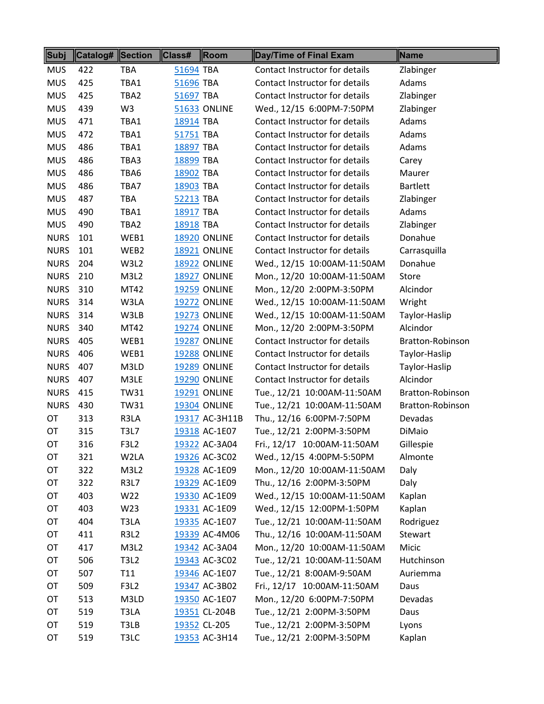| Subj        | Catalog# | <b>Section</b> | Class#    | <b>Room</b>         | <b>Day/Time of Final Exam</b>  | Name             |
|-------------|----------|----------------|-----------|---------------------|--------------------------------|------------------|
| <b>MUS</b>  | 422      | <b>TBA</b>     | 51694 TBA |                     | Contact Instructor for details | Zlabinger        |
| <b>MUS</b>  | 425      | TBA1           | 51696 TBA |                     | Contact Instructor for details | Adams            |
| <b>MUS</b>  | 425      | TBA2           | 51697 TBA |                     | Contact Instructor for details | Zlabinger        |
| <b>MUS</b>  | 439      | W <sub>3</sub> |           | <b>51633 ONLINE</b> | Wed., 12/15 6:00PM-7:50PM      | Zlabinger        |
| <b>MUS</b>  | 471      | TBA1           | 18914 TBA |                     | Contact Instructor for details | Adams            |
| <b>MUS</b>  | 472      | TBA1           | 51751 TBA |                     | Contact Instructor for details | Adams            |
| <b>MUS</b>  | 486      | TBA1           | 18897 TBA |                     | Contact Instructor for details | Adams            |
| <b>MUS</b>  | 486      | TBA3           | 18899 TBA |                     | Contact Instructor for details | Carey            |
| <b>MUS</b>  | 486      | TBA6           | 18902 TBA |                     | Contact Instructor for details | Maurer           |
| <b>MUS</b>  | 486      | TBA7           | 18903 TBA |                     | Contact Instructor for details | <b>Bartlett</b>  |
| <b>MUS</b>  | 487      | <b>TBA</b>     | 52213 TBA |                     | Contact Instructor for details | Zlabinger        |
| <b>MUS</b>  | 490      | TBA1           | 18917 TBA |                     | Contact Instructor for details | Adams            |
| <b>MUS</b>  | 490      | TBA2           | 18918 TBA |                     | Contact Instructor for details | Zlabinger        |
| <b>NURS</b> | 101      | WEB1           |           | <b>18920 ONLINE</b> | Contact Instructor for details | Donahue          |
| <b>NURS</b> | 101      | WEB2           |           | <b>18921 ONLINE</b> | Contact Instructor for details | Carrasquilla     |
| <b>NURS</b> | 204      | W3L2           |           | <b>18922 ONLINE</b> | Wed., 12/15 10:00AM-11:50AM    | Donahue          |
| <b>NURS</b> | 210      | M3L2           |           | 18927 ONLINE        | Mon., 12/20 10:00AM-11:50AM    | <b>Store</b>     |
| <b>NURS</b> | 310      | MT42           |           | <b>19259 ONLINE</b> | Mon., 12/20 2:00PM-3:50PM      | Alcindor         |
| <b>NURS</b> | 314      | W3LA           |           | <b>19272 ONLINE</b> | Wed., 12/15 10:00AM-11:50AM    | Wright           |
| <b>NURS</b> | 314      | W3LB           |           | <b>19273 ONLINE</b> | Wed., 12/15 10:00AM-11:50AM    | Taylor-Haslip    |
| <b>NURS</b> | 340      | MT42           |           | <b>19274 ONLINE</b> | Mon., 12/20 2:00PM-3:50PM      | Alcindor         |
| <b>NURS</b> | 405      | WEB1           |           | <b>19287 ONLINE</b> | Contact Instructor for details | Bratton-Robinson |
| <b>NURS</b> | 406      | WEB1           |           | <b>19288 ONLINE</b> | Contact Instructor for details | Taylor-Haslip    |
| <b>NURS</b> | 407      | M3LD           |           | <b>19289 ONLINE</b> | Contact Instructor for details | Taylor-Haslip    |
| <b>NURS</b> | 407      | M3LE           |           | <b>19290 ONLINE</b> | Contact Instructor for details | Alcindor         |
| <b>NURS</b> | 415      | <b>TW31</b>    |           | <b>19291 ONLINE</b> | Tue., 12/21 10:00AM-11:50AM    | Bratton-Robinson |
| <b>NURS</b> | 430      | <b>TW31</b>    |           | <b>19304 ONLINE</b> | Tue., 12/21 10:00AM-11:50AM    | Bratton-Robinson |
| OT          | 313      | R3LA           |           | 19317 AC-3H11B      | Thu., 12/16 6:00PM-7:50PM      | Devadas          |
| OT          | 315      | <b>T3L7</b>    |           | 19318 AC-1E07       | Tue., 12/21 2:00PM-3:50PM      | DiMaio           |
| OT          | 316      | <b>F3L2</b>    |           | 19322 AC-3A04       | Fri., 12/17 10:00AM-11:50AM    | Gillespie        |
| OT          | 321      | W2LA           |           | 19326 AC-3C02       | Wed., 12/15 4:00PM-5:50PM      | Almonte          |
| OT          | 322      | M3L2           |           | 19328 AC-1E09       | Mon., 12/20 10:00AM-11:50AM    | Daly             |
| OT          | 322      | <b>R3L7</b>    |           | 19329 AC-1E09       | Thu., 12/16 2:00PM-3:50PM      | Daly             |
| OT          | 403      | W22            |           | 19330 AC-1E09       | Wed., 12/15 10:00AM-11:50AM    | Kaplan           |
| OT          | 403      | W23            |           | 19331 AC-1E09       | Wed., 12/15 12:00PM-1:50PM     | Kaplan           |
| OT          | 404      | T3LA           |           | 19335 AC-1E07       | Tue., 12/21 10:00AM-11:50AM    | Rodriguez        |
| OT          | 411      | <b>R3L2</b>    |           | 19339 AC-4M06       | Thu., 12/16 10:00AM-11:50AM    | Stewart          |
| OT          | 417      | M3L2           |           | 19342 AC-3A04       | Mon., 12/20 10:00AM-11:50AM    | Micic            |
| OT          | 506      | <b>T3L2</b>    |           | 19343 AC-3C02       | Tue., 12/21 10:00AM-11:50AM    | Hutchinson       |
| OT          | 507      | T11            |           | 19346 AC-1E07       | Tue., 12/21 8:00AM-9:50AM      | Auriemma         |
| OT          | 509      | F3L2           |           | 19347 AC-3B02       | Fri., 12/17 10:00AM-11:50AM    | Daus             |
| OT          | 513      | M3LD           |           | 19350 AC-1E07       | Mon., 12/20 6:00PM-7:50PM      | Devadas          |
| OT          | 519      | T3LA           |           | 19351 CL-204B       | Tue., 12/21 2:00PM-3:50PM      | Daus             |
| OT          | 519      | T3LB           |           | 19352 CL-205        | Tue., 12/21 2:00PM-3:50PM      | Lyons            |
| OT          | 519      | T3LC           |           | 19353 AC-3H14       | Tue., 12/21 2:00PM-3:50PM      | Kaplan           |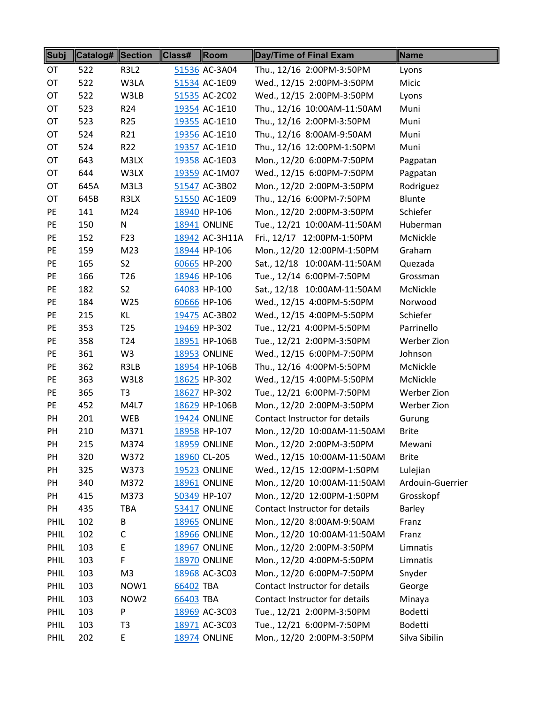| Subj      | Catalog# ∥Section |                  | Class#    | $\parallel$ Room    | Day/Time of Final Exam         | Name             |
|-----------|-------------------|------------------|-----------|---------------------|--------------------------------|------------------|
| OT        | 522               | <b>R3L2</b>      |           | 51536 AC-3A04       | Thu., 12/16 2:00PM-3:50PM      | Lyons            |
| OT        | 522               | W3LA             |           | 51534 AC-1E09       | Wed., 12/15 2:00PM-3:50PM      | Micic            |
| OT        | 522               | W3LB             |           | 51535 AC-2C02       | Wed., 12/15 2:00PM-3:50PM      | Lyons            |
| OT        | 523               | R <sub>24</sub>  |           | 19354 AC-1E10       | Thu., 12/16 10:00AM-11:50AM    | Muni             |
| OT        | 523               | R <sub>25</sub>  |           | 19355 AC-1E10       | Thu., 12/16 2:00PM-3:50PM      | Muni             |
| OT        | 524               | R21              |           | 19356 AC-1E10       | Thu., 12/16 8:00AM-9:50AM      | Muni             |
| OT        | 524               | R22              |           | 19357 AC-1E10       | Thu., 12/16 12:00PM-1:50PM     | Muni             |
| OT        | 643               | M3LX             |           | 19358 AC-1E03       | Mon., 12/20 6:00PM-7:50PM      | Pagpatan         |
| OT        | 644               | W3LX             |           | 19359 AC-1M07       | Wed., 12/15 6:00PM-7:50PM      | Pagpatan         |
| OT        | 645A              | M3L3             |           | 51547 AC-3B02       | Mon., 12/20 2:00PM-3:50PM      | Rodriguez        |
| OT        | 645B              | R3LX             |           | 51550 AC-1E09       | Thu., 12/16 6:00PM-7:50PM      | Blunte           |
| PE        | 141               | M24              |           | 18940 HP-106        | Mon., 12/20 2:00PM-3:50PM      | Schiefer         |
| <b>PE</b> | 150               | N                |           | <b>18941 ONLINE</b> | Tue., 12/21 10:00AM-11:50AM    | Huberman         |
| PE        | 152               | F23              |           | 18942 AC-3H11A      | Fri., 12/17 12:00PM-1:50PM     | McNickle         |
| PE        | 159               | M23              |           | 18944 HP-106        | Mon., 12/20 12:00PM-1:50PM     | Graham           |
| PE        | 165               | S <sub>2</sub>   |           | 60665 HP-200        | Sat., 12/18 10:00AM-11:50AM    | Quezada          |
| PE        | 166               | T <sub>26</sub>  |           | 18946 HP-106        | Tue., 12/14 6:00PM-7:50PM      | Grossman         |
| PE        | 182               | S <sub>2</sub>   |           | 64083 HP-100        | Sat., 12/18 10:00AM-11:50AM    | McNickle         |
| PE        | 184               | W25              |           | 60666 HP-106        | Wed., 12/15 4:00PM-5:50PM      | Norwood          |
| PE        | 215               | ΚL               |           | 19475 AC-3B02       | Wed., 12/15 4:00PM-5:50PM      | Schiefer         |
| PE        | 353               | T <sub>25</sub>  |           | 19469 HP-302        | Tue., 12/21 4:00PM-5:50PM      | Parrinello       |
| PE        | 358               | T <sub>24</sub>  |           | 18951 HP-106B       | Tue., 12/21 2:00PM-3:50PM      | Werber Zion      |
| PE        | 361               | W <sub>3</sub>   |           | <b>18953 ONLINE</b> | Wed., 12/15 6:00PM-7:50PM      | Johnson          |
| PE        | 362               | R3LB             |           | 18954 HP-106B       | Thu., 12/16 4:00PM-5:50PM      | McNickle         |
| <b>PE</b> | 363               | W3L8             |           | 18625 HP-302        | Wed., 12/15 4:00PM-5:50PM      | McNickle         |
| PE        | 365               | T <sub>3</sub>   |           | 18627 HP-302        | Tue., 12/21 6:00PM-7:50PM      | Werber Zion      |
| PE        | 452               | M4L7             |           | 18629 HP-106B       | Mon., 12/20 2:00PM-3:50PM      | Werber Zion      |
| PH        | 201               | WEB              |           | <b>19424 ONLINE</b> | Contact Instructor for details | Gurung           |
| PH        | 210               | M371             |           | 18958 HP-107        | Mon., 12/20 10:00AM-11:50AM    | <b>Brite</b>     |
| PH        | 215               | M374             |           | <b>18959 ONLINE</b> | Mon., 12/20 2:00PM-3:50PM      | Mewani           |
| PH        | 320               | W372             |           | 18960 CL-205        | Wed., 12/15 10:00AM-11:50AM    | <b>Brite</b>     |
| PH        | 325               | W373             |           | <b>19523 ONLINE</b> | Wed., 12/15 12:00PM-1:50PM     | Lulejian         |
| PH        | 340               | M372             |           | <b>18961 ONLINE</b> | Mon., 12/20 10:00AM-11:50AM    | Ardouin-Guerrier |
| PH        | 415               | M373             |           | 50349 HP-107        | Mon., 12/20 12:00PM-1:50PM     | Grosskopf        |
| PH        | 435               | TBA              |           | <b>53417 ONLINE</b> | Contact Instructor for details | Barley           |
| PHIL      | 102               | В                |           | <b>18965 ONLINE</b> | Mon., 12/20 8:00AM-9:50AM      | Franz            |
| PHIL      | 102               | С                |           | <b>18966 ONLINE</b> | Mon., 12/20 10:00AM-11:50AM    | Franz            |
| PHIL      | 103               | E                |           | <b>18967 ONLINE</b> | Mon., 12/20 2:00PM-3:50PM      | Limnatis         |
| PHIL      | 103               | F                |           | <b>18970 ONLINE</b> | Mon., 12/20 4:00PM-5:50PM      | Limnatis         |
| PHIL      | 103               | M <sub>3</sub>   |           | 18968 AC-3C03       | Mon., 12/20 6:00PM-7:50PM      | Snyder           |
| PHIL      | 103               | NOW1             | 66402 TBA |                     | Contact Instructor for details | George           |
| PHIL      | 103               | NOW <sub>2</sub> | 66403 TBA |                     | Contact Instructor for details | Minaya           |
| PHIL      | 103               | P                |           | 18969 AC-3C03       | Tue., 12/21 2:00PM-3:50PM      | Bodetti          |
| PHIL      | 103               | T3               |           | 18971 AC-3C03       | Tue., 12/21 6:00PM-7:50PM      | <b>Bodetti</b>   |
| PHIL      | 202               | E                |           | <b>18974 ONLINE</b> | Mon., 12/20 2:00PM-3:50PM      | Silva Sibilin    |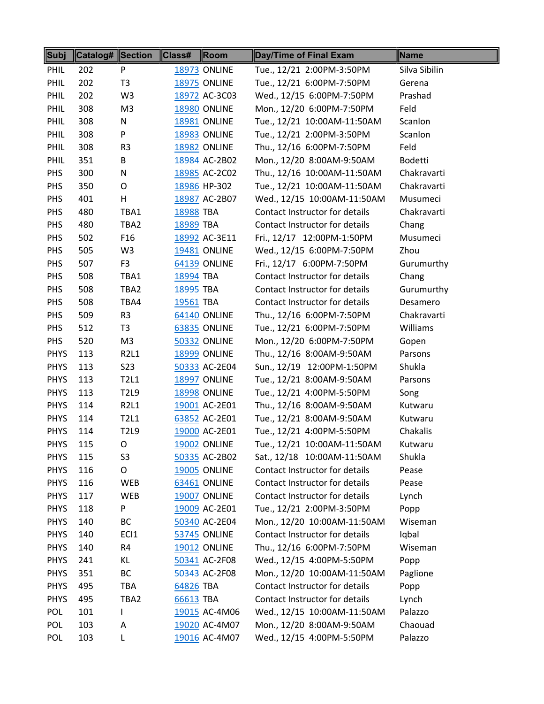| Subj        | Catalog# Section |                 | Class#    | Room                | Day/Time of Final Exam         | Name          |
|-------------|------------------|-----------------|-----------|---------------------|--------------------------------|---------------|
| PHIL        | 202              | P               |           | <b>18973 ONLINE</b> | Tue., 12/21 2:00PM-3:50PM      | Silva Sibilin |
| PHIL        | 202              | T <sub>3</sub>  |           | <b>18975 ONLINE</b> | Tue., 12/21 6:00PM-7:50PM      | Gerena        |
| PHIL        | 202              | W <sub>3</sub>  |           | 18972 AC-3C03       | Wed., 12/15 6:00PM-7:50PM      | Prashad       |
| PHIL        | 308              | M <sub>3</sub>  |           | <b>18980 ONLINE</b> | Mon., 12/20 6:00PM-7:50PM      | Feld          |
| PHIL        | 308              | N               |           | 18981 ONLINE        | Tue., 12/21 10:00AM-11:50AM    | Scanlon       |
| PHIL        | 308              | P               |           | <b>18983 ONLINE</b> | Tue., 12/21 2:00PM-3:50PM      | Scanlon       |
| PHIL        | 308              | R <sub>3</sub>  |           | 18982 ONLINE        | Thu., 12/16 6:00PM-7:50PM      | Feld          |
| PHIL        | 351              | B               |           | 18984 AC-2B02       | Mon., 12/20 8:00AM-9:50AM      | Bodetti       |
| <b>PHS</b>  | 300              | N               |           | 18985 AC-2C02       | Thu., 12/16 10:00AM-11:50AM    | Chakravarti   |
| PHS         | 350              | O               |           | 18986 HP-302        | Tue., 12/21 10:00AM-11:50AM    | Chakravarti   |
| PHS         | 401              | H               |           | 18987 AC-2B07       | Wed., 12/15 10:00AM-11:50AM    | Musumeci      |
| PHS         | 480              | TBA1            | 18988 TBA |                     | Contact Instructor for details | Chakravarti   |
| PHS         | 480              | TBA2            | 18989 TBA |                     | Contact Instructor for details | Chang         |
| PHS         | 502              | F <sub>16</sub> |           | 18992 AC-3E11       | Fri., 12/17 12:00PM-1:50PM     | Musumeci      |
| <b>PHS</b>  | 505              | W3              |           | <b>19481 ONLINE</b> | Wed., 12/15 6:00PM-7:50PM      | Zhou          |
| PHS         | 507              | F <sub>3</sub>  |           | 64139 ONLINE        | Fri., 12/17 6:00PM-7:50PM      | Gurumurthy    |
| PHS         | 508              | TBA1            | 18994 TBA |                     | Contact Instructor for details | Chang         |
| PHS         | 508              | TBA2            | 18995 TBA |                     | Contact Instructor for details | Gurumurthy    |
| PHS         | 508              | TBA4            | 19561 TBA |                     | Contact Instructor for details | Desamero      |
| PHS         | 509              | R <sub>3</sub>  |           | 64140 ONLINE        | Thu., 12/16 6:00PM-7:50PM      | Chakravarti   |
| PHS         | 512              | T <sub>3</sub>  |           | 63835 ONLINE        | Tue., 12/21 6:00PM-7:50PM      | Williams      |
| PHS         | 520              | M <sub>3</sub>  |           | <b>50332 ONLINE</b> | Mon., 12/20 6:00PM-7:50PM      | Gopen         |
| <b>PHYS</b> | 113              | R2L1            |           | <b>18999 ONLINE</b> | Thu., 12/16 8:00AM-9:50AM      | Parsons       |
| <b>PHYS</b> | 113              | S <sub>23</sub> |           | 50333 AC-2E04       | Sun., 12/19 12:00PM-1:50PM     | Shukla        |
| <b>PHYS</b> | 113              | T2L1            |           | <b>18997 ONLINE</b> | Tue., 12/21 8:00AM-9:50AM      | Parsons       |
| <b>PHYS</b> | 113              | <b>T2L9</b>     |           | <b>18998 ONLINE</b> | Tue., 12/21 4:00PM-5:50PM      | Song          |
| <b>PHYS</b> | 114              | R2L1            |           | 19001 AC-2E01       | Thu., 12/16 8:00AM-9:50AM      | Kutwaru       |
| <b>PHYS</b> | 114              | T2L1            |           | 63852 AC-2E01       | Tue., 12/21 8:00AM-9:50AM      | Kutwaru       |
| <b>PHYS</b> | 114              | <b>T2L9</b>     |           | 19000 AC-2E01       | Tue., 12/21 4:00PM-5:50PM      | Chakalis      |
| <b>PHYS</b> | 115              | O               |           | <b>19002 ONLINE</b> | Tue., 12/21 10:00AM-11:50AM    | Kutwaru       |
| <b>PHYS</b> | 115              | S <sub>3</sub>  |           | 50335 AC-2B02       | Sat., 12/18 10:00AM-11:50AM    | Shukla        |
| <b>PHYS</b> | 116              | O               |           | <b>19005 ONLINE</b> | Contact Instructor for details | Pease         |
| <b>PHYS</b> | 116              | <b>WEB</b>      |           | 63461 ONLINE        | Contact Instructor for details | Pease         |
| <b>PHYS</b> | 117              | <b>WEB</b>      |           | <b>19007 ONLINE</b> | Contact Instructor for details | Lynch         |
| <b>PHYS</b> | 118              | P               |           | 19009 AC-2E01       | Tue., 12/21 2:00PM-3:50PM      | Popp          |
| <b>PHYS</b> | 140              | ВC              |           | 50340 AC-2E04       | Mon., 12/20 10:00AM-11:50AM    | Wiseman       |
| <b>PHYS</b> | 140              | ECI1            |           | <b>53745 ONLINE</b> | Contact Instructor for details | Iqbal         |
| <b>PHYS</b> | 140              | R4              |           | <b>19012 ONLINE</b> | Thu., 12/16 6:00PM-7:50PM      | Wiseman       |
| <b>PHYS</b> | 241              | KL              |           | 50341 AC-2F08       | Wed., 12/15 4:00PM-5:50PM      | Popp          |
| <b>PHYS</b> | 351              | BC              |           | 50343 AC-2F08       | Mon., 12/20 10:00AM-11:50AM    | Paglione      |
| <b>PHYS</b> | 495              | TBA             | 64826 TBA |                     | Contact Instructor for details | Popp          |
| <b>PHYS</b> | 495              | TBA2            | 66613 TBA |                     | Contact Instructor for details | Lynch         |
| POL         | 101              | L               |           | 19015 AC-4M06       | Wed., 12/15 10:00AM-11:50AM    | Palazzo       |
| <b>POL</b>  | 103              | А               |           | 19020 AC-4M07       | Mon., 12/20 8:00AM-9:50AM      | Chaouad       |
| <b>POL</b>  | 103              | L               |           | 19016 AC-4M07       | Wed., 12/15 4:00PM-5:50PM      | Palazzo       |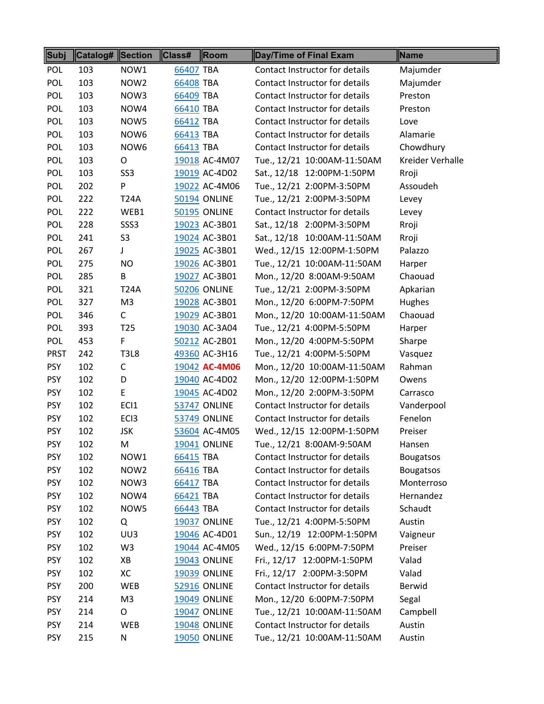| Subj        | Catalog# Section |                  | Class#<br>$\ $ Room | Day/Time of Final Exam         | Name             |
|-------------|------------------|------------------|---------------------|--------------------------------|------------------|
| <b>POL</b>  | 103              | NOW1             | 66407 TBA           | Contact Instructor for details | Majumder         |
| <b>POL</b>  | 103              | NOW <sub>2</sub> | 66408 TBA           | Contact Instructor for details | Majumder         |
| <b>POL</b>  | 103              | NOW3             | 66409 TBA           | Contact Instructor for details | Preston          |
| <b>POL</b>  | 103              | NOW4             | 66410 TBA           | Contact Instructor for details | Preston          |
| POL         | 103              | NOW5             | 66412 TBA           | Contact Instructor for details | Love             |
| <b>POL</b>  | 103              | NOW6             | 66413 TBA           | Contact Instructor for details | Alamarie         |
| <b>POL</b>  | 103              | NOW6             | 66413 TBA           | Contact Instructor for details | Chowdhury        |
| <b>POL</b>  | 103              | O                | 19018 AC-4M07       | Tue., 12/21 10:00AM-11:50AM    | Kreider Verhalle |
| <b>POL</b>  | 103              | SS <sub>3</sub>  | 19019 AC-4D02       | Sat., 12/18 12:00PM-1:50PM     | Rroji            |
| <b>POL</b>  | 202              | P                | 19022 AC-4M06       | Tue., 12/21 2:00PM-3:50PM      | Assoudeh         |
| <b>POL</b>  | 222              | <b>T24A</b>      | 50194 ONLINE        | Tue., 12/21 2:00PM-3:50PM      | Levey            |
| <b>POL</b>  | 222              | WEB1             | 50195 ONLINE        | Contact Instructor for details | Levey            |
| <b>POL</b>  | 228              | SSS <sub>3</sub> | 19023 AC-3B01       | Sat., 12/18 2:00PM-3:50PM      | Rroji            |
| <b>POL</b>  | 241              | S <sub>3</sub>   | 19024 AC-3B01       | Sat., 12/18 10:00AM-11:50AM    | Rroji            |
| <b>POL</b>  | 267              | J                | 19025 AC-3B01       | Wed., 12/15 12:00PM-1:50PM     | Palazzo          |
| <b>POL</b>  | 275              | <b>NO</b>        | 19026 AC-3B01       | Tue., 12/21 10:00AM-11:50AM    | Harper           |
| <b>POL</b>  | 285              | B                | 19027 AC-3B01       | Mon., 12/20 8:00AM-9:50AM      | Chaouad          |
| <b>POL</b>  | 321              | <b>T24A</b>      | <b>50206 ONLINE</b> | Tue., 12/21 2:00PM-3:50PM      | Apkarian         |
| <b>POL</b>  | 327              | M <sub>3</sub>   | 19028 AC-3B01       | Mon., 12/20 6:00PM-7:50PM      | Hughes           |
| <b>POL</b>  | 346              | C                | 19029 AC-3B01       | Mon., 12/20 10:00AM-11:50AM    | Chaouad          |
| <b>POL</b>  | 393              | T <sub>25</sub>  | 19030 AC-3A04       | Tue., 12/21 4:00PM-5:50PM      | Harper           |
| <b>POL</b>  | 453              | F                | 50212 AC-2B01       | Mon., 12/20 4:00PM-5:50PM      | Sharpe           |
| <b>PRST</b> | 242              | <b>T3L8</b>      | 49360 AC-3H16       | Tue., 12/21 4:00PM-5:50PM      | Vasquez          |
| <b>PSY</b>  | 102              | $\mathsf C$      | 19042 AC-4M06       | Mon., 12/20 10:00AM-11:50AM    | Rahman           |
| <b>PSY</b>  | 102              | D                | 19040 AC-4D02       | Mon., 12/20 12:00PM-1:50PM     | Owens            |
| <b>PSY</b>  | 102              | E                | 19045 AC-4D02       | Mon., 12/20 2:00PM-3:50PM      | Carrasco         |
| <b>PSY</b>  | 102              | EC <sub>1</sub>  | <b>53747 ONLINE</b> | Contact Instructor for details | Vanderpool       |
| <b>PSY</b>  | 102              | EC <sub>13</sub> | <b>53749 ONLINE</b> | Contact Instructor for details | Fenelon          |
| <b>PSY</b>  | 102              | <b>JSK</b>       | 53604 AC-4M05       | Wed., 12/15 12:00PM-1:50PM     | Preiser          |
| <b>PSY</b>  | 102              | M                | <b>19041 ONLINE</b> | Tue., 12/21 8:00AM-9:50AM      | Hansen           |
| <b>PSY</b>  | 102              | NOW1             | 66415 TBA           | Contact Instructor for details | <b>Bougatsos</b> |
| <b>PSY</b>  | 102              | NOW <sub>2</sub> | 66416 TBA           | Contact Instructor for details | <b>Bougatsos</b> |
| <b>PSY</b>  | 102              | NOW3             | 66417 TBA           | Contact Instructor for details | Monterroso       |
| <b>PSY</b>  | 102              | NOW4             | 66421 TBA           | Contact Instructor for details | Hernandez        |
| <b>PSY</b>  | 102              | NOW5             | 66443 TBA           | Contact Instructor for details | Schaudt          |
| <b>PSY</b>  | 102              | Q                | <b>19037 ONLINE</b> | Tue., 12/21 4:00PM-5:50PM      | Austin           |
| <b>PSY</b>  | 102              | UU3              | 19046 AC-4D01       | Sun., 12/19 12:00PM-1:50PM     | Vaigneur         |
| <b>PSY</b>  | 102              | W <sub>3</sub>   | 19044 AC-4M05       | Wed., 12/15 6:00PM-7:50PM      | Preiser          |
| <b>PSY</b>  | 102              | XB               | <b>19043 ONLINE</b> | Fri., 12/17 12:00PM-1:50PM     | Valad            |
| <b>PSY</b>  | 102              | XC               | <b>19039 ONLINE</b> | Fri., 12/17 2:00PM-3:50PM      | Valad            |
| <b>PSY</b>  | 200              | WEB              | <b>52916 ONLINE</b> | Contact Instructor for details | <b>Berwid</b>    |
| <b>PSY</b>  | 214              | M <sub>3</sub>   | <b>19049 ONLINE</b> | Mon., 12/20 6:00PM-7:50PM      | Segal            |
| <b>PSY</b>  | 214              | O                | <b>19047 ONLINE</b> | Tue., 12/21 10:00AM-11:50AM    | Campbell         |
| <b>PSY</b>  | 214              | WEB              | <b>19048 ONLINE</b> | Contact Instructor for details | Austin           |
| <b>PSY</b>  | 215              | N                | <b>19050 ONLINE</b> | Tue., 12/21 10:00AM-11:50AM    | Austin           |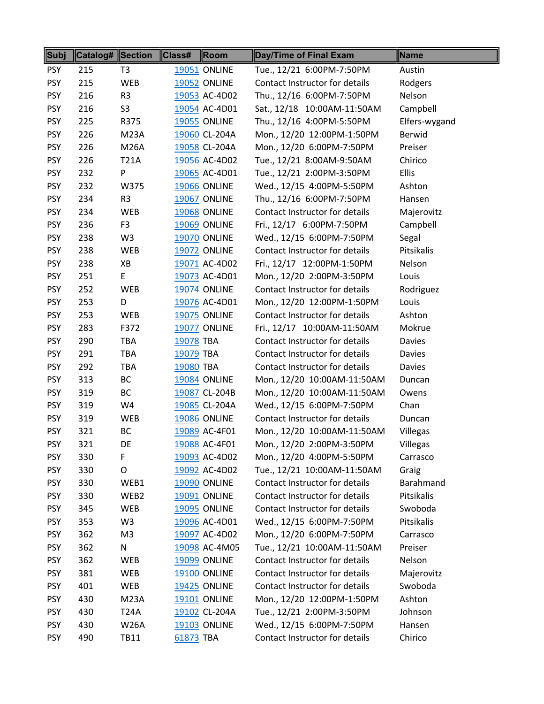| Subj       | Catalog# Section |                | Class#    | Room                | Day/Time of Final Exam         | Name          |
|------------|------------------|----------------|-----------|---------------------|--------------------------------|---------------|
| <b>PSY</b> | 215              | T3             |           | <b>19051 ONLINE</b> | Tue., 12/21 6:00PM-7:50PM      | Austin        |
| <b>PSY</b> | 215              | WEB            |           | <b>19052 ONLINE</b> | Contact Instructor for details | Rodgers       |
| <b>PSY</b> | 216              | R <sub>3</sub> |           | 19053 AC-4D02       | Thu., 12/16 6:00PM-7:50PM      | Nelson        |
| <b>PSY</b> | 216              | S <sub>3</sub> |           | 19054 AC-4D01       | Sat., 12/18 10:00AM-11:50AM    | Campbell      |
| <b>PSY</b> | 225              | R375           |           | <b>19055 ONLINE</b> | Thu., 12/16 4:00PM-5:50PM      | Elfers-wygand |
| <b>PSY</b> | 226              | <b>M23A</b>    |           | 19060 CL-204A       | Mon., 12/20 12:00PM-1:50PM     | <b>Berwid</b> |
| <b>PSY</b> | 226              | <b>M26A</b>    |           | 19058 CL-204A       | Mon., 12/20 6:00PM-7:50PM      | Preiser       |
| <b>PSY</b> | 226              | <b>T21A</b>    |           | 19056 AC-4D02       | Tue., 12/21 8:00AM-9:50AM      | Chirico       |
| <b>PSY</b> | 232              | Ρ              |           | 19065 AC-4D01       | Tue., 12/21 2:00PM-3:50PM      | <b>Ellis</b>  |
| <b>PSY</b> | 232              | W375           |           | <b>19066 ONLINE</b> | Wed., 12/15 4:00PM-5:50PM      | Ashton        |
| <b>PSY</b> | 234              | R <sub>3</sub> |           | <b>19067 ONLINE</b> | Thu., 12/16 6:00PM-7:50PM      | Hansen        |
| <b>PSY</b> | 234              | WEB            |           | <b>19068 ONLINE</b> | Contact Instructor for details | Majerovitz    |
| <b>PSY</b> | 236              | F <sub>3</sub> |           | <b>19069 ONLINE</b> | Fri., 12/17 6:00PM-7:50PM      | Campbell      |
| <b>PSY</b> | 238              | W <sub>3</sub> |           | <b>19070 ONLINE</b> | Wed., 12/15 6:00PM-7:50PM      | Segal         |
| <b>PSY</b> | 238              | WEB            |           | <b>19072 ONLINE</b> | Contact Instructor for details | Pitsikalis    |
| <b>PSY</b> | 238              | XB             |           | 19071 AC-4D02       | Fri., 12/17 12:00PM-1:50PM     | Nelson        |
| <b>PSY</b> | 251              | E.             |           | 19073 AC-4D01       | Mon., 12/20 2:00PM-3:50PM      | Louis         |
| <b>PSY</b> | 252              | WEB            |           | <b>19074 ONLINE</b> | Contact Instructor for details | Rodriguez     |
| <b>PSY</b> | 253              | D              |           | 19076 AC-4D01       | Mon., 12/20 12:00PM-1:50PM     | Louis         |
| <b>PSY</b> | 253              | WEB            |           | <b>19075 ONLINE</b> | Contact Instructor for details | Ashton        |
| <b>PSY</b> | 283              | F372           |           | <b>19077 ONLINE</b> | Fri., 12/17 10:00AM-11:50AM    | Mokrue        |
| <b>PSY</b> | 290              | <b>TBA</b>     | 19078 TBA |                     | Contact Instructor for details | Davies        |
| <b>PSY</b> | 291              | <b>TBA</b>     | 19079 TBA |                     | Contact Instructor for details | Davies        |
| <b>PSY</b> | 292              | TBA            | 19080 TBA |                     | Contact Instructor for details | Davies        |
| <b>PSY</b> | 313              | <b>BC</b>      |           | <b>19084 ONLINE</b> | Mon., 12/20 10:00AM-11:50AM    | Duncan        |
| <b>PSY</b> | 319              | BC             |           | 19087 CL-204B       | Mon., 12/20 10:00AM-11:50AM    | Owens         |
| <b>PSY</b> | 319              | W4             |           | 19085 CL-204A       | Wed., 12/15 6:00PM-7:50PM      | Chan          |
| <b>PSY</b> | 319              | WEB            |           | <b>19086 ONLINE</b> | Contact Instructor for details | Duncan        |
| <b>PSY</b> | 321              | BC             |           | 19089 AC-4F01       | Mon., 12/20 10:00AM-11:50AM    | Villegas      |
| <b>PSY</b> | 321              | DE             |           | 19088 AC-4F01       | Mon., 12/20 2:00PM-3:50PM      | Villegas      |
| <b>PSY</b> | 330              | F              |           | 19093 AC-4D02       | Mon., 12/20 4:00PM-5:50PM      | Carrasco      |
| <b>PSY</b> | 330              | O              |           | 19092 AC-4D02       | Tue., 12/21 10:00AM-11:50AM    | Graig         |
| <b>PSY</b> | 330              | WEB1           |           | <b>19090 ONLINE</b> | Contact Instructor for details | Barahmand     |
| <b>PSY</b> | 330              | WEB2           |           | <b>19091 ONLINE</b> | Contact Instructor for details | Pitsikalis    |
| <b>PSY</b> | 345              | WEB            |           | <b>19095 ONLINE</b> | Contact Instructor for details | Swoboda       |
| <b>PSY</b> | 353              | W3             |           | 19096 AC-4D01       | Wed., 12/15 6:00PM-7:50PM      | Pitsikalis    |
| <b>PSY</b> | 362              | M <sub>3</sub> |           | 19097 AC-4D02       | Mon., 12/20 6:00PM-7:50PM      | Carrasco      |
| <b>PSY</b> | 362              | N              |           | 19098 AC-4M05       | Tue., 12/21 10:00AM-11:50AM    | Preiser       |
| <b>PSY</b> | 362              | <b>WEB</b>     |           | <b>19099 ONLINE</b> | Contact Instructor for details | Nelson        |
| <b>PSY</b> | 381              | WEB            |           | <b>19100 ONLINE</b> | Contact Instructor for details | Majerovitz    |
| <b>PSY</b> | 401              | WEB            |           | <b>19425 ONLINE</b> | Contact Instructor for details | Swoboda       |
| <b>PSY</b> | 430              | <b>M23A</b>    |           | <b>19101 ONLINE</b> | Mon., 12/20 12:00PM-1:50PM     | Ashton        |
| <b>PSY</b> | 430              | <b>T24A</b>    |           | 19102 CL-204A       | Tue., 12/21 2:00PM-3:50PM      | Johnson       |
| <b>PSY</b> | 430              | <b>W26A</b>    |           | <b>19103 ONLINE</b> | Wed., 12/15 6:00PM-7:50PM      | Hansen        |
| <b>PSY</b> | 490              | <b>TB11</b>    | 61873 TBA |                     | Contact Instructor for details | Chirico       |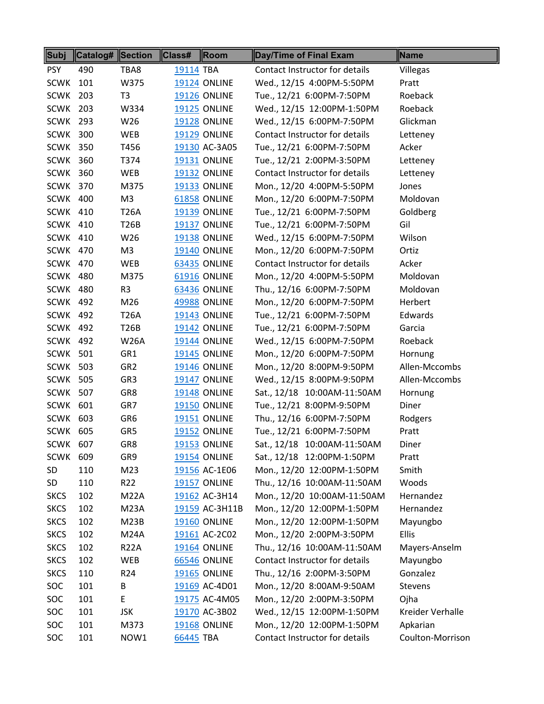| Subj            | <b>Catalog# Section</b> |                 | Class#    | Room                | Day/Time of Final Exam         | Name             |
|-----------------|-------------------------|-----------------|-----------|---------------------|--------------------------------|------------------|
| <b>PSY</b>      | 490                     | TBA8            | 19114 TBA |                     | Contact Instructor for details | Villegas         |
| <b>SCWK</b>     | 101                     | W375            |           | <b>19124 ONLINE</b> | Wed., 12/15 4:00PM-5:50PM      | Pratt            |
| <b>SCWK 203</b> |                         | T <sub>3</sub>  |           | <b>19126 ONLINE</b> | Tue., 12/21 6:00PM-7:50PM      | Roeback          |
| SCWK            | 203                     | W334            |           | <b>19125 ONLINE</b> | Wed., 12/15 12:00PM-1:50PM     | Roeback          |
| SCWK            | 293                     | W26             |           | <b>19128 ONLINE</b> | Wed., 12/15 6:00PM-7:50PM      | Glickman         |
| SCWK 300        |                         | <b>WEB</b>      |           | <b>19129 ONLINE</b> | Contact Instructor for details | Letteney         |
| <b>SCWK 350</b> |                         | T456            |           | 19130 AC-3A05       | Tue., 12/21 6:00PM-7:50PM      | Acker            |
| <b>SCWK 360</b> |                         | T374            |           | <b>19131 ONLINE</b> | Tue., 12/21 2:00PM-3:50PM      | Letteney         |
| <b>SCWK 360</b> |                         | WEB             |           | <b>19132 ONLINE</b> | Contact Instructor for details | Letteney         |
| <b>SCWK 370</b> |                         | M375            |           | <b>19133 ONLINE</b> | Mon., 12/20 4:00PM-5:50PM      | Jones            |
| <b>SCWK 400</b> |                         | M <sub>3</sub>  |           | 61858 ONLINE        | Mon., 12/20 6:00PM-7:50PM      | Moldovan         |
| <b>SCWK 410</b> |                         | <b>T26A</b>     |           | <b>19139 ONLINE</b> | Tue., 12/21 6:00PM-7:50PM      | Goldberg         |
| <b>SCWK 410</b> |                         | T26B            |           | <b>19137 ONLINE</b> | Tue., 12/21 6:00PM-7:50PM      | Gil              |
| <b>SCWK 410</b> |                         | W26             |           | <b>19138 ONLINE</b> | Wed., 12/15 6:00PM-7:50PM      | Wilson           |
| <b>SCWK 470</b> |                         | M3              |           | <b>19140 ONLINE</b> | Mon., 12/20 6:00PM-7:50PM      | Ortiz            |
| <b>SCWK 470</b> |                         | <b>WEB</b>      |           | 63435 ONLINE        | Contact Instructor for details | Acker            |
| <b>SCWK 480</b> |                         | M375            |           | <b>61916 ONLINE</b> | Mon., 12/20 4:00PM-5:50PM      | Moldovan         |
| <b>SCWK 480</b> |                         | R <sub>3</sub>  |           | 63436 ONLINE        | Thu., 12/16 6:00PM-7:50PM      | Moldovan         |
| <b>SCWK 492</b> |                         | M26             |           | <b>49988 ONLINE</b> | Mon., 12/20 6:00PM-7:50PM      | Herbert          |
| <b>SCWK 492</b> |                         | <b>T26A</b>     |           | <b>19143 ONLINE</b> | Tue., 12/21 6:00PM-7:50PM      | Edwards          |
| <b>SCWK 492</b> |                         | T26B            |           | <b>19142 ONLINE</b> | Tue., 12/21 6:00PM-7:50PM      | Garcia           |
| <b>SCWK 492</b> |                         | <b>W26A</b>     |           | <b>19144 ONLINE</b> | Wed., 12/15 6:00PM-7:50PM      | Roeback          |
| <b>SCWK 501</b> |                         | GR1             |           | <b>19145 ONLINE</b> | Mon., 12/20 6:00PM-7:50PM      | Hornung          |
| <b>SCWK 503</b> |                         | GR <sub>2</sub> |           | <b>19146 ONLINE</b> | Mon., 12/20 8:00PM-9:50PM      | Allen-Mccombs    |
| <b>SCWK 505</b> |                         | GR <sub>3</sub> |           | <b>19147 ONLINE</b> | Wed., 12/15 8:00PM-9:50PM      | Allen-Mccombs    |
| <b>SCWK 507</b> |                         | GR8             |           | <b>19148 ONLINE</b> | Sat., 12/18 10:00AM-11:50AM    | Hornung          |
| SCWK 601        |                         | GR7             |           | <b>19150 ONLINE</b> | Tue., 12/21 8:00PM-9:50PM      | Diner            |
| SCWK 603        |                         | GR <sub>6</sub> |           | <b>19151 ONLINE</b> | Thu., 12/16 6:00PM-7:50PM      | Rodgers          |
| <b>SCWK 605</b> |                         | GR5             |           | <b>19152 ONLINE</b> | Tue., 12/21 6:00PM-7:50PM      | Pratt            |
| SCWK 607        |                         |                 |           |                     |                                |                  |
|                 |                         | GR8             |           | <b>19153 ONLINE</b> | Sat., 12/18 10:00AM-11:50AM    | Diner            |
| <b>SCWK 609</b> |                         | GR9             |           | <b>19154 ONLINE</b> | Sat., 12/18 12:00PM-1:50PM     | Pratt            |
| <b>SD</b>       | 110                     | M23             |           | 19156 AC-1E06       | Mon., 12/20 12:00PM-1:50PM     | Smith            |
| SD              | 110                     | R <sub>22</sub> |           | <b>19157 ONLINE</b> | Thu., 12/16 10:00AM-11:50AM    | Woods            |
| <b>SKCS</b>     | 102                     | <b>M22A</b>     |           | 19162 AC-3H14       | Mon., 12/20 10:00AM-11:50AM    | Hernandez        |
| <b>SKCS</b>     | 102                     | <b>M23A</b>     |           | 19159 AC-3H11B      | Mon., 12/20 12:00PM-1:50PM     | Hernandez        |
| <b>SKCS</b>     | 102                     | M23B            |           | <b>19160 ONLINE</b> | Mon., 12/20 12:00PM-1:50PM     | Mayungbo         |
| <b>SKCS</b>     | 102                     | <b>M24A</b>     |           | 19161 AC-2C02       | Mon., 12/20 2:00PM-3:50PM      | Ellis            |
| <b>SKCS</b>     | 102                     | <b>R22A</b>     |           | <b>19164 ONLINE</b> | Thu., 12/16 10:00AM-11:50AM    | Mayers-Anselm    |
| <b>SKCS</b>     | 102                     | WEB             |           | <b>66546 ONLINE</b> | Contact Instructor for details | Mayungbo         |
| <b>SKCS</b>     | 110                     | R <sub>24</sub> |           | <b>19165 ONLINE</b> | Thu., 12/16 2:00PM-3:50PM      | Gonzalez         |
| SOC             | 101                     | В               |           | 19169 AC-4D01       | Mon., 12/20 8:00AM-9:50AM      | Stevens          |
| SOC             | 101                     | E               |           | 19175 AC-4M05       | Mon., 12/20 2:00PM-3:50PM      | Ojha             |
| SOC             | 101                     | <b>JSK</b>      |           | 19170 AC-3B02       | Wed., 12/15 12:00PM-1:50PM     | Kreider Verhalle |
| SOC             | 101                     | M373            |           | <b>19168 ONLINE</b> | Mon., 12/20 12:00PM-1:50PM     | Apkarian         |
| <b>SOC</b>      | 101                     | NOW1            | 66445 TBA |                     | Contact Instructor for details | Coulton-Morrison |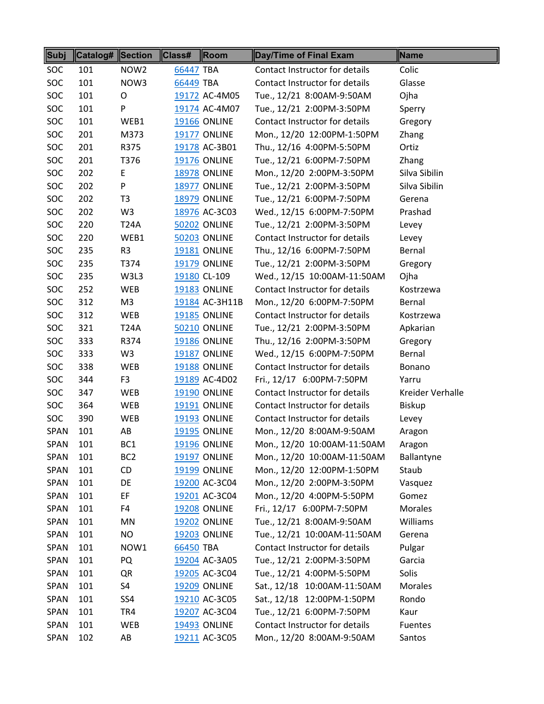| Subj        | Catalog# Section |                  | Class#<br>$\parallel$ Room | Day/Time of Final Exam         | Name             |
|-------------|------------------|------------------|----------------------------|--------------------------------|------------------|
| <b>SOC</b>  | 101              | NOW <sub>2</sub> | 66447 TBA                  | Contact Instructor for details | Colic            |
| SOC         | 101              | NOW3             | 66449 TBA                  | Contact Instructor for details | Glasse           |
| <b>SOC</b>  | 101              | O                | 19172 AC-4M05              | Tue., 12/21 8:00AM-9:50AM      | Ojha             |
| SOC         | 101              | P                | 19174 AC-4M07              | Tue., 12/21 2:00PM-3:50PM      | Sperry           |
| <b>SOC</b>  | 101              | WEB1             | <b>19166 ONLINE</b>        | Contact Instructor for details | Gregory          |
| <b>SOC</b>  | 201              | M373             | <b>19177 ONLINE</b>        | Mon., 12/20 12:00PM-1:50PM     | Zhang            |
| SOC         | 201              | R375             | 19178 AC-3B01              | Thu., 12/16 4:00PM-5:50PM      | Ortiz            |
| <b>SOC</b>  | 201              | T376             | <b>19176 ONLINE</b>        | Tue., 12/21 6:00PM-7:50PM      | Zhang            |
| <b>SOC</b>  | 202              | E.               | <b>18978 ONLINE</b>        | Mon., 12/20 2:00PM-3:50PM      | Silva Sibilin    |
| <b>SOC</b>  | 202              | P                | <b>18977 ONLINE</b>        | Tue., 12/21 2:00PM-3:50PM      | Silva Sibilin    |
| SOC         | 202              | T <sub>3</sub>   | <b>18979 ONLINE</b>        | Tue., 12/21 6:00PM-7:50PM      | Gerena           |
| SOC         | 202              | W3               | 18976 AC-3C03              | Wed., 12/15 6:00PM-7:50PM      | Prashad          |
| <b>SOC</b>  | 220              | <b>T24A</b>      | <b>50202 ONLINE</b>        | Tue., 12/21 2:00PM-3:50PM      | Levey            |
| <b>SOC</b>  | 220              | WEB1             | <b>50203 ONLINE</b>        | Contact Instructor for details | Levey            |
| <b>SOC</b>  | 235              | R <sub>3</sub>   | <b>19181 ONLINE</b>        | Thu., 12/16 6:00PM-7:50PM      | Bernal           |
| <b>SOC</b>  | 235              | T374             | <b>19179 ONLINE</b>        | Tue., 12/21 2:00PM-3:50PM      | Gregory          |
| <b>SOC</b>  | 235              | W3L3             | 19180 CL-109               | Wed., 12/15 10:00AM-11:50AM    | Ojha             |
| <b>SOC</b>  | 252              | WEB              | <b>19183 ONLINE</b>        | Contact Instructor for details | Kostrzewa        |
| SOC         | 312              | M <sub>3</sub>   | 19184 AC-3H11B             | Mon., 12/20 6:00PM-7:50PM      | Bernal           |
| <b>SOC</b>  | 312              | <b>WEB</b>       | <b>19185 ONLINE</b>        | Contact Instructor for details | Kostrzewa        |
| <b>SOC</b>  | 321              | <b>T24A</b>      | <b>50210 ONLINE</b>        | Tue., 12/21 2:00PM-3:50PM      | Apkarian         |
| <b>SOC</b>  | 333              | R374             | <b>19186 ONLINE</b>        | Thu., 12/16 2:00PM-3:50PM      | Gregory          |
| SOC         | 333              | W <sub>3</sub>   | <b>19187 ONLINE</b>        | Wed., 12/15 6:00PM-7:50PM      | Bernal           |
| <b>SOC</b>  | 338              | WEB              | <b>19188 ONLINE</b>        | Contact Instructor for details | Bonano           |
| <b>SOC</b>  | 344              | F <sub>3</sub>   | 19189 AC-4D02              | Fri., 12/17 6:00PM-7:50PM      | Yarru            |
| <b>SOC</b>  | 347              | WEB              | <b>19190 ONLINE</b>        | Contact Instructor for details | Kreider Verhalle |
| <b>SOC</b>  | 364              | WEB              | 19191 ONLINE               | Contact Instructor for details | <b>Biskup</b>    |
| SOC         | 390              | WEB              | <b>19193 ONLINE</b>        | Contact Instructor for details | Levey            |
| <b>SPAN</b> | 101              | AB               | <b>19195 ONLINE</b>        | Mon., 12/20 8:00AM-9:50AM      | Aragon           |
| <b>SPAN</b> | 101              | BC <sub>1</sub>  | <b>19196 ONLINE</b>        | Mon., 12/20 10:00AM-11:50AM    | Aragon           |
| <b>SPAN</b> | 101              | BC <sub>2</sub>  | <b>19197 ONLINE</b>        | Mon., 12/20 10:00AM-11:50AM    | Ballantyne       |
| <b>SPAN</b> | 101              | CD               | <b>19199 ONLINE</b>        | Mon., 12/20 12:00PM-1:50PM     | Staub            |
| <b>SPAN</b> | 101              | DE               | 19200 AC-3C04              | Mon., 12/20 2:00PM-3:50PM      | Vasquez          |
| <b>SPAN</b> | 101              | EF               | 19201 AC-3C04              | Mon., 12/20 4:00PM-5:50PM      | Gomez            |
| SPAN        | 101              | F4               | <b>19208 ONLINE</b>        | Fri., 12/17 6:00PM-7:50PM      | <b>Morales</b>   |
| <b>SPAN</b> | 101              | ΜN               | <b>19202 ONLINE</b>        | Tue., 12/21 8:00AM-9:50AM      | Williams         |
| <b>SPAN</b> | 101              | <b>NO</b>        | <b>19203 ONLINE</b>        | Tue., 12/21 10:00AM-11:50AM    | Gerena           |
| SPAN        | 101              | NOW1             | 66450 TBA                  | Contact Instructor for details | Pulgar           |
| <b>SPAN</b> | 101              | PQ               | 19204 AC-3A05              | Tue., 12/21 2:00PM-3:50PM      | Garcia           |
| <b>SPAN</b> | 101              | QR               | 19205 AC-3C04              | Tue., 12/21 4:00PM-5:50PM      | Solis            |
| <b>SPAN</b> | 101              | S4               | <b>19209 ONLINE</b>        | Sat., 12/18 10:00AM-11:50AM    | Morales          |
| SPAN        | 101              | SS4              | 19210 AC-3C05              | Sat., 12/18 12:00PM-1:50PM     | Rondo            |
| SPAN        | 101              | TR4              | 19207 AC-3C04              | Tue., 12/21 6:00PM-7:50PM      | Kaur             |
| SPAN        | 101              | WEB              | <b>19493 ONLINE</b>        | Contact Instructor for details | <b>Fuentes</b>   |
| <b>SPAN</b> | 102              | AB               | 19211 AC-3C05              | Mon., 12/20 8:00AM-9:50AM      | Santos           |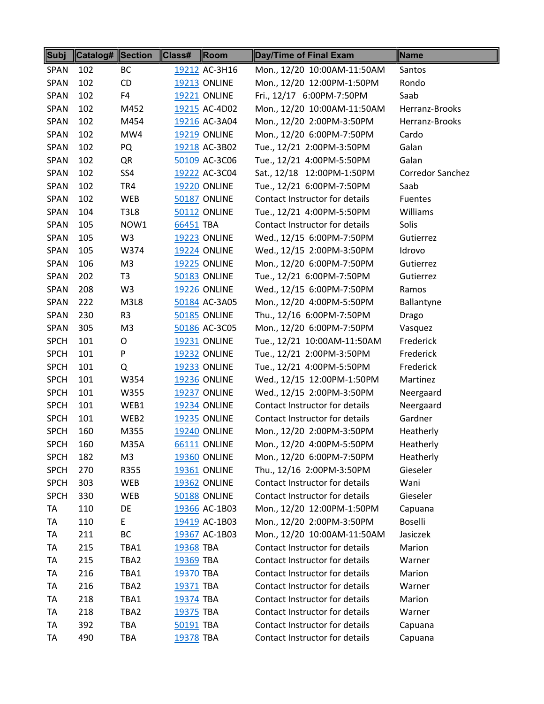| Subj        | <b>Catalog# Section</b> |                | Class#    | Room                | Day/Time of Final Exam         | Name                    |
|-------------|-------------------------|----------------|-----------|---------------------|--------------------------------|-------------------------|
| <b>SPAN</b> | 102                     | BC             |           | 19212 AC-3H16       | Mon., 12/20 10:00AM-11:50AM    | Santos                  |
| <b>SPAN</b> | 102                     | <b>CD</b>      |           | <b>19213 ONLINE</b> | Mon., 12/20 12:00PM-1:50PM     | Rondo                   |
| <b>SPAN</b> | 102                     | F4             |           | <b>19221 ONLINE</b> | Fri., 12/17 6:00PM-7:50PM      | Saab                    |
| <b>SPAN</b> | 102                     | M452           |           | 19215 AC-4D02       | Mon., 12/20 10:00AM-11:50AM    | Herranz-Brooks          |
| <b>SPAN</b> | 102                     | M454           |           | 19216 AC-3A04       | Mon., 12/20 2:00PM-3:50PM      | Herranz-Brooks          |
| <b>SPAN</b> | 102                     | MW4            |           | <b>19219 ONLINE</b> | Mon., 12/20 6:00PM-7:50PM      | Cardo                   |
| <b>SPAN</b> | 102                     | PQ             |           | 19218 AC-3B02       | Tue., 12/21 2:00PM-3:50PM      | Galan                   |
| <b>SPAN</b> | 102                     | QR             |           | 50109 AC-3C06       | Tue., 12/21 4:00PM-5:50PM      | Galan                   |
| <b>SPAN</b> | 102                     | SS4            |           | 19222 AC-3C04       | Sat., 12/18 12:00PM-1:50PM     | <b>Corredor Sanchez</b> |
| <b>SPAN</b> | 102                     | TR4            |           | <b>19220 ONLINE</b> | Tue., 12/21 6:00PM-7:50PM      | Saab                    |
| <b>SPAN</b> | 102                     | <b>WEB</b>     |           | 50187 ONLINE        | Contact Instructor for details | Fuentes                 |
| <b>SPAN</b> | 104                     | <b>T3L8</b>    |           | <b>50112 ONLINE</b> | Tue., 12/21 4:00PM-5:50PM      | Williams                |
| <b>SPAN</b> | 105                     | NOW1           | 66451 TBA |                     | Contact Instructor for details | Solis                   |
| <b>SPAN</b> | 105                     | W <sub>3</sub> |           | <b>19223 ONLINE</b> | Wed., 12/15 6:00PM-7:50PM      | Gutierrez               |
| <b>SPAN</b> | 105                     | W374           |           | <b>19224 ONLINE</b> | Wed., 12/15 2:00PM-3:50PM      | Idrovo                  |
| <b>SPAN</b> | 106                     | M <sub>3</sub> |           | <b>19225 ONLINE</b> | Mon., 12/20 6:00PM-7:50PM      | Gutierrez               |
| <b>SPAN</b> | 202                     | T <sub>3</sub> |           | <b>50183 ONLINE</b> | Tue., 12/21 6:00PM-7:50PM      | Gutierrez               |
| <b>SPAN</b> | 208                     | W <sub>3</sub> |           | <b>19226 ONLINE</b> | Wed., 12/15 6:00PM-7:50PM      | Ramos                   |
| <b>SPAN</b> | 222                     | M3L8           |           | 50184 AC-3A05       | Mon., 12/20 4:00PM-5:50PM      | Ballantyne              |
| <b>SPAN</b> | 230                     | R <sub>3</sub> |           | <b>50185 ONLINE</b> | Thu., 12/16 6:00PM-7:50PM      | Drago                   |
| <b>SPAN</b> | 305                     | M <sub>3</sub> |           | 50186 AC-3C05       | Mon., 12/20 6:00PM-7:50PM      | Vasquez                 |
| <b>SPCH</b> | 101                     | O              |           | <b>19231 ONLINE</b> | Tue., 12/21 10:00AM-11:50AM    | Frederick               |
| <b>SPCH</b> | 101                     | P              |           | <b>19232 ONLINE</b> | Tue., 12/21 2:00PM-3:50PM      | Frederick               |
| <b>SPCH</b> | 101                     | Q              |           | 19233 ONLINE        | Tue., 12/21 4:00PM-5:50PM      | Frederick               |
| <b>SPCH</b> | 101                     | W354           |           | <b>19236 ONLINE</b> | Wed., 12/15 12:00PM-1:50PM     | Martinez                |
| <b>SPCH</b> | 101                     | W355           |           | <b>19237 ONLINE</b> | Wed., 12/15 2:00PM-3:50PM      | Neergaard               |
| <b>SPCH</b> | 101                     | WEB1           |           | <b>19234 ONLINE</b> | Contact Instructor for details | Neergaard               |
| <b>SPCH</b> | 101                     | WEB2           |           | <b>19235 ONLINE</b> | Contact Instructor for details | Gardner                 |
| <b>SPCH</b> | 160                     | M355           |           | <b>19240 ONLINE</b> | Mon., 12/20 2:00PM-3:50PM      | Heatherly               |
| <b>SPCH</b> | 160                     | <b>M35A</b>    |           | 66111 ONLINE        | Mon., 12/20 4:00PM-5:50PM      | Heatherly               |
| <b>SPCH</b> | 182                     | M <sub>3</sub> |           | <b>19360 ONLINE</b> | Mon., 12/20 6:00PM-7:50PM      | Heatherly               |
| <b>SPCH</b> | 270                     | R355           |           | 19361 ONLINE        | Thu., 12/16 2:00PM-3:50PM      | Gieseler                |
| <b>SPCH</b> | 303                     | WEB            |           | <b>19362 ONLINE</b> | Contact Instructor for details | Wani                    |
| <b>SPCH</b> | 330                     | WEB            |           | <b>50188 ONLINE</b> | Contact Instructor for details | Gieseler                |
| TA          | 110                     | DE             |           | 19366 AC-1B03       | Mon., 12/20 12:00PM-1:50PM     | Capuana                 |
| TA          | 110                     | E.             |           | 19419 AC-1B03       | Mon., 12/20 2:00PM-3:50PM      | Boselli                 |
| <b>TA</b>   | 211                     | BC             |           | 19367 AC-1B03       | Mon., 12/20 10:00AM-11:50AM    | Jasiczek                |
| TA          | 215                     | TBA1           | 19368 TBA |                     | Contact Instructor for details | Marion                  |
| TA          | 215                     | TBA2           | 19369 TBA |                     | Contact Instructor for details | Warner                  |
| TA          | 216                     | TBA1           | 19370 TBA |                     | Contact Instructor for details | Marion                  |
| TA          | 216                     | TBA2           | 19371 TBA |                     | Contact Instructor for details | Warner                  |
| <b>TA</b>   | 218                     | TBA1           | 19374 TBA |                     | Contact Instructor for details | Marion                  |
| TA          | 218                     | TBA2           | 19375 TBA |                     | Contact Instructor for details | Warner                  |
| TA          | 392                     | TBA            | 50191 TBA |                     | Contact Instructor for details | Capuana                 |
| TA          | 490                     | TBA            | 19378 TBA |                     | Contact Instructor for details | Capuana                 |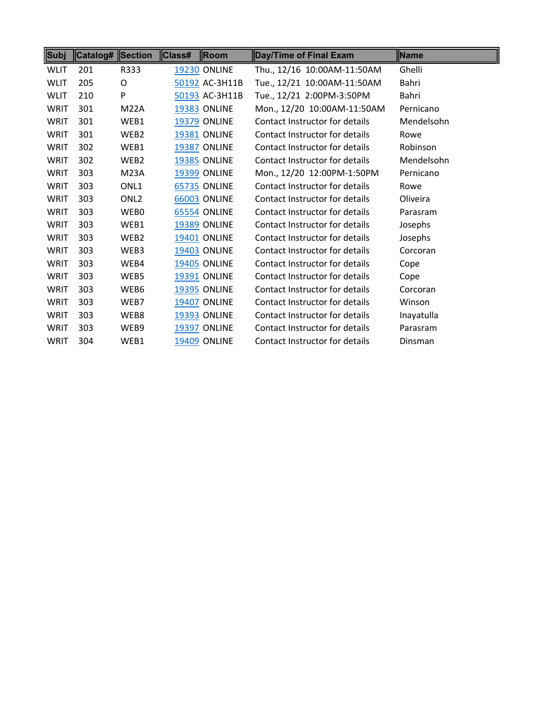| Subj        | Catalog# ∥Section |                  | Class# | Room                | Day/Time of Final Exam         | ∥Name      |
|-------------|-------------------|------------------|--------|---------------------|--------------------------------|------------|
| <b>WLIT</b> | 201               | R333             |        | <b>19230 ONLINE</b> | Thu., 12/16 10:00AM-11:50AM    | Ghelli     |
| <b>WLIT</b> | 205               | O                |        | 50192 AC-3H11B      | Tue., 12/21 10:00AM-11:50AM    | Bahri      |
| <b>WLIT</b> | 210               | P                |        | 50193 AC-3H11B      | Tue., 12/21 2:00PM-3:50PM      | Bahri      |
| WRIT        | 301               | <b>M22A</b>      |        | <b>19383 ONLINE</b> | Mon., 12/20 10:00AM-11:50AM    | Pernicano  |
| WRIT        | 301               | WEB1             |        | <b>19379 ONLINE</b> | Contact Instructor for details | Mendelsohn |
| WRIT        | 301               | WEB2             |        | <b>19381 ONLINE</b> | Contact Instructor for details | Rowe       |
| WRIT        | 302               | WEB1             |        | 19387 ONLINE        | Contact Instructor for details | Robinson   |
| <b>WRIT</b> | 302               | WEB2             |        | <b>19385 ONLINE</b> | Contact Instructor for details | Mendelsohn |
| WRIT        | 303               | <b>M23A</b>      |        | <b>19399 ONLINE</b> | Mon., 12/20 12:00PM-1:50PM     | Pernicano  |
| WRIT        | 303               | ONL1             |        | <b>65735 ONLINE</b> | Contact Instructor for details | Rowe       |
| WRIT        | 303               | ONL <sub>2</sub> |        | <b>66003 ONLINE</b> | Contact Instructor for details | Oliveira   |
| WRIT        | 303               | WEB0             |        | <b>65554 ONLINE</b> | Contact Instructor for details | Parasram   |
| WRIT        | 303               | WEB1             |        | <b>19389 ONLINE</b> | Contact Instructor for details | Josephs    |
| WRIT        | 303               | WEB2             |        | <b>19401 ONLINE</b> | Contact Instructor for details | Josephs    |
| WRIT        | 303               | WEB3             |        | <b>19403 ONLINE</b> | Contact Instructor for details | Corcoran   |
| WRIT        | 303               | WEB4             |        | <b>19405 ONLINE</b> | Contact Instructor for details | Cope       |
| WRIT        | 303               | WEB5             |        | <b>19391 ONLINE</b> | Contact Instructor for details | Cope       |
| WRIT        | 303               | WEB6             |        | <b>19395 ONLINE</b> | Contact Instructor for details | Corcoran   |
| WRIT        | 303               | WEB7             |        | <b>19407 ONLINE</b> | Contact Instructor for details | Winson     |
| WRIT        | 303               | WEB8             |        | <b>19393 ONLINE</b> | Contact Instructor for details | Inayatulla |
| WRIT        | 303               | WEB9             |        | <b>19397 ONLINE</b> | Contact Instructor for details | Parasram   |
| WRIT        | 304               | WEB1             |        | <b>19409 ONLINE</b> | Contact Instructor for details | Dinsman    |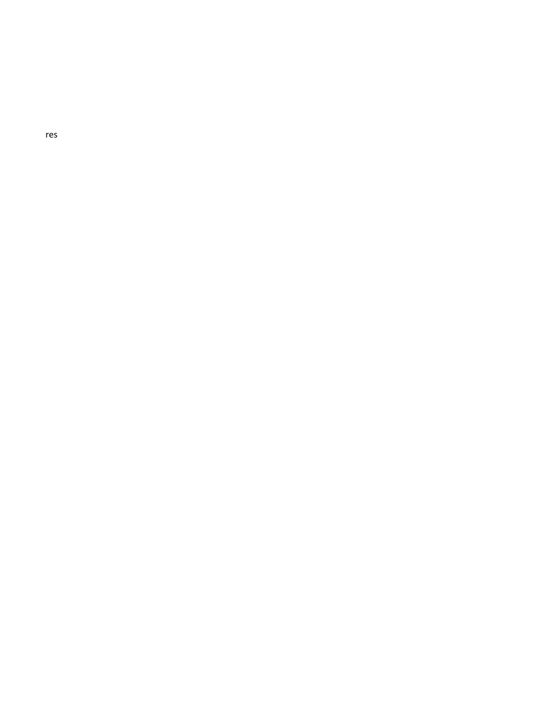$\mathop{\mathsf{res}}$